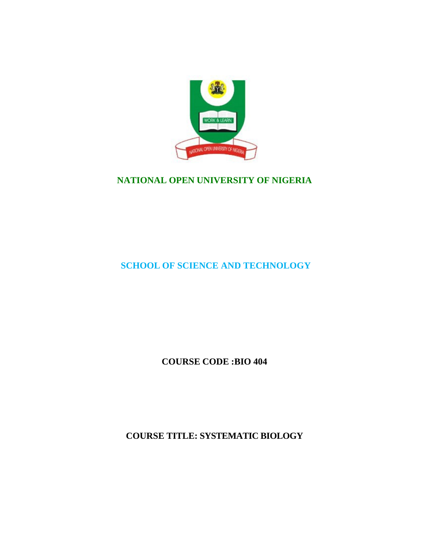

# **NATIONAL OPEN UNIVERSITY OF NIGERIA**

# **SCHOOL OF SCIENCE AND TECHNOLOGY**

**COURSE CODE :BIO 404**

**COURSE TITLE: SYSTEMATIC BIOLOGY**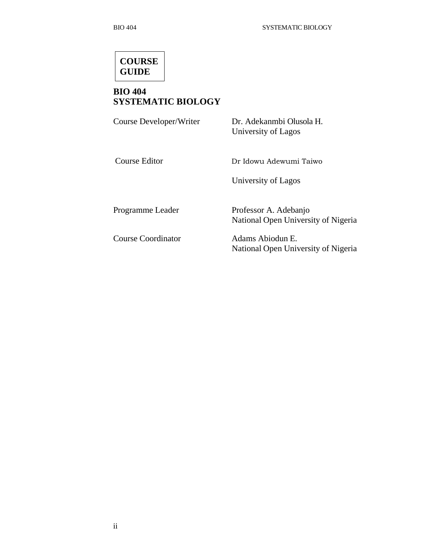

# **BIO 404 SYSTEMATIC BIOLOGY**

| Course Developer/Writer | Dr. Adekanmbi Olusola H.<br>University of Lagos |
|-------------------------|-------------------------------------------------|
| Course Editor           | Dr Idowu Adewumi Taiwo                          |
|                         | University of Lagos                             |

Programme Leader Professor A. Adebanjo National Open University of Nigeria

Course Coordinator Adams Abiodun E.

National Open University of Nigeria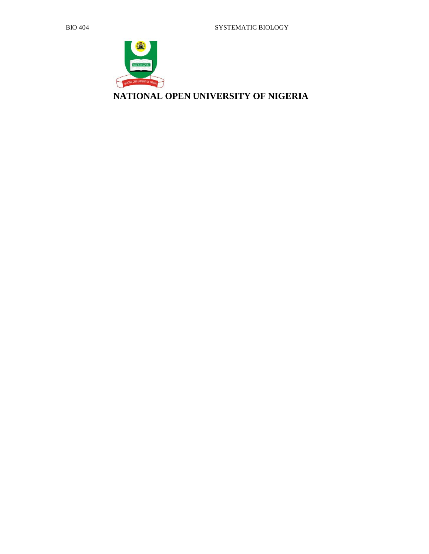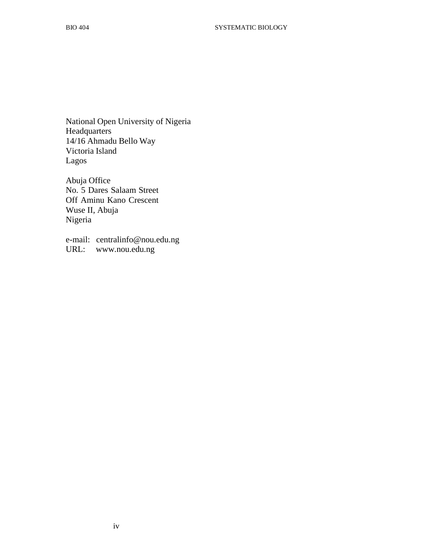National Open University of Nigeria Headquarters 14/16 Ahmadu Bello Way Victoria Island Lagos

Abuja Office No. 5 Dares Salaam Street Off Aminu Kano Crescent Wuse II, Abuja Nigeria

e-mail: centralinfo@nou.edu.ng URL: www.nou.edu.ng

iv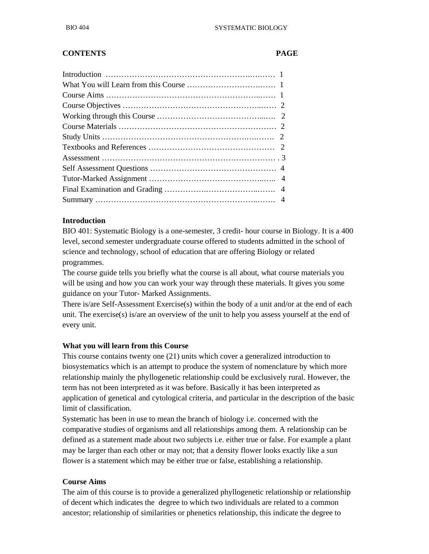## **CONTENTS PAGE**

#### **Introduction**

BIO 401: Systematic Biology is a one-semester, 3 credit- hour course in Biology. It is a 400 level, second semester undergraduate course offered to students admitted in the school of science and technology, school of education that are offering Biology or related programmes.

The course guide tells you briefly what the course is all about, what course materials you will be using and how you can work your way through these materials. It gives you some guidance on your Tutor- Marked Assignments.

There is/are Self-Assessment Exercise(s) within the body of a unit and/or at the end of each unit. The exercise(s) is/are an overview of the unit to help you assess yourself at the end of every unit.

#### **What you will learn from this Course**

This course contains twenty one (21) units which cover a generalized introduction to biosystematics which is an attempt to produce the system of nomenclature by which more relationship mainly the phyllogenetic relationship could be exclusively rural. However, the term has not been interpreted as it was before. Basically it has been interpreted as application of genetical and cytological criteria, and particular in the description of the basic limit of classification.

Systematic has been in use to mean the branch of biology i.e. concerned with the comparative studies of organisms and all relationships among them. A relationship can be defined as a statement made about two subjects i.e. either true or false. For example a plant may be larger than each other or may not; that a density flower looks exactly like a sun flower is a statement which may be either true or false, establishing a relationship.

#### **Course Aims**

The aim of this course is to provide a generalized phyllogenetic relationship or relationship of decent which indicates the degree to which two individuals are related to a common ancestor; relationship of similarities or phenetics relationship, this indicate the degree to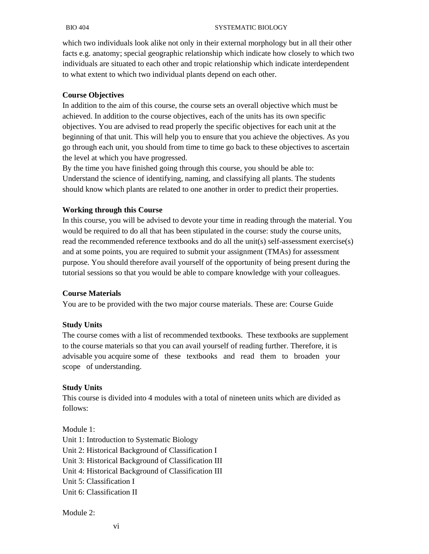#### BIO 404 SYSTEMATIC BIOLOGY

which two individuals look alike not only in their external morphology but in all their other facts e.g. anatomy; special geographic relationship which indicate how closely to which two individuals are situated to each other and tropic relationship which indicate interdependent to what extent to which two individual plants depend on each other.

#### **Course Objectives**

In addition to the aim of this course, the course sets an overall objective which must be achieved. In addition to the course objectives, each of the units has its own specific objectives. You are advised to read properly the specific objectives for each unit at the beginning of that unit. This will help you to ensure that you achieve the objectives. As you go through each unit, you should from time to time go back to these objectives to ascertain the level at which you have progressed.

By the time you have finished going through this course, you should be able to: Understand the science of identifying, naming, and classifying all plants. The students should know which plants are related to one another in order to predict their properties.

#### **Working through this Course**

In this course, you will be advised to devote your time in reading through the material. You would be required to do all that has been stipulated in the course: study the course units, read the recommended reference textbooks and do all the unit(s) self-assessment exercise(s) and at some points, you are required to submit your assignment (TMAs) for assessment purpose. You should therefore avail yourself of the opportunity of being present during the tutorial sessions so that you would be able to compare knowledge with your colleagues.

#### **Course Materials**

You are to be provided with the two major course materials. These are: Course Guide

#### **Study Units**

The course comes with a list of recommended textbooks. These textbooks are supplement to the course materials so that you can avail yourself of reading further. Therefore, it is advisable you acquire some of these textbooks and read them to broaden your scope of understanding.

#### **Study Units**

This course is divided into 4 modules with a total of nineteen units which are divided as follows:

Module 1: Unit 1: Introduction to Systematic Biology Unit 2: Historical Background of Classification I Unit 3: Historical Background of Classification III Unit 4: Historical Background of Classification III Unit 5: Classification I Unit 6: Classification II

#### Module 2:

vi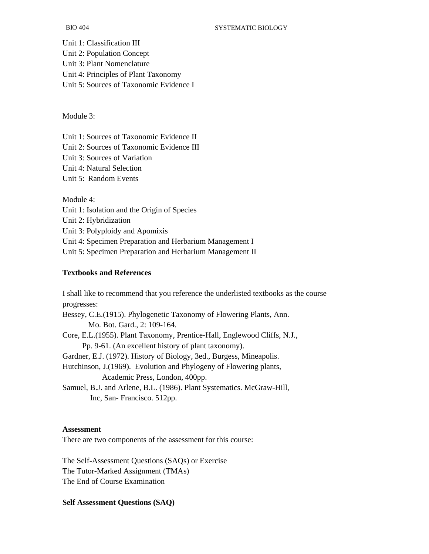Unit 1: Classification III Unit 2: Population Concept Unit 3: Plant Nomenclature Unit 4: Principles of Plant Taxonomy Unit 5: Sources of Taxonomic Evidence I

Module 3:

Unit 1: Sources of Taxonomic Evidence II

Unit 2: Sources of Taxonomic Evidence III

Unit 3: Sources of Variation

Unit 4: Natural Selection

Unit 5: Random Events

Module 4:

Unit 1: Isolation and the Origin of Species

Unit 2: Hybridization

Unit 3: Polyploidy and Apomixis

Unit 4: Specimen Preparation and Herbarium Management I

Unit 5: Specimen Preparation and Herbarium Management II

#### **Textbooks and References**

I shall like to recommend that you reference the underlisted textbooks as the course progresses: Bessey, C.E.(1915). Phylogenetic Taxonomy of Flowering Plants, Ann. Mo. Bot. Gard., 2: 109-164. Core, E.L.(1955). Plant Taxonomy, Prentice-Hall, Englewood Cliffs, N.J., Pp. 9-61. (An excellent history of plant taxonomy). Gardner, E.J. (1972). History of Biology, 3ed., Burgess, Mineapolis. Hutchinson, J.(1969). Evolution and Phylogeny of Flowering plants, Academic Press, London, 400pp. Samuel, B.J. and Arlene, B.L. (1986). Plant Systematics. McGraw-Hill, Inc, San- Francisco. 512pp.

#### **Assessment**

There are two components of the assessment for this course:

The Self-Assessment Questions (SAQs) or Exercise The Tutor-Marked Assignment (TMAs) The End of Course Examination

#### **Self Assessment Questions (SAQ)**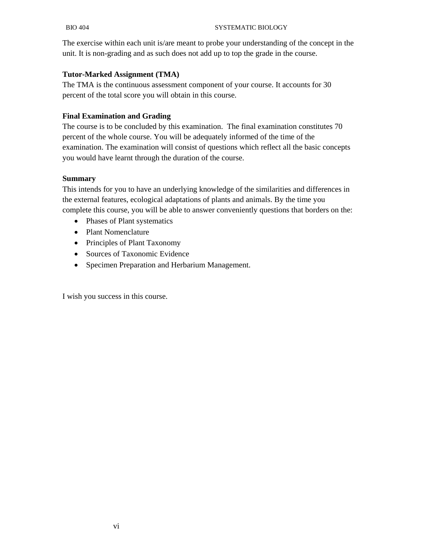The exercise within each unit is/are meant to probe your understanding of the concept in the unit. It is non-grading and as such does not add up to top the grade in the course.

### **Tutor-Marked Assignment (TMA)**

The TMA is the continuous assessment component of your course. It accounts for 30 percent of the total score you will obtain in this course.

## **Final Examination and Grading**

The course is to be concluded by this examination. The final examination constitutes 70 percent of the whole course. You will be adequately informed of the time of the examination. The examination will consist of questions which reflect all the basic concepts you would have learnt through the duration of the course.

#### **Summary**

This intends for you to have an underlying knowledge of the similarities and differences in the external features, ecological adaptations of plants and animals. By the time you complete this course, you will be able to answer conveniently questions that borders on the:

- Phases of Plant systematics
- Plant Nomenclature
- Principles of Plant Taxonomy
- Sources of Taxonomic Evidence
- Specimen Preparation and Herbarium Management.

I wish you success in this course.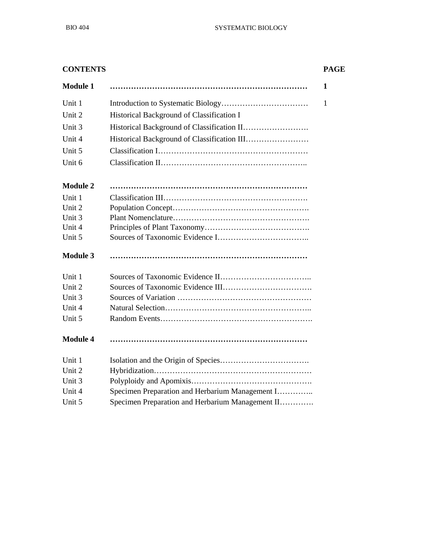| <b>CONTENTS</b> |                                                  | <b>PAGE</b>  |
|-----------------|--------------------------------------------------|--------------|
| <b>Module 1</b> |                                                  | $\mathbf{1}$ |
| Unit 1          |                                                  | $\mathbf{1}$ |
| Unit 2          | Historical Background of Classification I        |              |
| Unit 3          |                                                  |              |
| Unit 4          |                                                  |              |
| Unit 5          |                                                  |              |
| Unit 6          |                                                  |              |
| <b>Module 2</b> |                                                  |              |
| Unit 1          |                                                  |              |
| Unit 2          |                                                  |              |
| Unit 3          |                                                  |              |
| Unit 4          |                                                  |              |
| Unit 5          |                                                  |              |
| <b>Module 3</b> |                                                  |              |
| Unit 1          |                                                  |              |
| Unit 2          |                                                  |              |
| Unit 3          |                                                  |              |
| Unit 4          |                                                  |              |
| Unit 5          |                                                  |              |
| <b>Module 4</b> |                                                  |              |
| Unit 1          |                                                  |              |
| Unit 2          |                                                  |              |
| Unit 3          |                                                  |              |
| Unit 4          | Specimen Preparation and Herbarium Management I  |              |
| Unit 5          | Specimen Preparation and Herbarium Management II |              |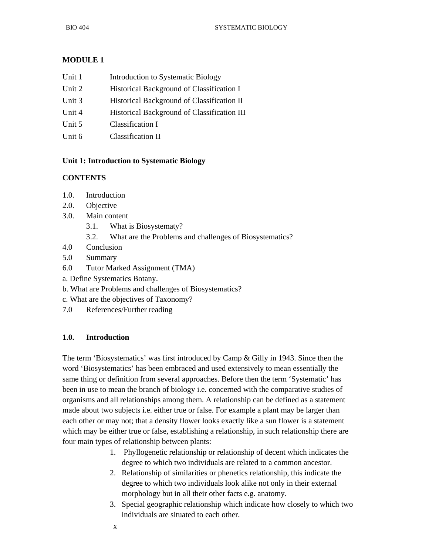## **MODULE 1**

| Unit 1        | Introduction to Systematic Biology                                                                                                                                                                                                                                                                                                 |
|---------------|------------------------------------------------------------------------------------------------------------------------------------------------------------------------------------------------------------------------------------------------------------------------------------------------------------------------------------|
| Unit 2        | Historical Background of Classification I                                                                                                                                                                                                                                                                                          |
| Unit 3        | Historical Background of Classification II                                                                                                                                                                                                                                                                                         |
| <b>TT . 4</b> | $\mathbf{H}$ $\mathbf{H}$ $\mathbf{H}$ $\mathbf{H}$ $\mathbf{H}$ $\mathbf{H}$ $\mathbf{H}$ $\mathbf{H}$ $\mathbf{H}$ $\mathbf{H}$ $\mathbf{H}$ $\mathbf{H}$ $\mathbf{H}$ $\mathbf{H}$ $\mathbf{H}$ $\mathbf{H}$ $\mathbf{H}$ $\mathbf{H}$ $\mathbf{H}$ $\mathbf{H}$ $\mathbf{H}$ $\mathbf{H}$ $\mathbf{H}$ $\mathbf{H}$ $\mathbf{$ |

- Unit 4 **Historical Background of Classification III**
- Unit 5 Classification I
- Unit 6 Classification II

#### **Unit 1: Introduction to Systematic Biology**

#### **CONTENTS**

- 1.0. Introduction
- 2.0. Objective
- 3.0. Main content
	- 3.1. What is Biosystematy?
	- 3.2. What are the Problems and challenges of Biosystematics?
- 4.0 Conclusion
- 5.0 Summary
- 6.0 Tutor Marked Assignment (TMA)
- a. Define Systematics Botany.
- b. What are Problems and challenges of Biosystematics?
- c. What are the objectives of Taxonomy?
- 7.0 References/Further reading

#### **1.0. Introduction**

The term 'Biosystematics' was first introduced by Camp & Gilly in 1943. Since then the word 'Biosystematics' has been embraced and used extensively to mean essentially the same thing or definition from several approaches. Before then the term 'Systematic' has been in use to mean the branch of biology i.e. concerned with the comparative studies of organisms and all relationships among them. A relationship can be defined as a statement made about two subjects i.e. either true or false. For example a plant may be larger than each other or may not; that a density flower looks exactly like a sun flower is a statement which may be either true or false, establishing a relationship, in such relationship there are four main types of relationship between plants:

- 1. Phyllogenetic relationship or relationship of decent which indicates the degree to which two individuals are related to a common ancestor.
- 2. Relationship of similarities or phenetics relationship, this indicate the degree to which two individuals look alike not only in their external morphology but in all their other facts e.g. anatomy.
- 3. Special geographic relationship which indicate how closely to which two individuals are situated to each other.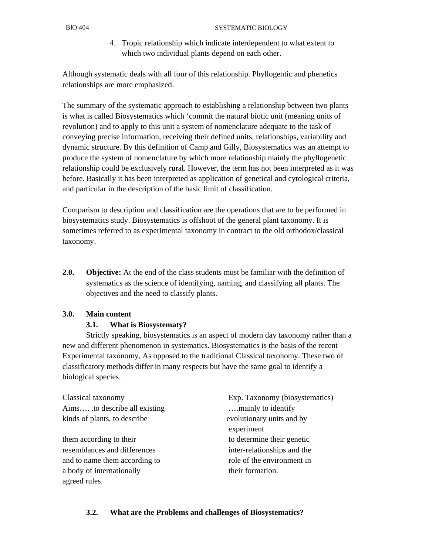4. Tropic relationship which indicate interdependent to what extent to which two individual plants depend on each other.

Although systematic deals with all four of this relationship. Phyllogentic and phenetics relationships are more emphasized.

The summary of the systematic approach to establishing a relationship between two plants is what is called Biosystematics which 'commit the natural biotic unit (meaning units of revolution) and to apply to this unit a system of nomenclature adequate to the task of conveying precise information, receiving their defined units, relationships, variability and dynamic structure. By this definition of Camp and Gilly, Biosystematics was an attempt to produce the system of nomenclature by which more relationship mainly the phyllogenetic relationship could be exclusively rural. However, the term has not been interpreted as it was before. Basically it has been interpreted as application of genetical and cytological criteria, and particular in the description of the basic limit of classification.

Comparism to description and classification are the operations that are to be performed in biosystematics study. Biosystematics is offshoot of the general plant taxonomy. It is sometimes referred to as experimental taxonomy in contract to the old orthodox/classical taxonomy.

**2.0. Objective:** At the end of the class students must be familiar with the definition of systematics as the science of identifying, naming, and classifying all plants. The objectives and the need to classify plants.

## **3.0. Main content**

#### **3.1. What is Biosystematy?**

 Strictly speaking, biosystematics is an aspect of modern day taxonomy rather than a new and different phenomenon in systematics. Biosystematics is the basis of the recent Experimental taxonomy, As opposed to the traditional Classical taxonomy. These two of classificatory methods differ in many respects but have the same goal to identify a biological species.

| Classical taxonomy             | Exp. Taxonomy (biosystematics) |  |
|--------------------------------|--------------------------------|--|
| Aims .to describe all existing | mainly to identify             |  |
| kinds of plants, to describe   | evolutionary units and by      |  |
|                                | experiment                     |  |
| them according to their        | to determine their genetic     |  |
| resemblances and differences   | inter-relationships and the    |  |
| and to name them according to  | role of the environment in     |  |
| a body of internationally      | their formation.               |  |
| agreed rules.                  |                                |  |

## **3.2. What are the Problems and challenges of Biosystematics?**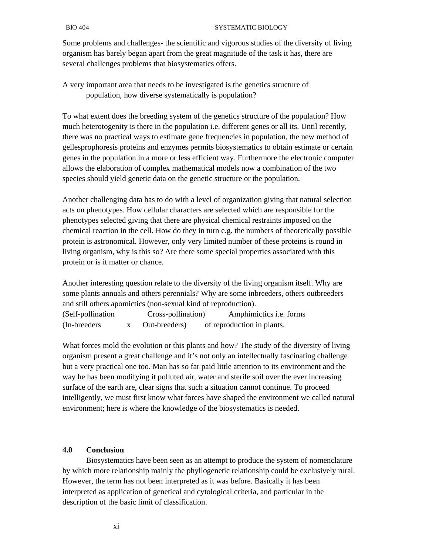Some problems and challenges- the scientific and vigorous studies of the diversity of living organism has barely began apart from the great magnitude of the task it has, there are several challenges problems that biosystematics offers.

A very important area that needs to be investigated is the genetics structure of population, how diverse systematically is population?

To what extent does the breeding system of the genetics structure of the population? How much heterotogenity is there in the population i.e. different genes or all its. Until recently, there was no practical ways to estimate gene frequencies in population, the new method of gellesprophoresis proteins and enzymes permits biosystematics to obtain estimate or certain genes in the population in a more or less efficient way. Furthermore the electronic computer allows the elaboration of complex mathematical models now a combination of the two species should yield genetic data on the genetic structure or the population.

Another challenging data has to do with a level of organization giving that natural selection acts on phenotypes. How cellular characters are selected which are responsible for the phenotypes selected giving that there are physical chemical restraints imposed on the chemical reaction in the cell. How do they in turn e.g. the numbers of theoretically possible protein is astronomical. However, only very limited number of these proteins is round in living organism, why is this so? Are there some special properties associated with this protein or is it matter or chance.

Another interesting question relate to the diversity of the living organism itself. Why are some plants annuals and others perennials? Why are some inbreeders, others outbreeders and still others apomictics (non-sexual kind of reproduction). (Self-pollination Cross-pollination) Amphimictics i.e. forms (In-breeders x Out-breeders) of reproduction in plants.

What forces mold the evolution or this plants and how? The study of the diversity of living organism present a great challenge and it's not only an intellectually fascinating challenge but a very practical one too. Man has so far paid little attention to its environment and the way he has been modifying it polluted air, water and sterile soil over the ever increasing surface of the earth are, clear signs that such a situation cannot continue. To proceed intelligently, we must first know what forces have shaped the environment we called natural environment; here is where the knowledge of the biosystematics is needed.

## **4.0 Conclusion**

 Biosystematics have been seen as an attempt to produce the system of nomenclature by which more relationship mainly the phyllogenetic relationship could be exclusively rural. However, the term has not been interpreted as it was before. Basically it has been interpreted as application of genetical and cytological criteria, and particular in the description of the basic limit of classification.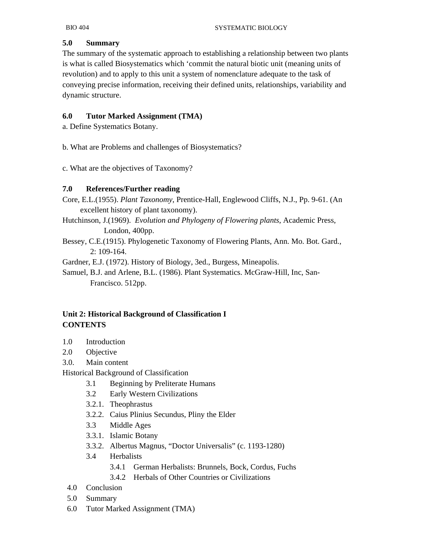## **5.0 Summary**

The summary of the systematic approach to establishing a relationship between two plants is what is called Biosystematics which 'commit the natural biotic unit (meaning units of revolution) and to apply to this unit a system of nomenclature adequate to the task of conveying precise information, receiving their defined units, relationships, variability and dynamic structure.

## **6.0 Tutor Marked Assignment (TMA)**

a. Define Systematics Botany.

b. What are Problems and challenges of Biosystematics?

c. What are the objectives of Taxonomy?

## **7.0 References/Further reading**

Core, E.L.(1955). *Plant Taxonomy*, Prentice-Hall, Englewood Cliffs, N.J., Pp. 9-61. (An excellent history of plant taxonomy).

Hutchinson, J.(1969). *Evolution and Phylogeny of Flowering plants*, Academic Press, London, 400pp.

Bessey, C.E.(1915). Phylogenetic Taxonomy of Flowering Plants, Ann. Mo. Bot. Gard., 2: 109-164.

Gardner, E.J. (1972). History of Biology, 3ed., Burgess, Mineapolis.

Samuel, B.J. and Arlene, B.L. (1986). Plant Systematics. McGraw-Hill, Inc, San- Francisco. 512pp.

# **Unit 2: Historical Background of Classification I CONTENTS**

- 1.0 Introduction
- 2.0 Objective
- 3.0. Main content

Historical Background of Classification

- 3.1 Beginning by Preliterate Humans
- 3.2 Early Western Civilizations
- 3.2.1. Theophrastus
- 3.2.2. Caius Plinius Secundus, Pliny the Elder
- 3.3 Middle Ages
- 3.3.1. Islamic Botany
- 3.3.2. Albertus Magnus, "Doctor Universalis" (c. 1193-1280)
- 3.4 Herbalists
	- 3.4.1 German Herbalists: Brunnels, Bock, Cordus, Fuchs
	- 3.4.2 Herbals of Other Countries or Civilizations
- 4.0 Conclusion
- 5.0 Summary
- 6.0 Tutor Marked Assignment (TMA)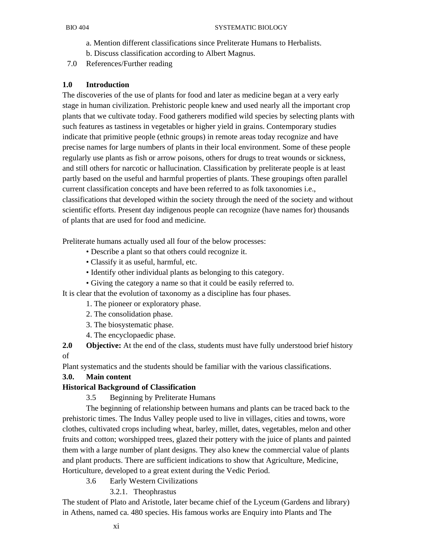- a. Mention different classifications since Preliterate Humans to Herbalists.
- b. Discuss classification according to Albert Magnus.
- 7.0 References/Further reading

## **1.0 Introduction**

The discoveries of the use of plants for food and later as medicine began at a very early stage in human civilization. Prehistoric people knew and used nearly all the important crop plants that we cultivate today. Food gatherers modified wild species by selecting plants with such features as tastiness in vegetables or higher yield in grains. Contemporary studies indicate that primitive people (ethnic groups) in remote areas today recognize and have precise names for large numbers of plants in their local environment. Some of these people regularly use plants as fish or arrow poisons, others for drugs to treat wounds or sickness, and still others for narcotic or hallucination. Classification by preliterate people is at least partly based on the useful and harmful properties of plants. These groupings often parallel current classification concepts and have been referred to as folk taxonomies i.e., classifications that developed within the society through the need of the society and without scientific efforts. Present day indigenous people can recognize (have names for) thousands of plants that are used for food and medicine.

Preliterate humans actually used all four of the below processes:

- Describe a plant so that others could recognize it.
- Classify it as useful, harmful, etc.
- Identify other individual plants as belonging to this category.
- Giving the category a name so that it could be easily referred to.

It is clear that the evolution of taxonomy as a discipline has four phases.

- 1. The pioneer or exploratory phase.
- 2. The consolidation phase.
- 3. The biosystematic phase.
- 4. The encyclopaedic phase.

**2.0** Objective: At the end of the class, students must have fully understood brief history of

Plant systematics and the students should be familiar with the various classifications.

## **3.0. Main content**

## **Historical Background of Classification**

3.5 Beginning by Preliterate Humans

 The beginning of relationship between humans and plants can be traced back to the prehistoric times. The Indus Valley people used to live in villages, cities and towns, wore clothes, cultivated crops including wheat, barley, millet, dates, vegetables, melon and other fruits and cotton; worshipped trees, glazed their pottery with the juice of plants and painted them with a large number of plant designs. They also knew the commercial value of plants and plant products. There are sufficient indications to show that Agriculture, Medicine, Horticulture, developed to a great extent during the Vedic Period.

- 3.6 Early Western Civilizations
	- 3.2.1. Theophrastus

The student of Plato and Aristotle, later became chief of the Lyceum (Gardens and library) in Athens, named ca. 480 species. His famous works are Enquiry into Plants and The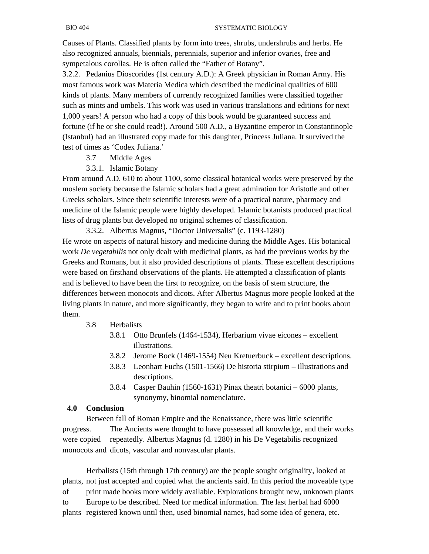Causes of Plants. Classified plants by form into trees, shrubs, undershrubs and herbs. He also recognized annuals, biennials, perennials, superior and inferior ovaries, free and sympetalous corollas. He is often called the "Father of Botany".

3.2.2. Pedanius Dioscorides (1st century A.D.): A Greek physician in Roman Army. His most famous work was Materia Medica which described the medicinal qualities of 600 kinds of plants. Many members of currently recognized families were classified together such as mints and umbels. This work was used in various translations and editions for next 1,000 years! A person who had a copy of this book would be guaranteed success and fortune (if he or she could read!). Around 500 A.D., a Byzantine emperor in Constantinople (Istanbul) had an illustrated copy made for this daughter, Princess Juliana. It survived the test of times as 'Codex Juliana.'

- 3.7 Middle Ages
- 3.3.1. Islamic Botany

From around A.D. 610 to about 1100, some classical botanical works were preserved by the moslem society because the Islamic scholars had a great admiration for Aristotle and other Greeks scholars. Since their scientific interests were of a practical nature, pharmacy and medicine of the Islamic people were highly developed. Islamic botanists produced practical lists of drug plants but developed no original schemes of classification.

 3.3.2. Albertus Magnus, "Doctor Universalis" (c. 1193-1280) He wrote on aspects of natural history and medicine during the Middle Ages. His botanical work *De vegetabilis* not only dealt with medicinal plants, as had the previous works by the Greeks and Romans, but it also provided descriptions of plants. These excellent descriptions were based on firsthand observations of the plants. He attempted a classification of plants and is believed to have been the first to recognize, on the basis of stem structure, the differences between monocots and dicots. After Albertus Magnus more people looked at the living plants in nature, and more significantly, they began to write and to print books about them.

#### 3.8 Herbalists

- 3.8.1 Otto Brunfels (1464-1534), Herbarium vivae eicones excellent illustrations.
- 3.8.2 Jerome Bock (1469-1554) Neu Kretuerbuck excellent descriptions.
- 3.8.3 Leonhart Fuchs (1501-1566) De historia stirpium illustrations and descriptions.
- 3.8.4 Casper Bauhin (1560-1631) Pinax theatri botanici 6000 plants, synonymy, binomial nomenclature.

#### **4.0 Conclusion**

 Between fall of Roman Empire and the Renaissance, there was little scientific progress. The Ancients were thought to have possessed all knowledge, and their works were copied repeatedly. Albertus Magnus (d. 1280) in his De Vegetabilis recognized monocots and dicots, vascular and nonvascular plants.

 Herbalists (15th through 17th century) are the people sought originality, looked at plants, not just accepted and copied what the ancients said. In this period the moveable type of print made books more widely available. Explorations brought new, unknown plants to Europe to be described. Need for medical information. The last herbal had 6000 plants registered known until then, used binomial names, had some idea of genera, etc.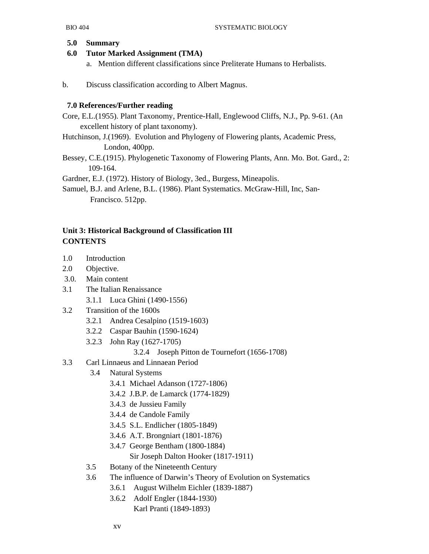#### **5.0 Summary**

## **6.0 Tutor Marked Assignment (TMA)**

- a. Mention different classifications since Preliterate Humans to Herbalists.
- b. Discuss classification according to Albert Magnus.

## **7.0 References/Further reading**

- Core, E.L.(1955). Plant Taxonomy, Prentice-Hall, Englewood Cliffs, N.J., Pp. 9-61. (An excellent history of plant taxonomy).
- Hutchinson, J.(1969). Evolution and Phylogeny of Flowering plants, Academic Press, London, 400pp.
- Bessey, C.E.(1915). Phylogenetic Taxonomy of Flowering Plants, Ann. Mo. Bot. Gard., 2: 109-164.

Gardner, E.J. (1972). History of Biology, 3ed., Burgess, Mineapolis.

Samuel, B.J. and Arlene, B.L. (1986). Plant Systematics. McGraw-Hill, Inc, San- Francisco. 512pp.

# **Unit 3: Historical Background of Classification III CONTENTS**

- 1.0 Introduction
- 2.0 Objective.
- 3.0. Main content
- 3.1 The Italian Renaissance
	- 3.1.1 Luca Ghini (1490-1556)
- 3.2 Transition of the 1600s
	- 3.2.1 Andrea Cesalpino (1519-1603)
	- 3.2.2 Caspar Bauhin (1590-1624)
	- 3.2.3 John Ray (1627-1705)

## 3.2.4 Joseph Pitton de Tournefort (1656-1708)

- 3.3 Carl Linnaeus and Linnaean Period
	- 3.4 Natural Systems
		- 3.4.1 Michael Adanson (1727-1806)
		- 3.4.2 J.B.P. de Lamarck (1774-1829)
		- 3.4.3 de Jussieu Family
		- 3.4.4 de Candole Family
		- 3.4.5 S.L. Endlicher (1805-1849)
		- 3.4.6 A.T. Brongniart (1801-1876)
		- 3.4.7 George Bentham (1800-1884)
			- Sir Joseph Dalton Hooker (1817-1911)
	- 3.5 Botany of the Nineteenth Century
	- 3.6 The influence of Darwin's Theory of Evolution on Systematics
		- 3.6.1 August Wilhelm Eichler (1839-1887)
		- 3.6.2 Adolf Engler (1844-1930)
			- Karl Pranti (1849-1893)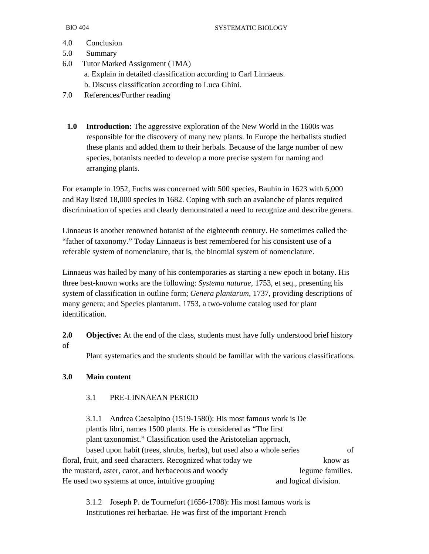- 4.0 Conclusion
- 5.0 Summary
- 6.0 Tutor Marked Assignment (TMA) a. Explain in detailed classification according to Carl Linnaeus. b. Discuss classification according to Luca Ghini.
- 7.0 References/Further reading
	- **1.0 Introduction:** The aggressive exploration of the New World in the 1600s was responsible for the discovery of many new plants. In Europe the herbalists studied these plants and added them to their herbals. Because of the large number of new species, botanists needed to develop a more precise system for naming and arranging plants.

For example in 1952, Fuchs was concerned with 500 species, Bauhin in 1623 with 6,000 and Ray listed 18,000 species in 1682. Coping with such an avalanche of plants required discrimination of species and clearly demonstrated a need to recognize and describe genera.

Linnaeus is another renowned botanist of the eighteenth century. He sometimes called the "father of taxonomy." Today Linnaeus is best remembered for his consistent use of a referable system of nomenclature, that is, the binomial system of nomenclature.

Linnaeus was hailed by many of his contemporaries as starting a new epoch in botany. His three best-known works are the following: *Systema naturae*, 1753, et seq., presenting his system of classification in outline form; *Genera plantarum*, 1737, providing descriptions of many genera; and Species plantarum, 1753, a two-volume catalog used for plant identification.

**2.0 Objective:** At the end of the class, students must have fully understood brief history of

Plant systematics and the students should be familiar with the various classifications.

## **3.0 Main content**

## 3.1 PRE-LINNAEAN PERIOD

 3.1.1 Andrea Caesalpino (1519-1580): His most famous work is De plantis libri, names 1500 plants. He is considered as "The first plant taxonomist." Classification used the Aristotelian approach, based upon habit (trees, shrubs, herbs), but used also a whole series of floral, fruit, and seed characters. Recognized what today we know as the mustard, aster, carot, and herbaceous and woody legume families. He used two systems at once, intuitive grouping and logical division.

 3.1.2 Joseph P. de Tournefort (1656-1708): His most famous work is Institutiones rei herbariae. He was first of the important French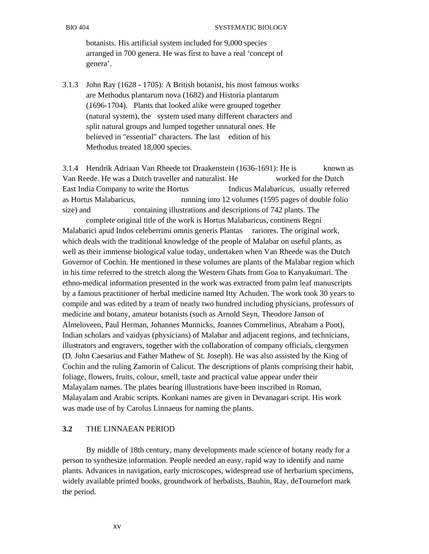botanists. His artificial system included for 9,000 species arranged in 700 genera. He was first to have a real 'concept of genera'.

3.1.3 John Ray (1628 - 1705): A British botanist, his most famous works are Methodus plantarum nova (1682) and Historia plantarum (1696-1704). Plants that looked alike were grouped together (natural system), the system used many different characters and split natural groups and lumped together unnatural ones. He believed in "essential" characters. The last edition of his Methodus treated 18,000 species.

3.1.4 Hendrik Adriaan Van Rheede tot Draakenstein (1636-1691): He is known as Van Reede. He was a Dutch traveller and naturalist. He worked for the Dutch East India Company to write the Hortus Indicus Malabaricus, usually referred as Hortus Malabaricus, running into 12 volumes (1595 pages of double folio size) and containing illustrations and descriptions of 742 plants. The

 complete original title of the work is Hortus Malabaricus, continens Regni Malabarici apud Indos celeberrimi omnis generis Plantas rariores. The original work, which deals with the traditional knowledge of the people of Malabar on useful plants, as well as their immense biological value today, undertaken when Van Rheede was the Dutch Governor of Cochin. He mentioned in these volumes are plants of the Malabar region which in his time referred to the stretch along the Western Ghats from Goa to Kanyakumari. The ethno-medical information presented in the work was extracted from palm leaf manuscripts by a famous practitioner of herbal medicine named Itty Achuden. The work took 30 years to compile and was edited by a team of nearly two hundred including physicians, professors of medicine and botany, amateur botanists (such as Arnold Seyn, Theodore Janson of Almeloveen, Paul Herman, Johannes Munnicks, Joannes Commelinus, Abraham a Poot), Indian scholars and vaidyas (physicians) of Malabar and adjacent regions, and technicians, illustrators and engravers, together with the collaboration of company officials, clergymen (D. John Caesarius and Father Mathew of St. Joseph). He was also assisted by the King of Cochin and the ruling Zamorin of Calicut. The descriptions of plants comprising their habit, foliage, flowers, fruits, colour, smell, taste and practical value appear under their Malayalam names. The plates bearing illustrations have been inscribed in Roman, Malayalam and Arabic scripts. Konkani names are given in Devanagari script. His work was made use of by Carolus Linnaeus for naming the plants.

#### **3.2** THE LINNAEAN PERIOD

 By middle of 18th century, many developments made science of botany ready for a person to synthesize information. People needed an easy, rapid way to identify and name plants. Advances in navigation, early microscopes, widespread use of herbarium specimens, widely available printed books, groundwork of herbalists, Bauhin, Ray, deTournefort mark the period.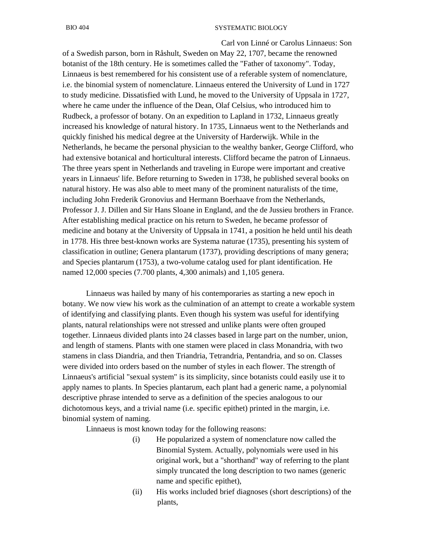#### BIO 404 SYSTEMATIC BIOLOGY

 Carl von Linné or Carolus Linnaeus: Son of a Swedish parson, born in Råshult, Sweden on May 22, 1707, became the renowned botanist of the 18th century. He is sometimes called the "Father of taxonomy". Today, Linnaeus is best remembered for his consistent use of a referable system of nomenclature, i.e. the binomial system of nomenclature. Linnaeus entered the University of Lund in 1727 to study medicine. Dissatisfied with Lund, he moved to the University of Uppsala in 1727, where he came under the influence of the Dean, Olaf Celsius, who introduced him to Rudbeck, a professor of botany. On an expedition to Lapland in 1732, Linnaeus greatly increased his knowledge of natural history. In 1735, Linnaeus went to the Netherlands and quickly finished his medical degree at the University of Harderwijk. While in the Netherlands, he became the personal physician to the wealthy banker, George Clifford, who had extensive botanical and horticultural interests. Clifford became the patron of Linnaeus. The three years spent in Netherlands and traveling in Europe were important and creative years in Linnaeus' life. Before returning to Sweden in 1738, he published several books on natural history. He was also able to meet many of the prominent naturalists of the time, including John Frederik Gronovius and Hermann Boerhaave from the Netherlands, Professor J. J. Dillen and Sir Hans Sloane in England, and the de Jussieu brothers in France. After establishing medical practice on his return to Sweden, he became professor of medicine and botany at the University of Uppsala in 1741, a position he held until his death in 1778. His three best-known works are Systema naturae (1735), presenting his system of classification in outline; Genera plantarum (1737), providing descriptions of many genera; and Species plantarum (1753), a two-volume catalog used for plant identification. He named 12,000 species (7.700 plants, 4,300 animals) and 1,105 genera.

 Linnaeus was hailed by many of his contemporaries as starting a new epoch in botany. We now view his work as the culmination of an attempt to create a workable system of identifying and classifying plants. Even though his system was useful for identifying plants, natural relationships were not stressed and unlike plants were often grouped together. Linnaeus divided plants into 24 classes based in large part on the number, union, and length of stamens. Plants with one stamen were placed in class Monandria, with two stamens in class Diandria, and then Triandria, Tetrandria, Pentandria, and so on. Classes were divided into orders based on the number of styles in each flower. The strength of Linnaeus's artificial "sexual system" is its simplicity, since botanists could easily use it to apply names to plants. In Species plantarum, each plant had a generic name, a polynomial descriptive phrase intended to serve as a definition of the species analogous to our dichotomous keys, and a trivial name (i.e. specific epithet) printed in the margin, i.e. binomial system of naming.

Linnaeus is most known today for the following reasons:

- (i) He popularized a system of nomenclature now called the Binomial System. Actually, polynomials were used in his original work, but a "shorthand" way of referring to the plant simply truncated the long description to two names (generic name and specific epithet),
- (ii) His works included brief diagnoses (short descriptions) of the plants,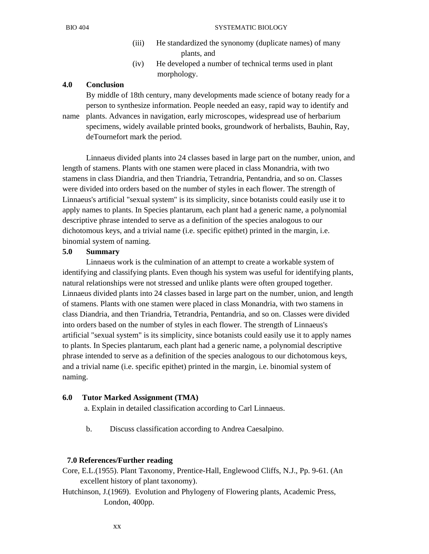- (iii) He standardized the synonomy (duplicate names) of many plants, and
- (iv) He developed a number of technical terms used in plant morphology.

#### **4.0 Conclusion**

 By middle of 18th century, many developments made science of botany ready for a person to synthesize information. People needed an easy, rapid way to identify and name plants. Advances in navigation, early microscopes, widespread use of herbarium specimens, widely available printed books, groundwork of herbalists, Bauhin, Ray, deTournefort mark the period.

 Linnaeus divided plants into 24 classes based in large part on the number, union, and length of stamens. Plants with one stamen were placed in class Monandria, with two stamens in class Diandria, and then Triandria, Tetrandria, Pentandria, and so on. Classes were divided into orders based on the number of styles in each flower. The strength of Linnaeus's artificial "sexual system" is its simplicity, since botanists could easily use it to apply names to plants. In Species plantarum, each plant had a generic name, a polynomial descriptive phrase intended to serve as a definition of the species analogous to our dichotomous keys, and a trivial name (i.e. specific epithet) printed in the margin, i.e. binomial system of naming.

#### **5.0 Summary**

 Linnaeus work is the culmination of an attempt to create a workable system of identifying and classifying plants. Even though his system was useful for identifying plants, natural relationships were not stressed and unlike plants were often grouped together. Linnaeus divided plants into 24 classes based in large part on the number, union, and length of stamens. Plants with one stamen were placed in class Monandria, with two stamens in class Diandria, and then Triandria, Tetrandria, Pentandria, and so on. Classes were divided into orders based on the number of styles in each flower. The strength of Linnaeus's artificial "sexual system" is its simplicity, since botanists could easily use it to apply names to plants. In Species plantarum, each plant had a generic name, a polynomial descriptive phrase intended to serve as a definition of the species analogous to our dichotomous keys, and a trivial name (i.e. specific epithet) printed in the margin, i.e. binomial system of naming.

#### **6.0 Tutor Marked Assignment (TMA)**

a. Explain in detailed classification according to Carl Linnaeus.

b. Discuss classification according to Andrea Caesalpino.

#### **7.0 References/Further reading**

- Core, E.L.(1955). Plant Taxonomy, Prentice-Hall, Englewood Cliffs, N.J., Pp. 9-61. (An excellent history of plant taxonomy).
- Hutchinson, J.(1969). Evolution and Phylogeny of Flowering plants, Academic Press, London, 400pp.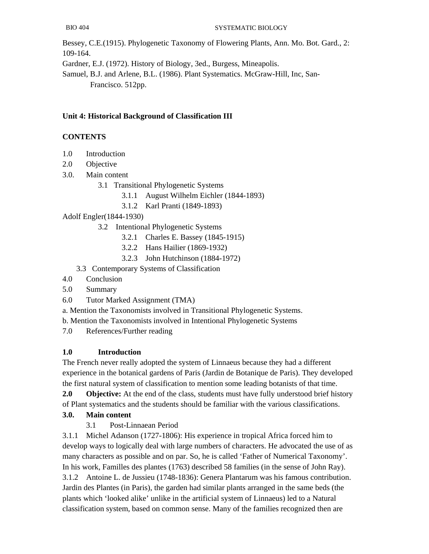Bessey, C.E.(1915). Phylogenetic Taxonomy of Flowering Plants, Ann. Mo. Bot. Gard., 2: 109-164.

Gardner, E.J. (1972). History of Biology, 3ed., Burgess, Mineapolis.

Samuel, B.J. and Arlene, B.L. (1986). Plant Systematics. McGraw-Hill, Inc, San- Francisco. 512pp.

# **Unit 4: Historical Background of Classification III**

# **CONTENTS**

- 1.0 Introduction
- 2.0 Objective
- 3.0. Main content
	- 3.1 Transitional Phylogenetic Systems
		- 3.1.1 August Wilhelm Eichler (1844-1893)
		- 3.1.2 Karl Pranti (1849-1893)

Adolf Engler(1844-1930)

- 3.2 Intentional Phylogenetic Systems
	- 3.2.1 Charles E. Bassey (1845-1915)
	- 3.2.2 Hans Hailier (1869-1932)
	- 3.2.3 John Hutchinson (1884-1972)
- 3.3 Contemporary Systems of Classification
- 4.0 Conclusion
- 5.0 Summary
- 6.0 Tutor Marked Assignment (TMA)
- a. Mention the Taxonomists involved in Transitional Phylogenetic Systems.
- b. Mention the Taxonomists involved in Intentional Phylogenetic Systems
- 7.0 References/Further reading

# **1.0 Introduction**

The French never really adopted the system of Linnaeus because they had a different experience in the botanical gardens of Paris (Jardin de Botanique de Paris). They developed the first natural system of classification to mention some leading botanists of that time.

**2.0 Objective:** At the end of the class, students must have fully understood brief history of Plant systematics and the students should be familiar with the various classifications.

# **3.0. Main content**

3.1 Post-Linnaean Period

3.1.1 Michel Adanson (1727-1806): His experience in tropical Africa forced him to develop ways to logically deal with large numbers of characters. He advocated the use of as many characters as possible and on par. So, he is called 'Father of Numerical Taxonomy'. In his work, Familles des plantes (1763) described 58 families (in the sense of John Ray). 3.1.2 Antoine L. de Jussieu (1748-1836): Genera Plantarum was his famous contribution. Jardin des Plantes (in Paris), the garden had similar plants arranged in the same beds (the plants which 'looked alike' unlike in the artificial system of Linnaeus) led to a Natural classification system, based on common sense. Many of the families recognized then are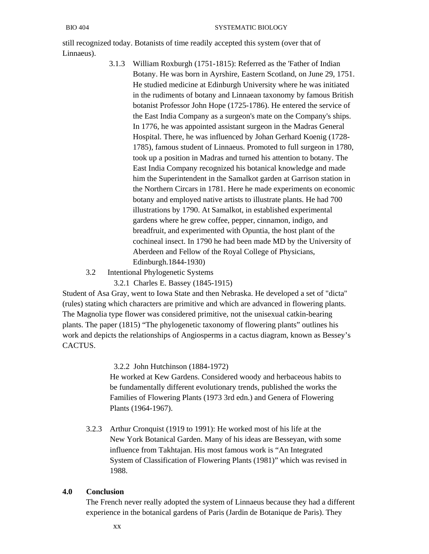still recognized today. Botanists of time readily accepted this system (over that of Linnaeus).

- 3.1.3 William Roxburgh (1751-1815): Referred as the 'Father of Indian Botany. He was born in Ayrshire, Eastern Scotland, on June 29, 1751. He studied medicine at Edinburgh University where he was initiated in the rudiments of botany and Linnaean taxonomy by famous British botanist Professor John Hope (1725-1786). He entered the service of the East India Company as a surgeon's mate on the Company's ships. In 1776, he was appointed assistant surgeon in the Madras General Hospital. There, he was influenced by Johan Gerhard Koenig (1728- 1785), famous student of Linnaeus. Promoted to full surgeon in 1780, took up a position in Madras and turned his attention to botany. The East India Company recognized his botanical knowledge and made him the Superintendent in the Samalkot garden at Garrison station in the Northern Circars in 1781. Here he made experiments on economic botany and employed native artists to illustrate plants. He had 700 illustrations by 1790. At Samalkot, in established experimental gardens where he grew coffee, pepper, cinnamon, indigo, and breadfruit, and experimented with Opuntia, the host plant of the cochineal insect. In 1790 he had been made MD by the University of Aberdeen and Fellow of the Royal College of Physicians, Edinburgh.1844-1930)
- 3.2 Intentional Phylogenetic Systems

3.2.1 Charles E. Bassey (1845-1915)

Student of Asa Gray, went to Iowa State and then Nebraska. He developed a set of "dicta" (rules) stating which characters are primitive and which are advanced in flowering plants. The Magnolia type flower was considered primitive, not the unisexual catkin-bearing plants. The paper (1815) "The phylogenetic taxonomy of flowering plants" outlines his work and depicts the relationships of Angiosperms in a cactus diagram, known as Bessey's CACTUS.

3.2.2 John Hutchinson (1884-1972)

 He worked at Kew Gardens. Considered woody and herbaceous habits to be fundamentally different evolutionary trends, published the works the Families of Flowering Plants (1973 3rd edn.) and Genera of Flowering Plants (1964-1967).

 3.2.3 Arthur Cronquist (1919 to 1991): He worked most of his life at the New York Botanical Garden. Many of his ideas are Besseyan, with some influence from Takhtajan. His most famous work is "An Integrated System of Classification of Flowering Plants (1981)" which was revised in 1988.

#### **4.0 Conclusion**

 The French never really adopted the system of Linnaeus because they had a different experience in the botanical gardens of Paris (Jardin de Botanique de Paris). They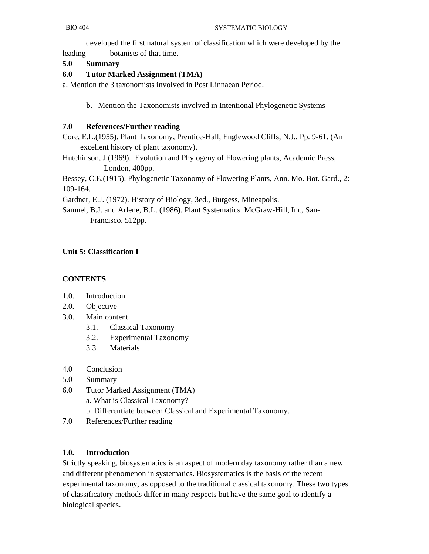developed the first natural system of classification which were developed by the leading botanists of that time.

#### **5.0 Summary**

#### **6.0 Tutor Marked Assignment (TMA)**

a. Mention the 3 taxonomists involved in Post Linnaean Period.

b. Mention the Taxonomists involved in Intentional Phylogenetic Systems

#### **7.0 References/Further reading**

Core, E.L.(1955). Plant Taxonomy, Prentice-Hall, Englewood Cliffs, N.J., Pp. 9-61. (An excellent history of plant taxonomy).

Hutchinson, J.(1969). Evolution and Phylogeny of Flowering plants, Academic Press, London, 400pp.

Bessey, C.E.(1915). Phylogenetic Taxonomy of Flowering Plants, Ann. Mo. Bot. Gard., 2: 109-164.

Gardner, E.J. (1972). History of Biology, 3ed., Burgess, Mineapolis.

Samuel, B.J. and Arlene, B.L. (1986). Plant Systematics. McGraw-Hill, Inc, San- Francisco. 512pp.

## **Unit 5: Classification I**

#### **CONTENTS**

- 1.0. Introduction
- 2.0. Objective
- 3.0. Main content
	- 3.1. Classical Taxonomy
	- 3.2. Experimental Taxonomy
	- 3.3 Materials
- 4.0 Conclusion
- 5.0 Summary
- 6.0 Tutor Marked Assignment (TMA)
	- a. What is Classical Taxonomy?
	- b. Differentiate between Classical and Experimental Taxonomy.
- 7.0 References/Further reading

#### **1.0. Introduction**

Strictly speaking, biosystematics is an aspect of modern day taxonomy rather than a new and different phenomenon in systematics. Biosystematics is the basis of the recent experimental taxonomy, as opposed to the traditional classical taxonomy. These two types of classificatory methods differ in many respects but have the same goal to identify a biological species.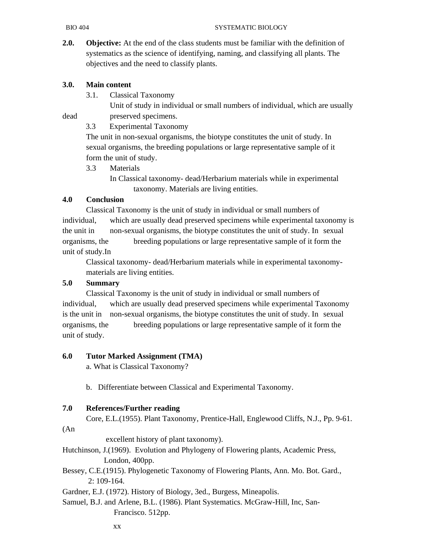**2.0. Objective:** At the end of the class students must be familiar with the definition of systematics as the science of identifying, naming, and classifying all plants. The objectives and the need to classify plants.

#### **3.0. Main content**

3.1. Classical Taxonomy

 Unit of study in individual or small numbers of individual, which are usually dead preserved specimens.

3.3 Experimental Taxonomy

 The unit in non-sexual organisms, the biotype constitutes the unit of study. In sexual organisms, the breeding populations or large representative sample of it form the unit of study.

3.3 Materials

 In Classical taxonomy- dead/Herbarium materials while in experimental taxonomy. Materials are living entities.

#### **4.0 Conclusion**

 Classical Taxonomy is the unit of study in individual or small numbers of individual, which are usually dead preserved specimens while experimental taxonomy is the unit in non-sexual organisms, the biotype constitutes the unit of study. In sexual organisms, the breeding populations or large representative sample of it form the unit of study.In

 Classical taxonomy- dead/Herbarium materials while in experimental taxonomy materials are living entities.

### **5.0 Summary**

 Classical Taxonomy is the unit of study in individual or small numbers of individual, which are usually dead preserved specimens while experimental Taxonomy is the unit in non-sexual organisms, the biotype constitutes the unit of study. In sexual organisms, the breeding populations or large representative sample of it form the unit of study.

#### **6.0 Tutor Marked Assignment (TMA)**

a. What is Classical Taxonomy?

b. Differentiate between Classical and Experimental Taxonomy.

#### **7.0 References/Further reading**

Core, E.L.(1955). Plant Taxonomy, Prentice-Hall, Englewood Cliffs, N.J., Pp. 9-61.

#### (An

excellent history of plant taxonomy).

Hutchinson, J.(1969). Evolution and Phylogeny of Flowering plants, Academic Press, London, 400pp.

Bessey, C.E.(1915). Phylogenetic Taxonomy of Flowering Plants, Ann. Mo. Bot. Gard., 2: 109-164.

Gardner, E.J. (1972). History of Biology, 3ed., Burgess, Mineapolis.

Samuel, B.J. and Arlene, B.L. (1986). Plant Systematics. McGraw-Hill, Inc, San- Francisco. 512pp.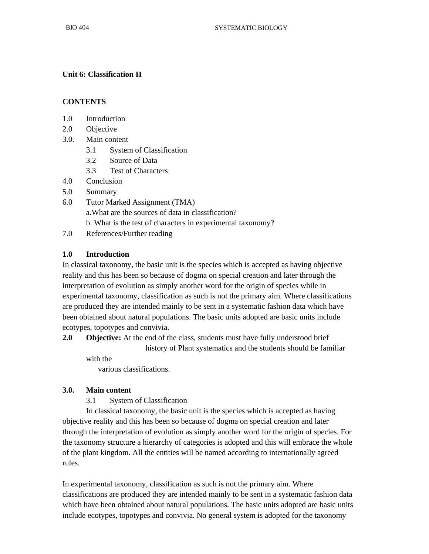## **Unit 6: Classification II**

### **CONTENTS**

- 1.0 Introduction
- 2.0 Objective
- 3.0. Main content
	- 3.1 System of Classification
	- 3.2 Source of Data
	- 3.3 Test of Characters
- 4.0 Conclusion
- 5.0 Summary
- 6.0 Tutor Marked Assignment (TMA)

a.What are the sources of data in classification?

- b. What is the test of characters in experimental taxonomy?
- 7.0 References/Further reading

## **1.0 Introduction**

In classical taxonomy, the basic unit is the species which is accepted as having objective reality and this has been so because of dogma on special creation and later through the interpretation of evolution as simply another word for the origin of species while in experimental taxonomy, classification as such is not the primary aim. Where classifications are produced they are intended mainly to be sent in a systematic fashion data which have been obtained about natural populations. The basic units adopted are basic units include ecotypes, topotypes and convivia.

**2.0 Objective:** At the end of the class, students must have fully understood brief history of Plant systematics and the students should be familiar

with the various classifications.

#### **3.0. Main content**

3.1 System of Classification

 In classical taxonomy, the basic unit is the species which is accepted as having objective reality and this has been so because of dogma on special creation and later through the interpretation of evolution as simply another word for the origin of species. For the taxonomy structure a hierarchy of categories is adopted and this will embrace the whole of the plant kingdom. All the entities will be named according to internationally agreed rules.

In experimental taxonomy, classification as such is not the primary aim. Where classifications are produced they are intended mainly to be sent in a systematic fashion data which have been obtained about natural populations. The basic units adopted are basic units include ecotypes, topotypes and convivia. No general system is adopted for the taxonomy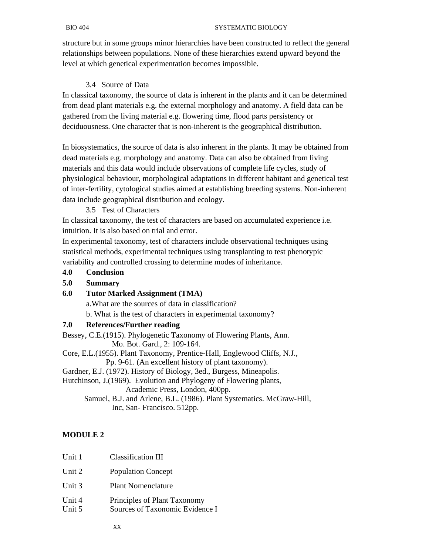structure but in some groups minor hierarchies have been constructed to reflect the general relationships between populations. None of these hierarchies extend upward beyond the level at which genetical experimentation becomes impossible.

### 3.4 Source of Data

In classical taxonomy, the source of data is inherent in the plants and it can be determined from dead plant materials e.g. the external morphology and anatomy. A field data can be gathered from the living material e.g. flowering time, flood parts persistency or deciduousness. One character that is non-inherent is the geographical distribution.

In biosystematics, the source of data is also inherent in the plants. It may be obtained from dead materials e.g. morphology and anatomy. Data can also be obtained from living materials and this data would include observations of complete life cycles, study of physiological behaviour, morphological adaptations in different habitant and genetical test of inter-fertility, cytological studies aimed at establishing breeding systems. Non-inherent data include geographical distribution and ecology.

3.5 Test of Characters

In classical taxonomy, the test of characters are based on accumulated experience i.e. intuition. It is also based on trial and error.

In experimental taxonomy, test of characters include observational techniques using statistical methods, experimental techniques using transplanting to test phenotypic variability and controlled crossing to determine modes of inheritance.

#### **4.0 Conclusion**

#### **5.0 Summary**

#### **6.0 Tutor Marked Assignment (TMA)**

a.What are the sources of data in classification?

b. What is the test of characters in experimental taxonomy?

#### **7.0 References/Further reading**

Bessey, C.E.(1915). Phylogenetic Taxonomy of Flowering Plants, Ann. Mo. Bot. Gard., 2: 109-164.

Core, E.L.(1955). Plant Taxonomy, Prentice-Hall, Englewood Cliffs, N.J.,

Pp. 9-61. (An excellent history of plant taxonomy).

Gardner, E.J. (1972). History of Biology, 3ed., Burgess, Mineapolis.

Hutchinson, J.(1969). Evolution and Phylogeny of Flowering plants, Academic Press, London, 400pp.

 Samuel, B.J. and Arlene, B.L. (1986). Plant Systematics. McGraw-Hill, Inc, San- Francisco. 512pp.

## **MODULE 2**

| Unit 1           | Classification III                                              |
|------------------|-----------------------------------------------------------------|
| Unit 2           | <b>Population Concept</b>                                       |
| Unit 3           | <b>Plant Nomenclature</b>                                       |
| Unit 4<br>Unit 5 | Principles of Plant Taxonomy<br>Sources of Taxonomic Evidence I |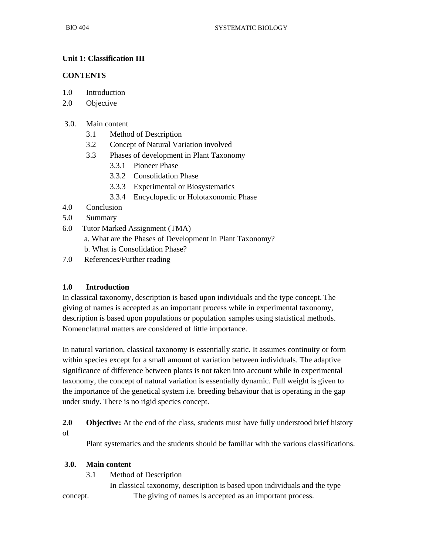## **Unit 1: Classification III**

#### **CONTENTS**

- 1.0 Introduction
- 2.0 Objective

#### 3.0. Main content

- 3.1 Method of Description
- 3.2 Concept of Natural Variation involved
- 3.3 Phases of development in Plant Taxonomy
	- 3.3.1 Pioneer Phase
	- 3.3.2 Consolidation Phase
	- 3.3.3 Experimental or Biosystematics
	- 3.3.4 Encyclopedic or Holotaxonomic Phase
- 4.0 Conclusion
- 5.0 Summary
- 6.0 Tutor Marked Assignment (TMA)
	- a. What are the Phases of Development in Plant Taxonomy?
	- b. What is Consolidation Phase?
- 7.0 References/Further reading

#### **1.0 Introduction**

In classical taxonomy, description is based upon individuals and the type concept. The giving of names is accepted as an important process while in experimental taxonomy, description is based upon populations or population samples using statistical methods. Nomenclatural matters are considered of little importance.

In natural variation, classical taxonomy is essentially static. It assumes continuity or form within species except for a small amount of variation between individuals. The adaptive significance of difference between plants is not taken into account while in experimental taxonomy, the concept of natural variation is essentially dynamic. Full weight is given to the importance of the genetical system i.e. breeding behaviour that is operating in the gap under study. There is no rigid species concept.

**2.0 Objective:** At the end of the class, students must have fully understood brief history of

Plant systematics and the students should be familiar with the various classifications.

#### **3.0. Main content**

3.1 Method of Description

 In classical taxonomy, description is based upon individuals and the type concept. The giving of names is accepted as an important process.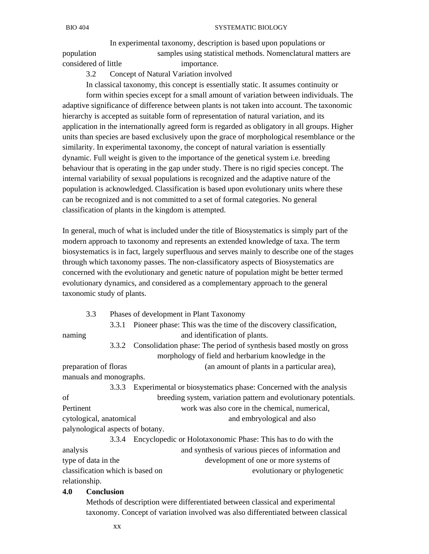In experimental taxonomy, description is based upon populations or population samples using statistical methods. Nomenclatural matters are considered of little importance.

3.2 Concept of Natural Variation involved

 In classical taxonomy, this concept is essentially static. It assumes continuity or form within species except for a small amount of variation between individuals. The adaptive significance of difference between plants is not taken into account. The taxonomic hierarchy is accepted as suitable form of representation of natural variation, and its application in the internationally agreed form is regarded as obligatory in all groups. Higher units than species are based exclusively upon the grace of morphological resemblance or the similarity. In experimental taxonomy, the concept of natural variation is essentially dynamic. Full weight is given to the importance of the genetical system i.e. breeding behaviour that is operating in the gap under study. There is no rigid species concept. The internal variability of sexual populations is recognized and the adaptive nature of the population is acknowledged. Classification is based upon evolutionary units where these can be recognized and is not committed to a set of formal categories. No general classification of plants in the kingdom is attempted.

In general, much of what is included under the title of Biosystematics is simply part of the modern approach to taxonomy and represents an extended knowledge of taxa. The term biosystematics is in fact, largely superfluous and serves mainly to describe one of the stages through which taxonomy passes. The non-classificatory aspects of Biosystematics are concerned with the evolutionary and genetic nature of population might be better termed evolutionary dynamics, and considered as a complementary approach to the general taxonomic study of plants.

3.3 Phases of development in Plant Taxonomy

 3.3.1 Pioneer phase: This was the time of the discovery classification, naming and identification of plants.

 3.3.2 Consolidation phase: The period of synthesis based mostly on gross morphology of field and herbarium knowledge in the preparation of floras (an amount of plants in a particular area),

manuals and monographs.

 3.3.3 Experimental or biosystematics phase: Concerned with the analysis of breeding system, variation pattern and evolutionary potentials. Pertinent work was also core in the chemical, numerical, cytological, anatomical and embryological and also palynological aspects of botany.

 3.3.4 Encyclopedic or Holotaxonomic Phase: This has to do with the analysis and synthesis of various pieces of information and type of data in the development of one or more systems of classification which is based on evolutionary or phylogenetic relationship.

#### **4.0 Conclusion**

 Methods of description were differentiated between classical and experimental taxonomy. Concept of variation involved was also differentiated between classical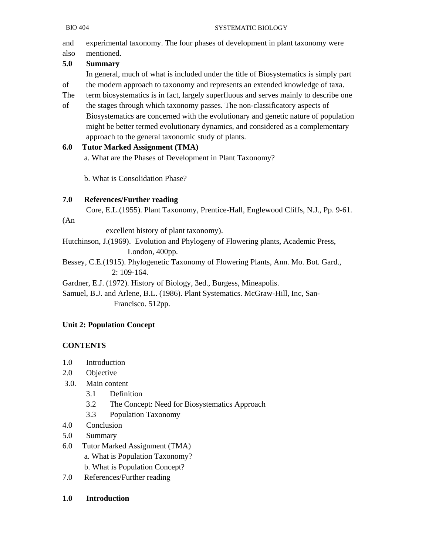and experimental taxonomy. The four phases of development in plant taxonomy were

#### also mentioned. **5.0 Summary**

In general, much of what is included under the title of Biosystematics is simply part

- of the modern approach to taxonomy and represents an extended knowledge of taxa.
- The term biosystematics is in fact, largely superfluous and serves mainly to describe one
- of the stages through which taxonomy passes. The non-classificatory aspects of Biosystematics are concerned with the evolutionary and genetic nature of population might be better termed evolutionary dynamics, and considered as a complementary approach to the general taxonomic study of plants.

# **6.0 Tutor Marked Assignment (TMA)**

a. What are the Phases of Development in Plant Taxonomy?

b. What is Consolidation Phase?

# **7.0 References/Further reading**

Core, E.L.(1955). Plant Taxonomy, Prentice-Hall, Englewood Cliffs, N.J., Pp. 9-61.

## (An

excellent history of plant taxonomy).

Hutchinson, J.(1969). Evolution and Phylogeny of Flowering plants, Academic Press, London, 400pp.

Bessey, C.E.(1915). Phylogenetic Taxonomy of Flowering Plants, Ann. Mo. Bot. Gard.,

2: 109-164.

Gardner, E.J. (1972). History of Biology, 3ed., Burgess, Mineapolis.

Samuel, B.J. and Arlene, B.L. (1986). Plant Systematics. McGraw-Hill, Inc, San- Francisco. 512pp.

# **Unit 2: Population Concept**

# **CONTENTS**

- 1.0 Introduction
- 2.0 Objective
- 3.0. Main content
	- 3.1 Definition
	- 3.2 The Concept: Need for Biosystematics Approach
	- 3.3 Population Taxonomy
- 4.0 Conclusion
- 5.0 Summary
- 6.0 Tutor Marked Assignment (TMA) a. What is Population Taxonomy? b. What is Population Concept?
- 7.0 References/Further reading
- **1.0 Introduction**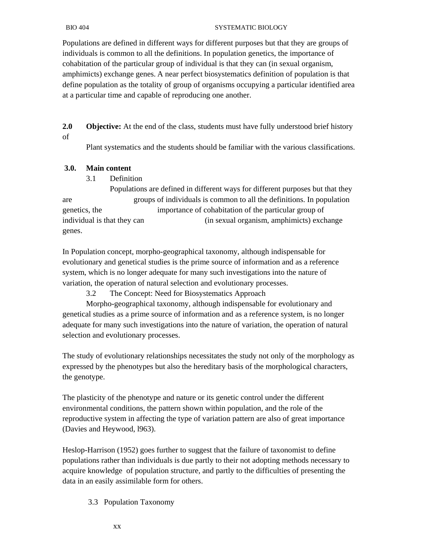#### BIO 404 SYSTEMATIC BIOLOGY

Populations are defined in different ways for different purposes but that they are groups of individuals is common to all the definitions. In population genetics, the importance of cohabitation of the particular group of individual is that they can (in sexual organism, amphimicts) exchange genes. A near perfect biosystematics definition of population is that define population as the totality of group of organisms occupying a particular identified area at a particular time and capable of reproducing one another.

**2.0 Objective:** At the end of the class, students must have fully understood brief history of

Plant systematics and the students should be familiar with the various classifications.

#### **3.0. Main content**

#### 3.1 Definition

 Populations are defined in different ways for different purposes but that they are groups of individuals is common to all the definitions. In population genetics, the importance of cohabitation of the particular group of individual is that they can (in sexual organism, amphimicts) exchange genes.

In Population concept, morpho-geographical taxonomy, although indispensable for evolutionary and genetical studies is the prime source of information and as a reference system, which is no longer adequate for many such investigations into the nature of variation, the operation of natural selection and evolutionary processes.

3.2 The Concept: Need for Biosystematics Approach

 Morpho-geographical taxonomy, although indispensable for evolutionary and genetical studies as a prime source of information and as a reference system, is no longer adequate for many such investigations into the nature of variation, the operation of natural selection and evolutionary processes.

The study of evolutionary relationships necessitates the study not only of the morphology as expressed by the phenotypes but also the hereditary basis of the morphological characters, the genotype.

The plasticity of the phenotype and nature or its genetic control under the different environmental conditions, the pattern shown within population, and the role of the reproductive system in affecting the type of variation pattern are also of great importance (Davies and Heywood, l963).

Heslop-Harrison (1952) goes further to suggest that the failure of taxonomist to define populations rather than individuals is due partly to their not adopting methods necessary to acquire knowledge of population structure, and partly to the difficulties of presenting the data in an easily assimilable form for others.

3.3 Population Taxonomy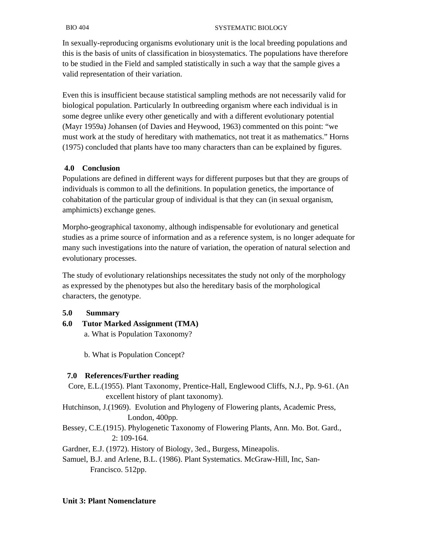#### BIO 404 SYSTEMATIC BIOLOGY

In sexually-reproducing organisms evolutionary unit is the local breeding populations and this is the basis of units of classification in biosystematics. The populations have therefore to be studied in the Field and sampled statistically in such a way that the sample gives a valid representation of their variation.

Even this is insufficient because statistical sampling methods are not necessarily valid for biological population. Particularly In outbreeding organism where each individual is in some degree unlike every other genetically and with a different evolutionary potential (Mayr 1959a) Johansen (of Davies and Heywood, 1963) commented on this point: "we must work at the study of hereditary with mathematics, not treat it as mathematics." Horns (1975) concluded that plants have too many characters than can be explained by figures.

#### **4.0 Conclusion**

Populations are defined in different ways for different purposes but that they are groups of individuals is common to all the definitions. In population genetics, the importance of cohabitation of the particular group of individual is that they can (in sexual organism, amphimicts) exchange genes.

Morpho-geographical taxonomy, although indispensable for evolutionary and genetical studies as a prime source of information and as a reference system, is no longer adequate for many such investigations into the nature of variation, the operation of natural selection and evolutionary processes.

The study of evolutionary relationships necessitates the study not only of the morphology as expressed by the phenotypes but also the hereditary basis of the morphological characters, the genotype.

**5.0 Summary** 

**6.0 Tutor Marked Assignment (TMA)**  a. What is Population Taxonomy?

b. What is Population Concept?

#### **7.0 References/Further reading**

 Core, E.L.(1955). Plant Taxonomy, Prentice-Hall, Englewood Cliffs, N.J., Pp. 9-61. (An excellent history of plant taxonomy).

Hutchinson, J.(1969). Evolution and Phylogeny of Flowering plants, Academic Press, London, 400pp.

Bessey, C.E.(1915). Phylogenetic Taxonomy of Flowering Plants, Ann. Mo. Bot. Gard., 2: 109-164.

Gardner, E.J. (1972). History of Biology, 3ed., Burgess, Mineapolis.

Samuel, B.J. and Arlene, B.L. (1986). Plant Systematics. McGraw-Hill, Inc, San- Francisco. 512pp.

#### **Unit 3: Plant Nomenclature**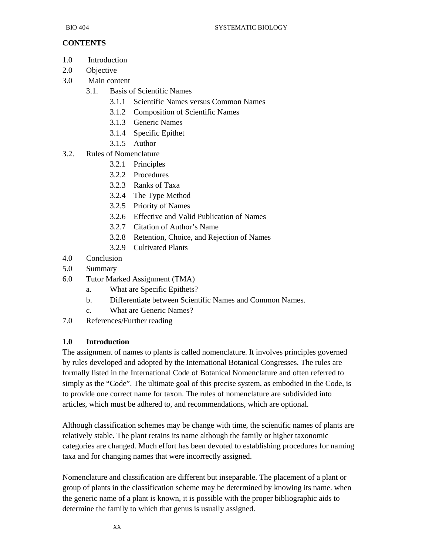## **CONTENTS**

- 1.0 Introduction
- 2.0 Objective
- 3.0 Main content
	- 3.1. Basis of Scientific Names
		- 3.1.1 Scientific Names versus Common Names
		- 3.1.2 Composition of Scientific Names
		- 3.1.3 Generic Names
		- 3.1.4 Specific Epithet
		- 3.1.5 Author
- 3.2. Rules of Nomenclature
	- 3.2.1 Principles
	- 3.2.2 Procedures
	- 3.2.3 Ranks of Taxa
	- 3.2.4 The Type Method
	- 3.2.5 Priority of Names
	- 3.2.6 Effective and Valid Publication of Names
	- 3.2.7 Citation of Author's Name
	- 3.2.8 Retention, Choice, and Rejection of Names
	- 3.2.9 Cultivated Plants
- 4.0 Conclusion
- 5.0 Summary
- 6.0 Tutor Marked Assignment (TMA)
	- a. What are Specific Epithets?
	- b. Differentiate between Scientific Names and Common Names.
	- c. What are Generic Names?
- 7.0 References/Further reading

#### **1.0 Introduction**

The assignment of names to plants is called nomenclature. It involves principles governed by rules developed and adopted by the International Botanical Congresses. The rules are formally listed in the International Code of Botanical Nomenclature and often referred to simply as the "Code". The ultimate goal of this precise system, as embodied in the Code, is to provide one correct name for taxon. The rules of nomenclature are subdivided into articles, which must be adhered to, and recommendations, which are optional.

Although classification schemes may be change with time, the scientific names of plants are relatively stable. The plant retains its name although the family or higher taxonomic categories are changed. Much effort has been devoted to establishing procedures for naming taxa and for changing names that were incorrectly assigned.

Nomenclature and classification are different but inseparable. The placement of a plant or group of plants in the classification scheme may be determined by knowing its name. when the generic name of a plant is known, it is possible with the proper bibliographic aids to determine the family to which that genus is usually assigned.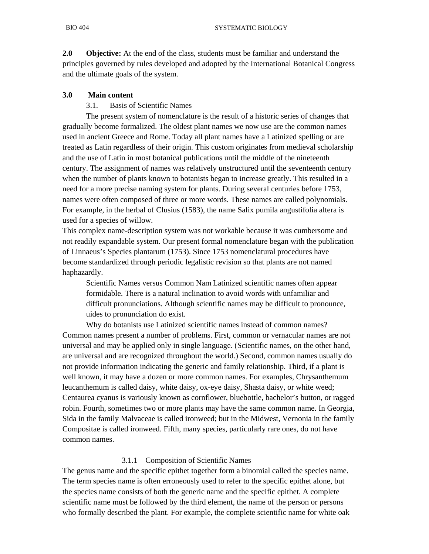**2.0 Objective:** At the end of the class, students must be familiar and understand the principles governed by rules developed and adopted by the International Botanical Congress and the ultimate goals of the system.

#### **3.0 Main content**

#### 3.1. Basis of Scientific Names

 The present system of nomenclature is the result of a historic series of changes that gradually become formalized. The oldest plant names we now use are the common names used in ancient Greece and Rome. Today all plant names have a Latinized spelling or are treated as Latin regardless of their origin. This custom originates from medieval scholarship and the use of Latin in most botanical publications until the middle of the nineteenth century. The assignment of names was relatively unstructured until the seventeenth century when the number of plants known to botanists began to increase greatly. This resulted in a need for a more precise naming system for plants. During several centuries before 1753, names were often composed of three or more words. These names are called polynomials. For example, in the herbal of Clusius (1583), the name Salix pumila angustifolia altera is used for a species of willow.

This complex name-description system was not workable because it was cumbersome and not readily expandable system. Our present formal nomenclature began with the publication of Linnaeus's Species plantarum (1753). Since 1753 nomenclatural procedures have become standardized through periodic legalistic revision so that plants are not named haphazardly.

 Scientific Names versus Common Nam Latinized scientific names often appear formidable. There is a natural inclination to avoid words with unfamiliar and difficult pronunciations. Although scientific names may be difficult to pronounce, uides to pronunciation do exist.

 Why do botanists use Latinized scientific names instead of common names? Common names present a number of problems. First, common or vernacular names are not universal and may be applied only in single language. (Scientific names, on the other hand, are universal and are recognized throughout the world.) Second, common names usually do not provide information indicating the generic and family relationship. Third, if a plant is well known, it may have a dozen or more common names. For examples, Chrysanthemum leucanthemum is called daisy, white daisy, ox-eye daisy, Shasta daisy, or white weed; Centaurea cyanus is variously known as cornflower, bluebottle, bachelor's button, or ragged robin. Fourth, sometimes two or more plants may have the same common name. In Georgia, Sida in the family Malvaceae is called ironweed; but in the Midwest, Vernonia in the family Compositae is called ironweed. Fifth, many species, particularly rare ones, do not have common names.

#### 3.1.1 Composition of Scientific Names

The genus name and the specific epithet together form a binomial called the species name. The term species name is often erroneously used to refer to the specific epithet alone, but the species name consists of both the generic name and the specific epithet. A complete scientific name must be followed by the third element, the name of the person or persons who formally described the plant. For example, the complete scientific name for white oak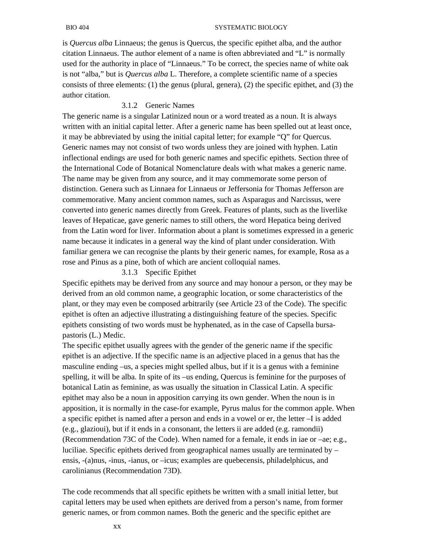#### BIO 404 SYSTEMATIC BIOLOGY

is *Quercus alba* Linnaeus; the genus is Quercus, the specific epithet alba, and the author citation Linnaeus. The author element of a name is often abbreviated and "L" is normally used for the authority in place of "Linnaeus." To be correct, the species name of white oak is not "alba," but is *Quercus alba* L. Therefore, a complete scientific name of a species consists of three elements: (1) the genus (plural, genera), (2) the specific epithet, and (3) the author citation.

#### 3.1.2 Generic Names

The generic name is a singular Latinized noun or a word treated as a noun. It is always written with an initial capital letter. After a generic name has been spelled out at least once, it may be abbreviated by using the initial capital letter; for example "Q" for Quercus. Generic names may not consist of two words unless they are joined with hyphen. Latin inflectional endings are used for both generic names and specific epithets. Section three of the International Code of Botanical Nomenclature deals with what makes a generic name. The name may be given from any source, and it may commemorate some person of distinction. Genera such as Linnaea for Linnaeus or Jeffersonia for Thomas Jefferson are commemorative. Many ancient common names, such as Asparagus and Narcissus, were converted into generic names directly from Greek. Features of plants, such as the liverlike leaves of Hepaticae, gave generic names to still others, the word Hepatica being derived from the Latin word for liver. Information about a plant is sometimes expressed in a generic name because it indicates in a general way the kind of plant under consideration. With familiar genera we can recognise the plants by their generic names, for example, Rosa as a rose and Pinus as a pine, both of which are ancient colloquial names.

#### 3.1.3 Specific Epithet

Specific epithets may be derived from any source and may honour a person, or they may be derived from an old common name, a geographic location, or some characteristics of the plant, or they may even be composed arbitrarily (see Article 23 of the Code). The specific epithet is often an adjective illustrating a distinguishing feature of the species. Specific epithets consisting of two words must be hyphenated, as in the case of Capsella bursapastoris (L.) Medic.

The specific epithet usually agrees with the gender of the generic name if the specific epithet is an adjective. If the specific name is an adjective placed in a genus that has the masculine ending –us, a species might spelled albus, but if it is a genus with a feminine spelling, it will be alba. In spite of its –us ending, Quercus is feminine for the purposes of botanical Latin as feminine, as was usually the situation in Classical Latin. A specific epithet may also be a noun in apposition carrying its own gender. When the noun is in apposition, it is normally in the case-for example, Pyrus malus for the common apple. When a specific epithet is named after a person and ends in a vowel or er, the letter –I is added (e.g., glazioui), but if it ends in a consonant, the letters ii are added (e.g. ramondii) (Recommendation 73C of the Code). When named for a female, it ends in iae or –ae; e.g., luciliae. Specific epithets derived from geographical names usually are terminated by – ensis, -(a)nus, -inus, -ianus, or –icus; examples are quebecensis, philadelphicus, and carolinianus (Recommendation 73D).

The code recommends that all specific epithets be written with a small initial letter, but capital letters may be used when epithets are derived from a person's name, from former generic names, or from common names. Both the generic and the specific epithet are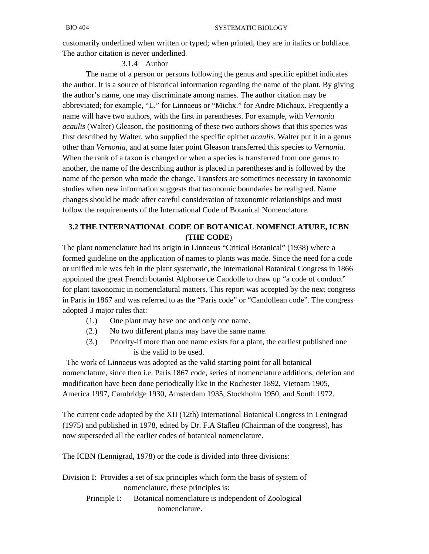customarily underlined when written or typed; when printed, they are in italics or boldface. The author citation is never underlined.

#### 3.1.4 Author

 The name of a person or persons following the genus and specific epithet indicates the author. It is a source of historical information regarding the name of the plant. By giving the author's name, one may discriminate among names. The author citation may be abbreviated; for example, "L." for Linnaeus or "Michx." for Andre Michaux. Frequently a name will have two authors, with the first in parentheses. For example, with *Vernonia acaulis* (Walter) Gleason, the positioning of these two authors shows that this species was first described by Walter, who supplied the specific epithet *acaulis*. Walter put it in a genus other than *Vernonia*, and at some later point Gleason transferred this species to *Vernonia*. When the rank of a taxon is changed or when a species is transferred from one genus to another, the name of the describing author is placed in parentheses and is followed by the name of the person who made the change. Transfers are sometimes necessary in taxonomic studies when new information suggests that taxonomic boundaries be realigned. Name changes should be made after careful consideration of taxonomic relationships and must follow the requirements of the International Code of Botanical Nomenclature.

## **3.2 THE INTERNATIONAL CODE OF BOTANICAL NOMENCLATURE, ICBN (THE CODE**)

The plant nomenclature had its origin in Linnaeus "Critical Botanical" (1938) where a formed guideline on the application of names to plants was made. Since the need for a code or unified rule was felt in the plant systematic, the International Botanical Congress in 1866 appointed the great French botanist Alphorse de Candolle to draw up "a code of conduct" for plant taxonomic in nomenclatural matters. This report was accepted by the next congress in Paris in 1867 and was referred to as the "Paris code" or "Candollean code". The congress adopted 3 major rules that:

- (1.) One plant may have one and only one name.
- (2.) No two different plants may have the same name.
- (3.) Priority-if more than one name exists for a plant, the earliest published one is the valid to be used.

 The work of Linnaeus was adopted as the valid starting point for all botanical nomenclature, since then i.e. Paris 1867 code, series of nomenclature additions, deletion and modification have been done periodically like in the Rochester 1892, Vietnam 1905, America 1997, Cambridge 1930, Amsterdam 1935, Stockholm 1950, and South 1972.

The current code adopted by the XII (12th) International Botanical Congress in Leningrad (1975) and published in 1978, edited by Dr. F.A Stafleu (Chairman of the congress), has now superseded all the earlier codes of botanical nomenclature.

The ICBN (Lennigrad, 1978) or the code is divided into three divisions:

Division I: Provides a set of six principles which form the basis of system of nomenclature, these principles is:

 Principle I: Botanical nomenclature is independent of Zoological nomenclature.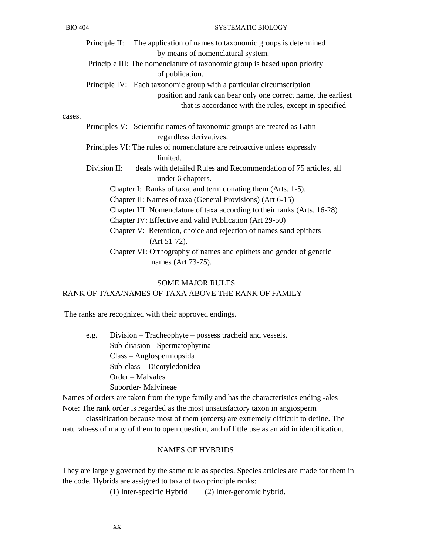|        |                                                                          | Principle II: The application of names to taxonomic groups is determined  |  |
|--------|--------------------------------------------------------------------------|---------------------------------------------------------------------------|--|
|        |                                                                          | by means of nomenclatural system.                                         |  |
|        |                                                                          | Principle III: The nomenclature of taxonomic group is based upon priority |  |
|        |                                                                          | of publication.                                                           |  |
|        |                                                                          | Principle IV: Each taxonomic group with a particular circumscription      |  |
|        |                                                                          | position and rank can bear only one correct name, the earliest            |  |
|        |                                                                          | that is accordance with the rules, except in specified                    |  |
| cases. |                                                                          |                                                                           |  |
|        |                                                                          | Principles V: Scientific names of taxonomic groups are treated as Latin   |  |
|        |                                                                          | regardless derivatives.                                                   |  |
|        |                                                                          | Principles VI: The rules of nomenclature are retroactive unless expressly |  |
|        |                                                                          | limited.                                                                  |  |
|        | Division II:                                                             | deals with detailed Rules and Recommendation of 75 articles, all          |  |
|        |                                                                          | under 6 chapters.                                                         |  |
|        |                                                                          | Chapter I: Ranks of taxa, and term donating them (Arts. 1-5).             |  |
|        | Chapter II: Names of taxa (General Provisions) (Art 6-15)                |                                                                           |  |
|        | Chapter III: Nomenclature of taxa according to their ranks (Arts. 16-28) |                                                                           |  |
|        | Chapter IV: Effective and valid Publication (Art 29-50)                  |                                                                           |  |
|        |                                                                          | Chapter V: Retention, choice and rejection of names sand epithets         |  |
|        |                                                                          | $(Art 51-72).$                                                            |  |
|        |                                                                          | Chapter VI: Orthography of names and epithets and gender of generic       |  |
|        |                                                                          | names (Art 73-75).                                                        |  |
|        |                                                                          |                                                                           |  |

SOME MAJOR RULES

### RANK OF TAXA/NAMES OF TAXA ABOVE THE RANK OF FAMILY

The ranks are recognized with their approved endings.

 e.g. Division – Tracheophyte – possess tracheid and vessels. Sub-division - Spermatophytina Class – Anglospermopsida Sub-class – Dicotyledonidea Order – Malvales Suborder- Malvineae

Names of orders are taken from the type family and has the characteristics ending -ales Note: The rank order is regarded as the most unsatisfactory taxon in angiosperm

 classification because most of them (orders) are extremely difficult to define. The naturalness of many of them to open question, and of little use as an aid in identification.

#### NAMES OF HYBRIDS

They are largely governed by the same rule as species. Species articles are made for them in the code. Hybrids are assigned to taxa of two principle ranks:

(1) Inter-specific Hybrid (2) Inter-genomic hybrid.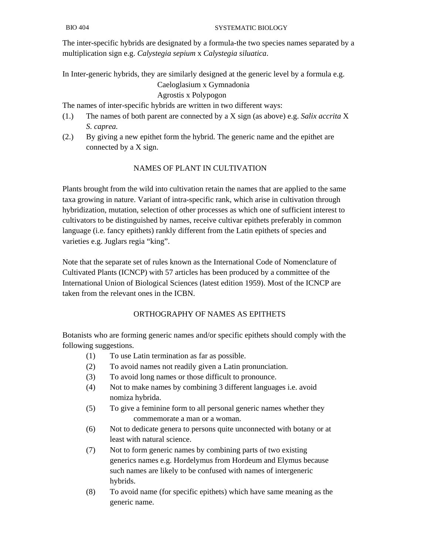The inter-specific hybrids are designated by a formula-the two species names separated by a multiplication sign e.g. *Calystegia sepium* x *Calystegia siluatica*.

In Inter-generic hybrids, they are similarly designed at the generic level by a formula e.g.

# Caeloglasium x Gymnadonia

# Agrostis x Polypogon

The names of inter-specific hybrids are written in two different ways:

- (1.) The names of both parent are connected by a X sign (as above) e.g. *Salix accrita* X *S. caprea.*
- (2.) By giving a new epithet form the hybrid. The generic name and the epithet are connected by a X sign.

# NAMES OF PLANT IN CULTIVATION

Plants brought from the wild into cultivation retain the names that are applied to the same taxa growing in nature. Variant of intra-specific rank, which arise in cultivation through hybridization, mutation, selection of other processes as which one of sufficient interest to cultivators to be distinguished by names, receive cultivar epithets preferably in common language (i.e. fancy epithets) rankly different from the Latin epithets of species and varieties e.g. Juglars regia "king".

Note that the separate set of rules known as the International Code of Nomenclature of Cultivated Plants (ICNCP) with 57 articles has been produced by a committee of the International Union of Biological Sciences (latest edition 1959). Most of the ICNCP are taken from the relevant ones in the ICBN.

# ORTHOGRAPHY OF NAMES AS EPITHETS

Botanists who are forming generic names and/or specific epithets should comply with the following suggestions.

- (1) To use Latin termination as far as possible.
- (2) To avoid names not readily given a Latin pronunciation.
- (3) To avoid long names or those difficult to pronounce.
- (4) Not to make names by combining 3 different languages i.e. avoid nomiza hybrida.
- (5) To give a feminine form to all personal generic names whether they commemorate a man or a woman.
- (6) Not to dedicate genera to persons quite unconnected with botany or at least with natural science.
- (7) Not to form generic names by combining parts of two existing generics names e.g. Hordelymus from Hordeum and Elymus because such names are likely to be confused with names of intergeneric hybrids.
- (8) To avoid name (for specific epithets) which have same meaning as the generic name.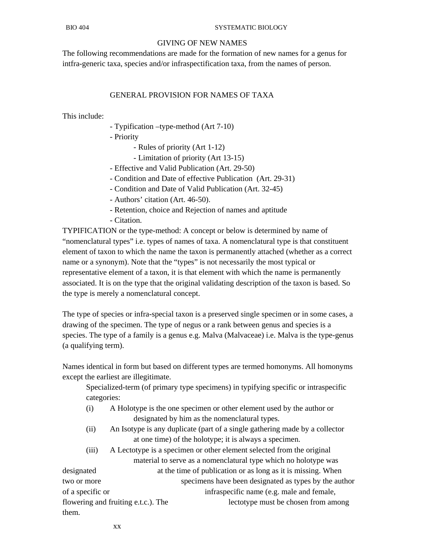### GIVING OF NEW NAMES

The following recommendations are made for the formation of new names for a genus for intfra-generic taxa, species and/or infraspectification taxa, from the names of person.

## GENERAL PROVISION FOR NAMES OF TAXA

This include:

- Typification –type-method (Art 7-10)
- Priority
	- Rules of priority (Art 1-12)
	- Limitation of priority (Art 13-15)
- Effective and Valid Publication (Art. 29-50)
- Condition and Date of effective Publication (Art. 29-31)
- Condition and Date of Valid Publication (Art. 32-45)
- Authors' citation (Art. 46-50).
- Retention, choice and Rejection of names and aptitude
- Citation.

TYPIFICATION or the type-method: A concept or below is determined by name of "nomenclatural types" i.e. types of names of taxa. A nomenclatural type is that constituent element of taxon to which the name the taxon is permanently attached (whether as a correct name or a synonym). Note that the "types" is not necessarily the most typical or representative element of a taxon, it is that element with which the name is permanently associated. It is on the type that the original validating description of the taxon is based. So the type is merely a nomenclatural concept.

The type of species or infra-special taxon is a preserved single specimen or in some cases, a drawing of the specimen. The type of negus or a rank between genus and species is a species. The type of a family is a genus e.g. Malva (Malvaceae) i.e. Malva is the type-genus (a qualifying term).

Names identical in form but based on different types are termed homonyms. All homonyms except the earliest are illegitimate.

 Specialized-term (of primary type specimens) in typifying specific or intraspecific categories:

- (i) A Holotype is the one specimen or other element used by the author or designated by him as the nomenclatural types.
- (ii) An Isotype is any duplicate (part of a single gathering made by a collector at one time) of the holotype; it is always a specimen.
- (iii) A Lectotype is a specimen or other element selected from the original material to serve as a nomenclatural type which no holotype was

designated at the time of publication or as long as it is missing. When two or more specimens have been designated as types by the author of a specific or infraspecific name (e.g. male and female, flowering and fruiting e.t.c.). The lectotype must be chosen from among them.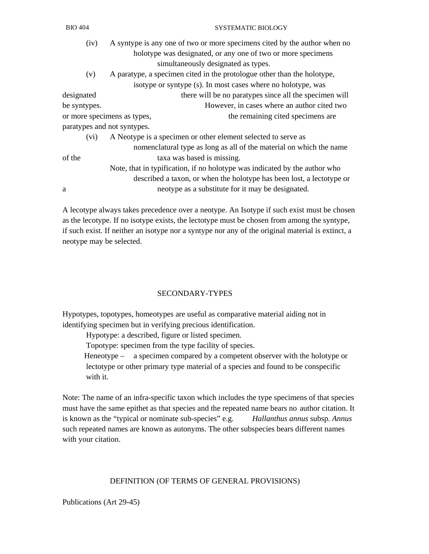| (iv)                        | A syntype is any one of two or more specimens cited by the author when no  |
|-----------------------------|----------------------------------------------------------------------------|
|                             | holotype was designated, or any one of two or more specimens               |
|                             | simultaneously designated as types.                                        |
| (v)                         | A paratype, a specimen cited in the protologue other than the holotype,    |
|                             | isotype or syntype (s). In most cases where no holotype, was               |
| designated                  | there will be no paratypes since all the specimen will                     |
| be syntypes.                | However, in cases where an author cited two                                |
|                             | the remaining cited specimens are<br>or more specimens as types,           |
| paratypes and not syntypes. |                                                                            |
| (vi)                        | A Neotype is a specimen or other element selected to serve as              |
|                             | nomenclatural type as long as all of the material on which the name        |
| of the                      | taxa was based is missing.                                                 |
|                             | Note, that in typification, if no holotype was indicated by the author who |
|                             | described a taxon, or when the holotype has been lost, a lectotype or      |
| a                           | neotype as a substitute for it may be designated.                          |
|                             |                                                                            |

A lecotype always takes precedence over a neotype. An Isotype if such exist must be chosen as the lecotype. If no isotype exists, the lectotype must be chosen from among the syntype, if such exist. If neither an isotype nor a syntype nor any of the original material is extinct, a neotype may be selected.

### SECONDARY-TYPES

Hypotypes, topotypes, homeotypes are useful as comparative material aiding not in identifying specimen but in verifying precious identification.

Hypotype: a described, figure or listed specimen.

Topotype: specimen from the type facility of species.

 Heneotype – a specimen compared by a competent observer with the holotype or lectotype or other primary type material of a species and found to be conspecific with it.

Note: The name of an infra-specific taxon which includes the type specimens of that species must have the same epithet as that species and the repeated name bears no author citation. It is known as the "typical or nominate sub-species" e.g. *Hallanthus annus* subsp. *Annus* such repeated names are known as autonyms. The other subspecies bears different names with your citation.

## DEFINITION (OF TERMS OF GENERAL PROVISIONS)

Publications (Art 29-45)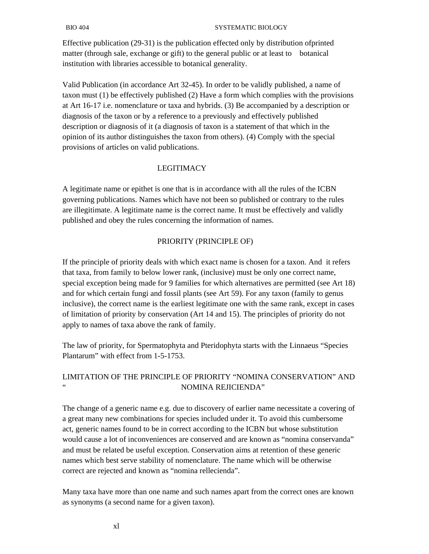Effective publication (29-31) is the publication effected only by distribution ofprinted matter (through sale, exchange or gift) to the general public or at least to botanical institution with libraries accessible to botanical generality.

Valid Publication (in accordance Art 32-45). In order to be validly published, a name of taxon must (1) be effectively published (2) Have a form which complies with the provisions at Art 16-17 i.e. nomenclature or taxa and hybrids. (3) Be accompanied by a description or diagnosis of the taxon or by a reference to a previously and effectively published description or diagnosis of it (a diagnosis of taxon is a statement of that which in the opinion of its author distinguishes the taxon from others). (4) Comply with the special provisions of articles on valid publications.

## LEGITIMACY

A legitimate name or epithet is one that is in accordance with all the rules of the ICBN governing publications. Names which have not been so published or contrary to the rules are illegitimate. A legitimate name is the correct name. It must be effectively and validly published and obey the rules concerning the information of names.

## PRIORITY (PRINCIPLE OF)

If the principle of priority deals with which exact name is chosen for a taxon. And it refers that taxa, from family to below lower rank, (inclusive) must be only one correct name, special exception being made for 9 families for which alternatives are permitted (see Art 18) and for which certain fungi and fossil plants (see Art 59). For any taxon (family to genus inclusive), the correct name is the earliest legitimate one with the same rank, except in cases of limitation of priority by conservation (Art 14 and 15). The principles of priority do not apply to names of taxa above the rank of family.

The law of priority, for Spermatophyta and Pteridophyta starts with the Linnaeus "Species Plantarum" with effect from 1-5-1753.

# LIMITATION OF THE PRINCIPLE OF PRIORITY "NOMINA CONSERVATION" AND " NOMINA REJICIENDA"

The change of a generic name e.g. due to discovery of earlier name necessitate a covering of a great many new combinations for species included under it. To avoid this cumbersome act, generic names found to be in correct according to the ICBN but whose substitution would cause a lot of inconveniences are conserved and are known as "nomina conservanda" and must be related be useful exception. Conservation aims at retention of these generic names which best serve stability of nomenclature. The name which will be otherwise correct are rejected and known as "nomina rellecienda".

Many taxa have more than one name and such names apart from the correct ones are known as synonyms (a second name for a given taxon).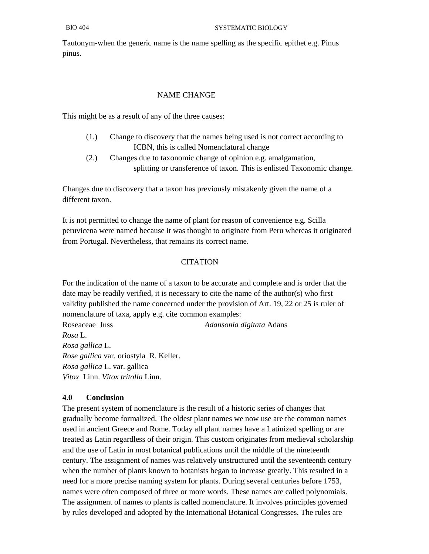Tautonym-when the generic name is the name spelling as the specific epithet e.g. Pinus pinus.

## NAME CHANGE

This might be as a result of any of the three causes:

- (1.) Change to discovery that the names being used is not correct according to ICBN, this is called Nomenclatural change
- (2.) Changes due to taxonomic change of opinion e.g. amalgamation, splitting or transference of taxon. This is enlisted Taxonomic change.

Changes due to discovery that a taxon has previously mistakenly given the name of a different taxon.

It is not permitted to change the name of plant for reason of convenience e.g. Scilla peruvicena were named because it was thought to originate from Peru whereas it originated from Portugal. Nevertheless, that remains its correct name.

# **CITATION**

For the indication of the name of a taxon to be accurate and complete and is order that the date may be readily verified, it is necessary to cite the name of the author(s) who first validity published the name concerned under the provision of Art. 19, 22 or 25 is ruler of nomenclature of taxa, apply e.g. cite common examples:

Roseaceae Juss *Adansonia digitata* Adans *Rosa* L. *Rosa gallica* L. *Rose gallica* var. oriostyla R. Keller. *Rosa gallica* L. var. gallica *Vitox* Linn. *Vitox tritolla* Linn.

## **4.0 Conclusion**

The present system of nomenclature is the result of a historic series of changes that gradually become formalized. The oldest plant names we now use are the common names used in ancient Greece and Rome. Today all plant names have a Latinized spelling or are treated as Latin regardless of their origin. This custom originates from medieval scholarship and the use of Latin in most botanical publications until the middle of the nineteenth century. The assignment of names was relatively unstructured until the seventeenth century when the number of plants known to botanists began to increase greatly. This resulted in a need for a more precise naming system for plants. During several centuries before 1753, names were often composed of three or more words. These names are called polynomials. The assignment of names to plants is called nomenclature. It involves principles governed by rules developed and adopted by the International Botanical Congresses. The rules are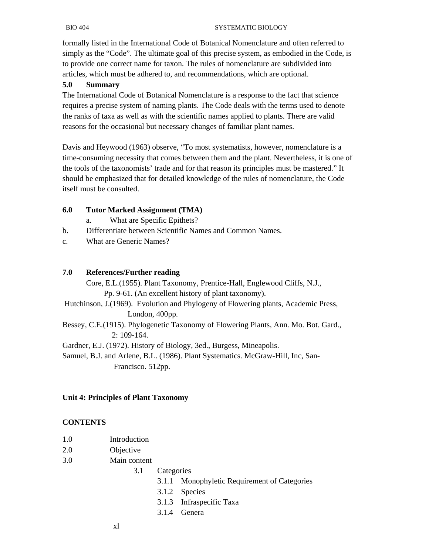formally listed in the International Code of Botanical Nomenclature and often referred to simply as the "Code". The ultimate goal of this precise system, as embodied in the Code, is to provide one correct name for taxon. The rules of nomenclature are subdivided into articles, which must be adhered to, and recommendations, which are optional.

## **5.0 Summary**

The International Code of Botanical Nomenclature is a response to the fact that science requires a precise system of naming plants. The Code deals with the terms used to denote the ranks of taxa as well as with the scientific names applied to plants. There are valid reasons for the occasional but necessary changes of familiar plant names.

Davis and Heywood (1963) observe, "To most systematists, however, nomenclature is a time-consuming necessity that comes between them and the plant. Nevertheless, it is one of the tools of the taxonomists' trade and for that reason its principles must be mastered." It should be emphasized that for detailed knowledge of the rules of nomenclature, the Code itself must be consulted.

## **6.0 Tutor Marked Assignment (TMA)**

- a. What are Specific Epithets?
- b. Differentiate between Scientific Names and Common Names.
- c. What are Generic Names?

#### **7.0 References/Further reading**

 Core, E.L.(1955). Plant Taxonomy, Prentice-Hall, Englewood Cliffs, N.J., Pp. 9-61. (An excellent history of plant taxonomy). Hutchinson, J.(1969). Evolution and Phylogeny of Flowering plants, Academic Press, London, 400pp. Bessey, C.E.(1915). Phylogenetic Taxonomy of Flowering Plants, Ann. Mo. Bot. Gard., 2: 109-164. Gardner, E.J. (1972). History of Biology, 3ed., Burgess, Mineapolis. Samuel, B.J. and Arlene, B.L. (1986). Plant Systematics. McGraw-Hill, Inc, San-

Francisco. 512pp.

#### **Unit 4: Principles of Plant Taxonomy**

#### **CONTENTS**

| 1.0 | Introduction |
|-----|--------------|
|     |              |

- 2.0 Objective
- 3.0 Main content
	- 3.1 Categories
		- 3.1.1 Monophyletic Requirement of Categories
		- 3.1.2 Species
		- 3.1.3 Infraspecific Taxa
		- 3.1.4 Genera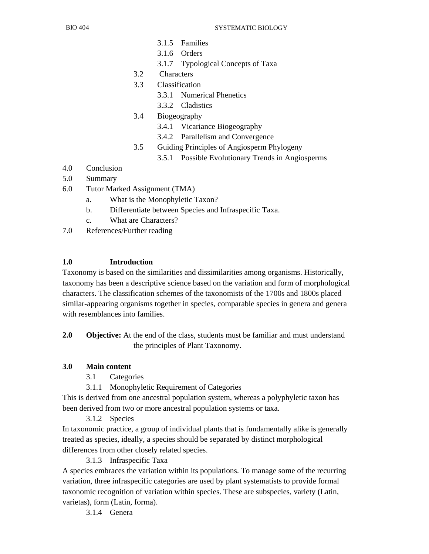- 3.1.5 Families
- 3.1.6 Orders
- 3.1.7 Typological Concepts of Taxa
- 3.2 Characters
- 3.3 Classification
	- 3.3.1 Numerical Phenetics
	- 3.3.2 Cladistics
- 3.4 Biogeography
	- 3.4.1 Vicariance Biogeography
	- 3.4.2 Parallelism and Convergence
- 3.5 Guiding Principles of Angiosperm Phylogeny
	- 3.5.1 Possible Evolutionary Trends in Angiosperms
- 4.0 Conclusion
- 5.0 Summary
- 6.0 Tutor Marked Assignment (TMA)
	- a. What is the Monophyletic Taxon?
	- b. Differentiate between Species and Infraspecific Taxa.
	- c. What are Characters?
- 7.0 References/Further reading

#### **1.0 Introduction**

Taxonomy is based on the similarities and dissimilarities among organisms. Historically, taxonomy has been a descriptive science based on the variation and form of morphological characters. The classification schemes of the taxonomists of the 1700s and 1800s placed similar-appearing organisms together in species, comparable species in genera and genera with resemblances into families.

**2.0 Objective:** At the end of the class, students must be familiar and must understand the principles of Plant Taxonomy.

#### **3.0 Main content**

- 3.1 Categories
- 3.1.1 Monophyletic Requirement of Categories

This is derived from one ancestral population system, whereas a polyphyletic taxon has been derived from two or more ancestral population systems or taxa.

3.1.2 Species

In taxonomic practice, a group of individual plants that is fundamentally alike is generally treated as species, ideally, a species should be separated by distinct morphological differences from other closely related species.

3.1.3 Infraspecific Taxa

A species embraces the variation within its populations. To manage some of the recurring variation, three infraspecific categories are used by plant systematists to provide formal taxonomic recognition of variation within species. These are subspecies, variety (Latin, varietas), form (Latin, forma).

3.1.4 Genera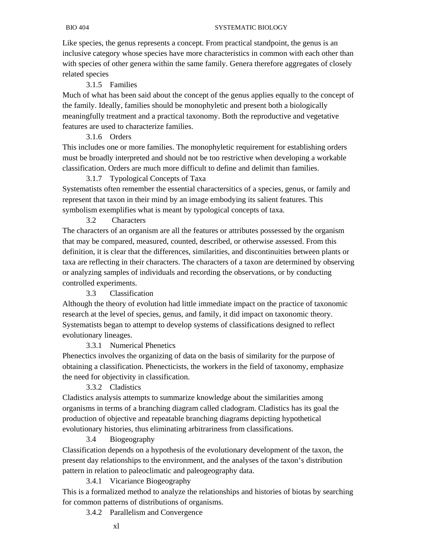Like species, the genus represents a concept. From practical standpoint, the genus is an inclusive category whose species have more characteristics in common with each other than with species of other genera within the same family. Genera therefore aggregates of closely related species

## 3.1.5 Families

Much of what has been said about the concept of the genus applies equally to the concept of the family. Ideally, families should be monophyletic and present both a biologically meaningfully treatment and a practical taxonomy. Both the reproductive and vegetative features are used to characterize families.

## 3.1.6 Orders

This includes one or more families. The monophyletic requirement for establishing orders must be broadly interpreted and should not be too restrictive when developing a workable classification. Orders are much more difficult to define and delimit than families.

## 3.1.7 Typological Concepts of Taxa

Systematists often remember the essential charactersitics of a species, genus, or family and represent that taxon in their mind by an image embodying its salient features. This symbolism exemplifies what is meant by typological concepts of taxa.

## 3.2 Characters

The characters of an organism are all the features or attributes possessed by the organism that may be compared, measured, counted, described, or otherwise assessed. From this definition, it is clear that the differences, similarities, and discontinuities between plants or taxa are reflecting in their characters. The characters of a taxon are determined by observing or analyzing samples of individuals and recording the observations, or by conducting controlled experiments.

### 3.3 Classification

Although the theory of evolution had little immediate impact on the practice of taxonomic research at the level of species, genus, and family, it did impact on taxonomic theory. Systematists began to attempt to develop systems of classifications designed to reflect evolutionary lineages.

## 3.3.1 Numerical Phenetics

Phenectics involves the organizing of data on the basis of similarity for the purpose of obtaining a classification. Phenecticists, the workers in the field of taxonomy, emphasize the need for objectivity in classification.

## 3.3.2 Cladistics

Cladistics analysis attempts to summarize knowledge about the similarities among organisms in terms of a branching diagram called cladogram. Cladistics has its goal the production of objective and repeatable branching diagrams depicting hypothetical evolutionary histories, thus eliminating arbitrariness from classifications.

## 3.4 Biogeography

Classification depends on a hypothesis of the evolutionary development of the taxon, the present day relationships to the environment, and the analyses of the taxon's distribution pattern in relation to paleoclimatic and paleogeography data.

## 3.4.1 Vicariance Biogeography

This is a formalized method to analyze the relationships and histories of biotas by searching for common patterns of distributions of organisms.

3.4.2 Parallelism and Convergence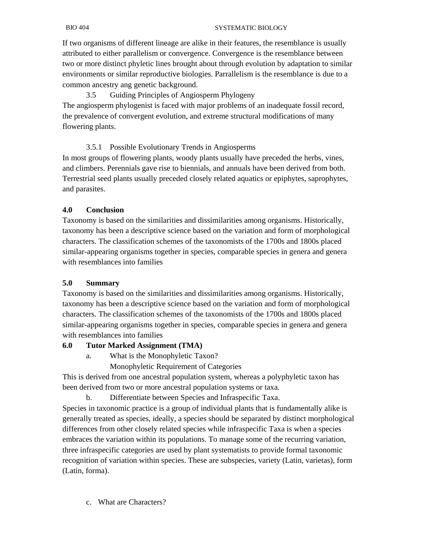If two organisms of different lineage are alike in their features, the resemblance is usually attributed to either parallelism or convergence. Convergence is the resemblance between two or more distinct phyletic lines brought about through evolution by adaptation to similar environments or similar reproductive biologies. Parrallelism is the resemblance is due to a common ancestry ang genetic background.

 3.5 Guiding Principles of Angiosperm Phylogeny The angiosperm phylogenist is faced with major problems of an inadequate fossil record, the prevalence of convergent evolution, and extreme structural modifications of many flowering plants.

## 3.5.1 Possible Evolutionary Trends in Angiosperms

In most groups of flowering plants, woody plants usually have preceded the herbs, vines, and climbers. Perennials gave rise to biennials, and annuals have been derived from both. Terrestrial seed plants usually preceded closely related aquatics or epiphytes, saprophytes, and parasites.

## **4.0 Conclusion**

Taxonomy is based on the similarities and dissimilarities among organisms. Historically, taxonomy has been a descriptive science based on the variation and form of morphological characters. The classification schemes of the taxonomists of the 1700s and 1800s placed similar-appearing organisms together in species, comparable species in genera and genera with resemblances into families

## **5.0 Summary**

Taxonomy is based on the similarities and dissimilarities among organisms. Historically, taxonomy has been a descriptive science based on the variation and form of morphological characters. The classification schemes of the taxonomists of the 1700s and 1800s placed similar-appearing organisms together in species, comparable species in genera and genera with resemblances into families

## **6.0 Tutor Marked Assignment (TMA)**

- a. What is the Monophyletic Taxon?
	- Monophyletic Requirement of Categories

This is derived from one ancestral population system, whereas a polyphyletic taxon has been derived from two or more ancestral population systems or taxa.

b. Differentiate between Species and Infraspecific Taxa.

Species in taxonomic practice is a group of individual plants that is fundamentally alike is generally treated as species, ideally, a species should be separated by distinct morphological differences from other closely related species while infraspecific Taxa is when a species embraces the variation within its populations. To manage some of the recurring variation, three infraspecific categories are used by plant systematists to provide formal taxonomic recognition of variation within species. These are subspecies, variety (Latin, varietas), form (Latin, forma).

c. What are Characters?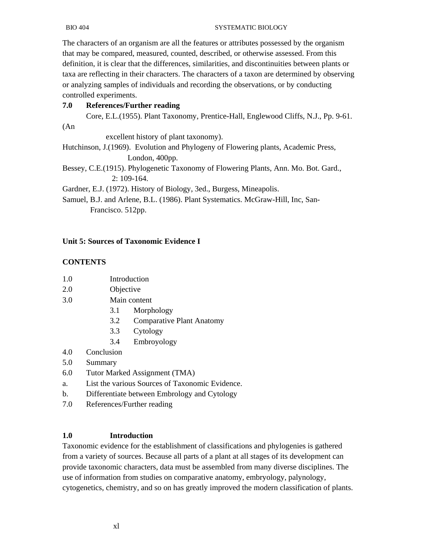The characters of an organism are all the features or attributes possessed by the organism that may be compared, measured, counted, described, or otherwise assessed. From this definition, it is clear that the differences, similarities, and discontinuities between plants or taxa are reflecting in their characters. The characters of a taxon are determined by observing or analyzing samples of individuals and recording the observations, or by conducting controlled experiments.

# **7.0 References/Further reading**

Core, E.L.(1955). Plant Taxonomy, Prentice-Hall, Englewood Cliffs, N.J., Pp. 9-61.

(An

excellent history of plant taxonomy).

Hutchinson, J.(1969). Evolution and Phylogeny of Flowering plants, Academic Press, London, 400pp.

Bessey, C.E.(1915). Phylogenetic Taxonomy of Flowering Plants, Ann. Mo. Bot. Gard., 2: 109-164.

Gardner, E.J. (1972). History of Biology, 3ed., Burgess, Mineapolis.

Samuel, B.J. and Arlene, B.L. (1986). Plant Systematics. McGraw-Hill, Inc, San- Francisco. 512pp.

# **Unit 5: Sources of Taxonomic Evidence I**

## **CONTENTS**

- 1.0 Introduction
- 2.0 Objective
- 3.0 Main content
	- 3.1 Morphology
	- 3.2 Comparative Plant Anatomy
	- 3.3 Cytology
	- 3.4 Embroyology
- 4.0 Conclusion
- 5.0 Summary
- 6.0 Tutor Marked Assignment (TMA)
- a. List the various Sources of Taxonomic Evidence.
- b. Differentiate between Embrology and Cytology
- 7.0 References/Further reading

## **1.0 Introduction**

Taxonomic evidence for the establishment of classifications and phylogenies is gathered from a variety of sources. Because all parts of a plant at all stages of its development can provide taxonomic characters, data must be assembled from many diverse disciplines. The use of information from studies on comparative anatomy, embryology, palynology, cytogenetics, chemistry, and so on has greatly improved the modern classification of plants.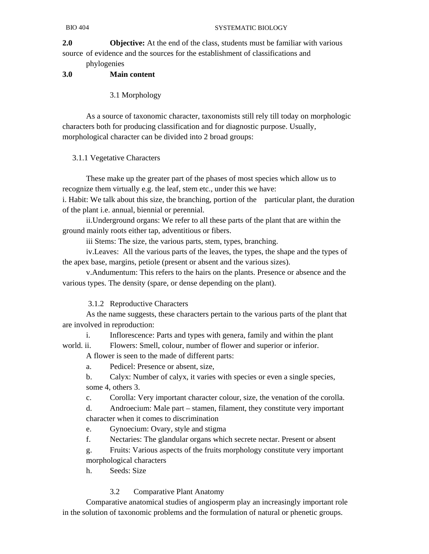**2.0 Objective:** At the end of the class, students must be familiar with various source of evidence and the sources for the establishment of classifications and

phylogenies

## **3.0 Main content**

3.1 Morphology

 As a source of taxonomic character, taxonomists still rely till today on morphologic characters both for producing classification and for diagnostic purpose. Usually, morphological character can be divided into 2 broad groups:

## 3.1.1 Vegetative Characters

 These make up the greater part of the phases of most species which allow us to recognize them virtually e.g. the leaf, stem etc., under this we have:

i. Habit: We talk about this size, the branching, portion of the particular plant, the duration of the plant i.e. annual, biennial or perennial.

 ii.Underground organs: We refer to all these parts of the plant that are within the ground mainly roots either tap, adventitious or fibers.

iii Stems: The size, the various parts, stem, types, branching.

 iv.Leaves: All the various parts of the leaves, the types, the shape and the types of the apex base, margins, petiole (present or absent and the various sizes).

 v.Andumentum: This refers to the hairs on the plants. Presence or absence and the various types. The density (spare, or dense depending on the plant).

## 3.1.2 Reproductive Characters

 As the name suggests, these characters pertain to the various parts of the plant that are involved in reproduction:

 i. Inflorescence: Parts and types with genera, family and within the plant world. ii. Flowers: Smell, colour, number of flower and superior or inferior.

A flower is seen to the made of different parts:

a. Pedicel: Presence or absent, size,

 b. Calyx: Number of calyx, it varies with species or even a single species, some 4, others 3.

c. Corolla: Very important character colour, size, the venation of the corolla.

 d. Androecium: Male part – stamen, filament, they constitute very important character when it comes to discrimination

- e. Gynoecium: Ovary, style and stigma
- f. Nectaries: The glandular organs which secrete nectar. Present or absent

 g. Fruits: Various aspects of the fruits morphology constitute very important morphological characters

h. Seeds: Size

## 3.2 Comparative Plant Anatomy

 Comparative anatomical studies of angiosperm play an increasingly important role in the solution of taxonomic problems and the formulation of natural or phenetic groups.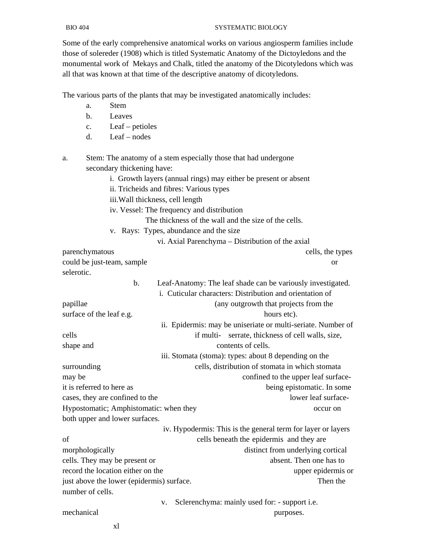Some of the early comprehensive anatomical works on various angiosperm families include those of solereder (1908) which is titled Systematic Anatomy of the Dictoyledons and the monumental work of Mekays and Chalk, titled the anatomy of the Dicotyledons which was all that was known at that time of the descriptive anatomy of dicotyledons.

The various parts of the plants that may be investigated anatomically includes:

- a. Stem
- b. Leaves
- c. Leaf petioles
- d. Leaf nodes

a. Stem: The anatomy of a stem especially those that had undergone secondary thickening have:

- i. Growth layers (annual rings) may either be present or absent
- ii. Tricheids and fibres: Various types
- iii.Wall thickness, cell length
- iv. Vessel: The frequency and distribution

The thickness of the wall and the size of the cells.

v. Rays: Types, abundance and the size

vi. Axial Parenchyma – Distribution of the axial

parenchymatous cells, the types could be just-team, sample or selerotic. b. Leaf-Anatomy: The leaf shade can be variously investigated. i. Cuticular characters: Distribution and orientation of papillae (any outgrowth that projects from the surface of the leaf e.g. hours etc). ii. Epidermis: may be uniseriate or multi-seriate. Number of cells if multi- serrate, thickness of cell walls, size, shape and contents of cells. iii. Stomata (stoma): types: about 8 depending on the surrounding cells, distribution of stomata in which stomata may be confined to the upper leaf surfaceit is referred to here as being epistomatic. In some cases, they are confined to the lower leaf surface-Hypostomatic; Amphistomatic: when they occur on both upper and lower surfaces. iv. Hypodermis: This is the general term for layer or layers of cells beneath the epidermis and they are morphologically distinct from underlying cortical cells. They may be present or absent. Then one has to record the location either on the upper epidermis or just above the lower (epidermis) surface. Then the number of cells. v. Sclerenchyma: mainly used for: - support i.e. mechanical purposes.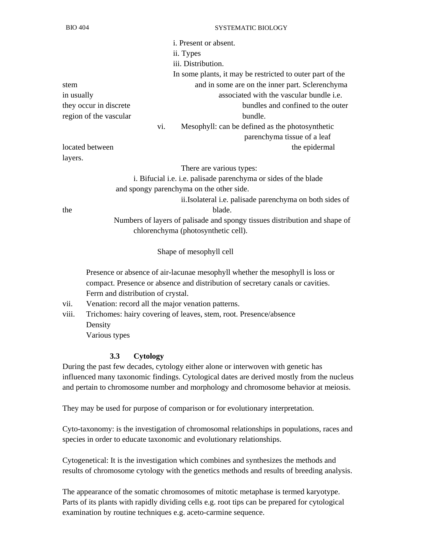|                        |     | <i>i</i> . Present or absent.                             |
|------------------------|-----|-----------------------------------------------------------|
|                        |     | ii. Types                                                 |
|                        |     | iii. Distribution.                                        |
|                        |     | In some plants, it may be restricted to outer part of the |
| stem                   |     | and in some are on the inner part. Sclerenchyma           |
| in usually             |     | associated with the vascular bundle <i>i.e.</i>           |
| they occur in discrete |     | bundles and confined to the outer                         |
| region of the vascular |     | bundle.                                                   |
|                        | vi. | Mesophyll: can be defined as the photosynthetic           |
|                        |     | parenchyma tissue of a leaf                               |
| located between        |     | the epidermal                                             |
| $\mathbf{1}$           |     |                                                           |

There are various types:

 i. Bifucial i.e. i.e. palisade parenchyma or sides of the blade and spongy parenchyma on the other side. ii.Isolateral i.e. palisade parenchyma on both sides of

layers.

the blade.

 Numbers of layers of palisade and spongy tissues distribution and shape of chlorenchyma (photosynthetic cell).

Shape of mesophyll cell

 Presence or absence of air-lacunae mesophyll whether the mesophyll is loss or compact. Presence or absence and distribution of secretary canals or cavities. Ferrn and distribution of crystal.

- vii. Venation: record all the major venation patterns.
- viii. Trichomes: hairy covering of leaves, stem, root. Presence/absence Density

Various types

#### **3.3 Cytology**

During the past few decades, cytology either alone or interwoven with genetic has influenced many taxonomic findings. Cytological dates are derived mostly from the nucleus and pertain to chromosome number and morphology and chromosome behavior at meiosis.

They may be used for purpose of comparison or for evolutionary interpretation.

Cyto-taxonomy: is the investigation of chromosomal relationships in populations, races and species in order to educate taxonomic and evolutionary relationships.

Cytogenetical: It is the investigation which combines and synthesizes the methods and results of chromosome cytology with the genetics methods and results of breeding analysis.

The appearance of the somatic chromosomes of mitotic metaphase is termed karyotype. Parts of its plants with rapidly dividing cells e.g. root tips can be prepared for cytological examination by routine techniques e.g. aceto-carmine sequence.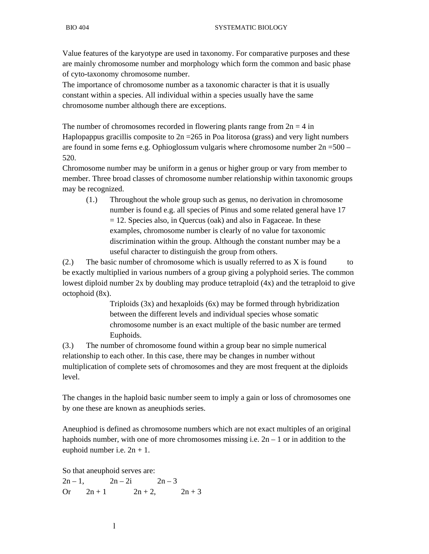Value features of the karyotype are used in taxonomy. For comparative purposes and these are mainly chromosome number and morphology which form the common and basic phase of cyto-taxonomy chromosome number.

The importance of chromosome number as a taxonomic character is that it is usually constant within a species. All individual within a species usually have the same chromosome number although there are exceptions.

The number of chromosomes recorded in flowering plants range from  $2n = 4$  in Haplopappus gracillis composite to  $2n = 265$  in Poa litorosa (grass) and very light numbers are found in some ferns e.g. Ophioglossum vulgaris where chromosome number 2n =500 – 520.

Chromosome number may be uniform in a genus or higher group or vary from member to member. Three broad classes of chromosome number relationship within taxonomic groups may be recognized.

 (1.) Throughout the whole group such as genus, no derivation in chromosome number is found e.g. all species of Pinus and some related general have 17  $= 12$ . Species also, in Quercus (oak) and also in Fagaceae. In these examples, chromosome number is clearly of no value for taxonomic discrimination within the group. Although the constant number may be a useful character to distinguish the group from others.

(2.) The basic number of chromosome which is usually referred to as X is found to be exactly multiplied in various numbers of a group giving a polyphoid series. The common lowest diploid number 2x by doubling may produce tetraploid (4x) and the tetraploid to give octophoid (8x).

> Triploids (3x) and hexaploids (6x) may be formed through hybridization between the different levels and individual species whose somatic chromosome number is an exact multiple of the basic number are termed Euphoids.

(3.) The number of chromosome found within a group bear no simple numerical relationship to each other. In this case, there may be changes in number without multiplication of complete sets of chromosomes and they are most frequent at the diploids level.

The changes in the haploid basic number seem to imply a gain or loss of chromosomes one by one these are known as aneuphiods series.

Aneuphiod is defined as chromosome numbers which are not exact multiples of an original haphoids number, with one of more chromosomes missing i.e.  $2n - 1$  or in addition to the euphoid number i.e.  $2n + 1$ .

So that aneuphoid serves are:

 $2n-1$ ,  $2n-2i$   $2n-3$ Or  $2n + 1$   $2n + 2$ ,  $2n + 3$ 

l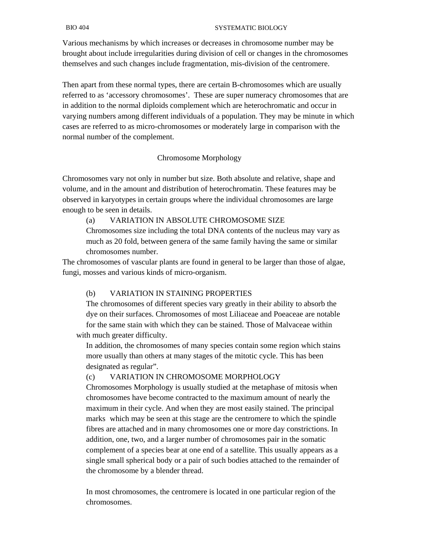Various mechanisms by which increases or decreases in chromosome number may be brought about include irregularities during division of cell or changes in the chromosomes themselves and such changes include fragmentation, mis-division of the centromere.

Then apart from these normal types, there are certain B-chromosomes which are usually referred to as 'accessory chromosomes'. These are super numeracy chromosomes that are in addition to the normal diploids complement which are heterochromatic and occur in varying numbers among different individuals of a population. They may be minute in which cases are referred to as micro-chromosomes or moderately large in comparison with the normal number of the complement.

#### Chromosome Morphology

Chromosomes vary not only in number but size. Both absolute and relative, shape and volume, and in the amount and distribution of heterochromatin. These features may be observed in karyotypes in certain groups where the individual chromosomes are large enough to be seen in details.

#### (a) VARIATION IN ABSOLUTE CHROMOSOME SIZE

 Chromosomes size including the total DNA contents of the nucleus may vary as much as 20 fold, between genera of the same family having the same or similar chromosomes number.

The chromosomes of vascular plants are found in general to be larger than those of algae, fungi, mosses and various kinds of micro-organism.

#### (b) VARIATION IN STAINING PROPERTIES

 The chromosomes of different species vary greatly in their ability to absorb the dye on their surfaces. Chromosomes of most Liliaceae and Poeaceae are notable for the same stain with which they can be stained. Those of Malvaceae within with much greater difficulty.

 In addition, the chromosomes of many species contain some region which stains more usually than others at many stages of the mitotic cycle. This has been designated as regular".

#### (c) VARIATION IN CHROMOSOME MORPHOLOGY

 Chromosomes Morphology is usually studied at the metaphase of mitosis when chromosomes have become contracted to the maximum amount of nearly the maximum in their cycle. And when they are most easily stained. The principal marks which may be seen at this stage are the centromere to which the spindle fibres are attached and in many chromosomes one or more day constrictions. In addition, one, two, and a larger number of chromosomes pair in the somatic complement of a species bear at one end of a satellite. This usually appears as a single small spherical body or a pair of such bodies attached to the remainder of the chromosome by a blender thread.

 In most chromosomes, the centromere is located in one particular region of the chromosomes.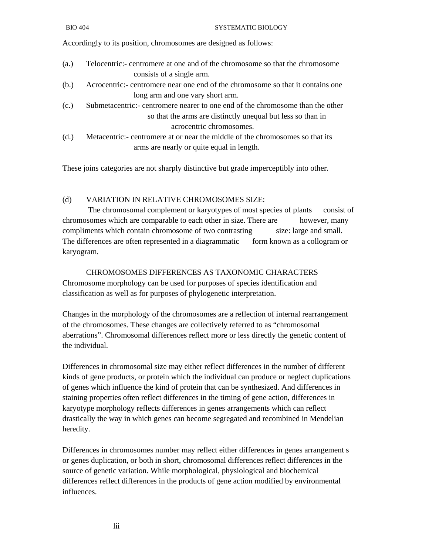Accordingly to its position, chromosomes are designed as follows:

- (a.) Telocentric:- centromere at one and of the chromosome so that the chromosome consists of a single arm.
- (b.) Acrocentric:- centromere near one end of the chromosome so that it contains one long arm and one vary short arm.
- (c.) Submetacentric:- centromere nearer to one end of the chromosome than the other so that the arms are distinctly unequal but less so than in acrocentric chromosomes.
- (d.) Metacentric:- centromere at or near the middle of the chromosomes so that its arms are nearly or quite equal in length.

These joins categories are not sharply distinctive but grade imperceptibly into other.

#### (d) VARIATION IN RELATIVE CHROMOSOMES SIZE:

 The chromosomal complement or karyotypes of most species of plants consist of chromosomes which are comparable to each other in size. There are however, many compliments which contain chromosome of two contrasting size: large and small. The differences are often represented in a diagrammatic form known as a collogram or karyogram.

 CHROMOSOMES DIFFERENCES AS TAXONOMIC CHARACTERS Chromosome morphology can be used for purposes of species identification and classification as well as for purposes of phylogenetic interpretation.

Changes in the morphology of the chromosomes are a reflection of internal rearrangement of the chromosomes. These changes are collectively referred to as "chromosomal aberrations". Chromosomal differences reflect more or less directly the genetic content of the individual.

Differences in chromosomal size may either reflect differences in the number of different kinds of gene products, or protein which the individual can produce or neglect duplications of genes which influence the kind of protein that can be synthesized. And differences in staining properties often reflect differences in the timing of gene action, differences in karyotype morphology reflects differences in genes arrangements which can reflect drastically the way in which genes can become segregated and recombined in Mendelian heredity.

Differences in chromosomes number may reflect either differences in genes arrangement s or genes duplication, or both in short, chromosomal differences reflect differences in the source of genetic variation. While morphological, physiological and biochemical differences reflect differences in the products of gene action modified by environmental influences.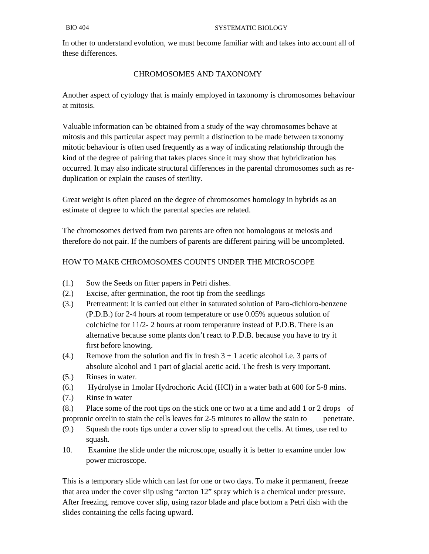In other to understand evolution, we must become familiar with and takes into account all of these differences.

## CHROMOSOMES AND TAXONOMY

Another aspect of cytology that is mainly employed in taxonomy is chromosomes behaviour at mitosis.

Valuable information can be obtained from a study of the way chromosomes behave at mitosis and this particular aspect may permit a distinction to be made between taxonomy mitotic behaviour is often used frequently as a way of indicating relationship through the kind of the degree of pairing that takes places since it may show that hybridization has occurred. It may also indicate structural differences in the parental chromosomes such as reduplication or explain the causes of sterility.

Great weight is often placed on the degree of chromosomes homology in hybrids as an estimate of degree to which the parental species are related.

The chromosomes derived from two parents are often not homologous at meiosis and therefore do not pair. If the numbers of parents are different pairing will be uncompleted.

# HOW TO MAKE CHROMOSOMES COUNTS UNDER THE MICROSCOPE

- (1.) Sow the Seeds on fitter papers in Petri dishes.
- (2.) Excise, after germination, the root tip from the seedlings
- (3.) Pretreatment: it is carried out either in saturated solution of Paro-dichloro-benzene (P.D.B.) for 2-4 hours at room temperature or use 0.05% aqueous solution of colchicine for 11/2- 2 hours at room temperature instead of P.D.B. There is an alternative because some plants don't react to P.D.B. because you have to try it first before knowing.
- (4.) Remove from the solution and fix in fresh  $3 + 1$  acetic alcohol i.e. 3 parts of absolute alcohol and 1 part of glacial acetic acid. The fresh is very important.
- (5.) Rinses in water.
- (6.) Hydrolyse in 1molar Hydrochoric Acid (HCl) in a water bath at 600 for 5-8 mins.
- (7.) Rinse in water
- (8.) Place some of the root tips on the stick one or two at a time and add 1 or 2 drops of propronic orcelin to stain the cells leaves for 2-5 minutes to allow the stain to penetrate.
- (9.) Squash the roots tips under a cover slip to spread out the cells. At times, use red to squash.
- 10. Examine the slide under the microscope, usually it is better to examine under low power microscope.

This is a temporary slide which can last for one or two days. To make it permanent, freeze that area under the cover slip using "arcton 12" spray which is a chemical under pressure. After freezing, remove cover slip, using razor blade and place bottom a Petri dish with the slides containing the cells facing upward.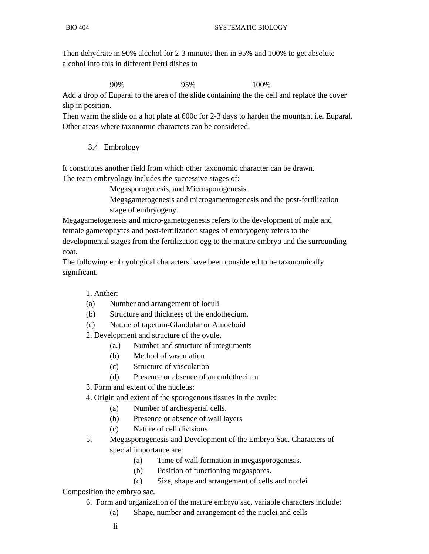Then dehydrate in 90% alcohol for 2-3 minutes then in 95% and 100% to get absolute alcohol into this in different Petri dishes to

90% 95% 100%

Add a drop of Euparal to the area of the slide containing the the cell and replace the cover slip in position.

Then warm the slide on a hot plate at 600c for 2-3 days to harden the mountant i.e. Euparal. Other areas where taxonomic characters can be considered.

3.4 Embrology

It constitutes another field from which other taxonomic character can be drawn. The team embryology includes the successive stages of:

Megasporogenesis, and Microsporogenesis.

 Megagametogenesis and microgamentogenesis and the post-fertilization stage of embryogeny.

Megagametogenesis and micro-gametogenesis refers to the development of male and female gametophytes and post-fertilization stages of embryogeny refers to the developmental stages from the fertilization egg to the mature embryo and the surrounding coat.

The following embryological characters have been considered to be taxonomically significant.

## 1. Anther:

- (a) Number and arrangement of loculi
- (b) Structure and thickness of the endothecium.
- (c) Nature of tapetum-Glandular or Amoeboid

2. Development and structure of the ovule.

- (a.) Number and structure of integuments
- (b) Method of vasculation
- (c) Structure of vasculation
- (d) Presence or absence of an endothecium
- 3. Form and extent of the nucleus:
- 4. Origin and extent of the sporogenous tissues in the ovule:
	- (a) Number of archesperial cells.
	- (b) Presence or absence of wall layers
	- (c) Nature of cell divisions
- 5. Megasporogenesis and Development of the Embryo Sac. Characters of special importance are:
	- (a) Time of wall formation in megasporogenesis.
	- (b) Position of functioning megaspores.
	- (c) Size, shape and arrangement of cells and nuclei

#### Composition the embryo sac.

- 6. Form and organization of the mature embryo sac, variable characters include:
	- (a) Shape, number and arrangement of the nuclei and cells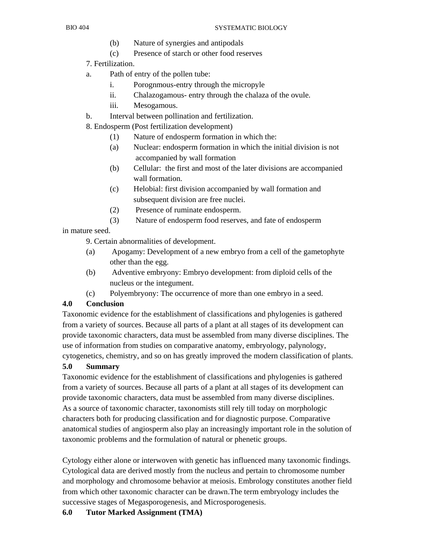- (b) Nature of synergies and antipodals
- (c) Presence of starch or other food reserves
- 7. Fertilization.
- a. Path of entry of the pollen tube:
	- i. Porognmous-entry through the micropyle
	- ii. Chalazogamous- entry through the chalaza of the ovule.
	- iii. Mesogamous.
- b. Interval between pollination and fertilization.
- 8. Endosperm (Post fertilization development)
	- (1) Nature of endosperm formation in which the:
	- (a) Nuclear: endosperm formation in which the initial division is not accompanied by wall formation
	- (b) Cellular: the first and most of the later divisions are accompanied wall formation.
	- (c) Helobial: first division accompanied by wall formation and subsequent division are free nuclei.
	- (2) Presence of ruminate endosperm.
	- (3) Nature of endosperm food reserves, and fate of endosperm

## in mature seed.

9. Certain abnormalities of development.

- (a) Apogamy: Development of a new embryo from a cell of the gametophyte other than the egg.
- (b) Adventive embryony: Embryo development: from diploid cells of the nucleus or the integument.
- (c) Polyembryony: The occurrence of more than one embryo in a seed.

# **4.0 Conclusion**

Taxonomic evidence for the establishment of classifications and phylogenies is gathered from a variety of sources. Because all parts of a plant at all stages of its development can provide taxonomic characters, data must be assembled from many diverse disciplines. The use of information from studies on comparative anatomy, embryology, palynology,

cytogenetics, chemistry, and so on has greatly improved the modern classification of plants. **5.0 Summary** 

Taxonomic evidence for the establishment of classifications and phylogenies is gathered from a variety of sources. Because all parts of a plant at all stages of its development can provide taxonomic characters, data must be assembled from many diverse disciplines. As a source of taxonomic character, taxonomists still rely till today on morphologic characters both for producing classification and for diagnostic purpose. Comparative anatomical studies of angiosperm also play an increasingly important role in the solution of taxonomic problems and the formulation of natural or phenetic groups.

Cytology either alone or interwoven with genetic has influenced many taxonomic findings. Cytological data are derived mostly from the nucleus and pertain to chromosome number and morphology and chromosome behavior at meiosis. Embrology constitutes another field from which other taxonomic character can be drawn.The term embryology includes the successive stages of Megasporogenesis, and Microsporogenesis.

## **6.0 Tutor Marked Assignment (TMA)**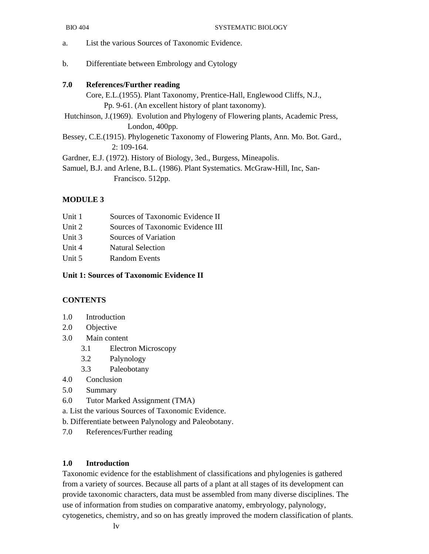- a. List the various Sources of Taxonomic Evidence.
- b. Differentiate between Embrology and Cytology

#### **7.0 References/Further reading**

 Core, E.L.(1955). Plant Taxonomy, Prentice-Hall, Englewood Cliffs, N.J., Pp. 9-61. (An excellent history of plant taxonomy). Hutchinson, J.(1969). Evolution and Phylogeny of Flowering plants, Academic Press, London, 400pp.

Bessey, C.E.(1915). Phylogenetic Taxonomy of Flowering Plants, Ann. Mo. Bot. Gard., 2: 109-164.

Gardner, E.J. (1972). History of Biology, 3ed., Burgess, Mineapolis.

Samuel, B.J. and Arlene, B.L. (1986). Plant Systematics. McGraw-Hill, Inc, San- Francisco. 512pp.

#### **MODULE 3**

- Unit 2 Sources of Taxonomic Evidence III
- Unit 3 Sources of Variation
- Unit 4 Natural Selection
- Unit 5 Random Events

#### **Unit 1: Sources of Taxonomic Evidence II**

### **CONTENTS**

- 1.0 Introduction
- 2.0 Objective
- 3.0 Main content
	- 3.1 Electron Microscopy
	- 3.2 Palynology
	- 3.3 Paleobotany
- 4.0 Conclusion
- 5.0 Summary
- 6.0 Tutor Marked Assignment (TMA)

a. List the various Sources of Taxonomic Evidence.

- b. Differentiate between Palynology and Paleobotany.
- 7.0 References/Further reading

#### **1.0 Introduction**

Taxonomic evidence for the establishment of classifications and phylogenies is gathered from a variety of sources. Because all parts of a plant at all stages of its development can provide taxonomic characters, data must be assembled from many diverse disciplines. The use of information from studies on comparative anatomy, embryology, palynology, cytogenetics, chemistry, and so on has greatly improved the modern classification of plants.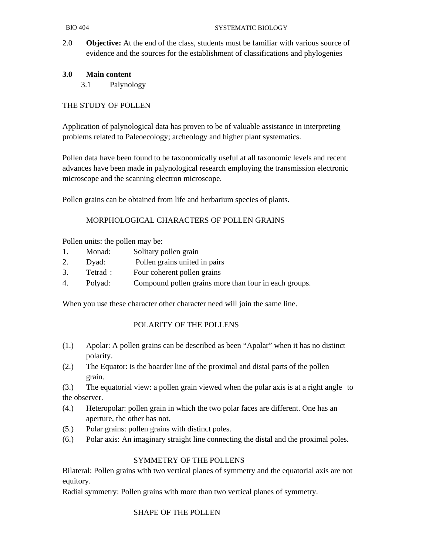2.0 **Objective:** At the end of the class, students must be familiar with various source of evidence and the sources for the establishment of classifications and phylogenies

## **3.0 Main content**

3.1 Palynology

## THE STUDY OF POLLEN

Application of palynological data has proven to be of valuable assistance in interpreting problems related to Paleoecology; archeology and higher plant systematics.

Pollen data have been found to be taxonomically useful at all taxonomic levels and recent advances have been made in palynological research employing the transmission electronic microscope and the scanning electron microscope.

Pollen grains can be obtained from life and herbarium species of plants.

## MORPHOLOGICAL CHARACTERS OF POLLEN GRAINS

Pollen units: the pollen may be:

- 1. Monad: Solitary pollen grain
- 2. Dyad: Pollen grains united in pairs
- 3. Tetrad : Four coherent pollen grains
- 4. Polyad: Compound pollen grains more than four in each groups.

When you use these character other character need will join the same line.

## POLARITY OF THE POLLENS

- (1.) Apolar: A pollen grains can be described as been "Apolar" when it has no distinct polarity.
- (2.) The Equator: is the boarder line of the proximal and distal parts of the pollen grain.

(3.) The equatorial view: a pollen grain viewed when the polar axis is at a right angle to the observer.

- (4.) Heteropolar: pollen grain in which the two polar faces are different. One has an aperture, the other has not.
- (5.) Polar grains: pollen grains with distinct poles.
- (6.) Polar axis: An imaginary straight line connecting the distal and the proximal poles.

## SYMMETRY OF THE POLLENS

Bilateral: Pollen grains with two vertical planes of symmetry and the equatorial axis are not equitory.

Radial symmetry: Pollen grains with more than two vertical planes of symmetry.

#### SHAPE OF THE POLLEN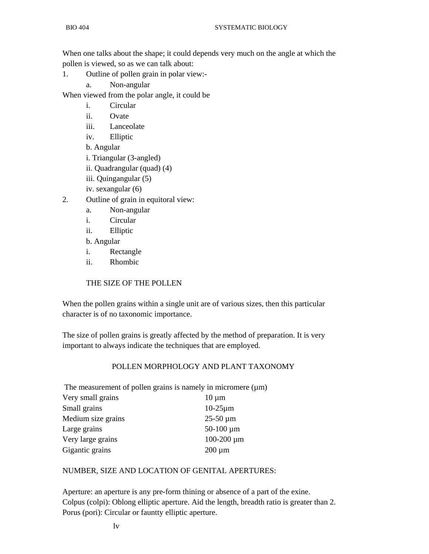When one talks about the shape; it could depends very much on the angle at which the pollen is viewed, so as we can talk about:

- 1. Outline of pollen grain in polar view:
	- a. Non-angular

When viewed from the polar angle, it could be

- i. Circular
- ii. Ovate
- iii. Lanceolate
- iv. Elliptic
- b. Angular
- i. Triangular (3-angled)
- ii. Quadrangular (quad) (4)
- iii. Quingangular (5)
- iv. sexangular (6)
- 2. Outline of grain in equitoral view:
	- a. Non-angular
	- i. Circular
	- ii. Elliptic
	- b. Angular
	- i. Rectangle
	- ii. Rhombic

#### THE SIZE OF THE POLLEN

When the pollen grains within a single unit are of various sizes, then this particular character is of no taxonomic importance.

The size of pollen grains is greatly affected by the method of preparation. It is very important to always indicate the techniques that are employed.

#### POLLEN MORPHOLOGY AND PLANT TAXONOMY

The measurement of pollen grains is namely in micromere  $(\mu m)$ 

| Very small grains  | $10 \mu m$                 |
|--------------------|----------------------------|
| Small grains       | $10-25 \mu m$              |
| Medium size grains | $25-50 \,\mathrm{\upmu m}$ |
| Large grains       | $50-100 \mu m$             |
| Very large grains  | $100 - 200 \mu m$          |
| Gigantic grains    | $200 \mu m$                |

#### NUMBER, SIZE AND LOCATION OF GENITAL APERTURES:

Aperture: an aperture is any pre-form thining or absence of a part of the exine. Colpus (colpi): Oblong elliptic aperture. Aid the length, breadth ratio is greater than 2. Porus (pori): Circular or fauntty elliptic aperture.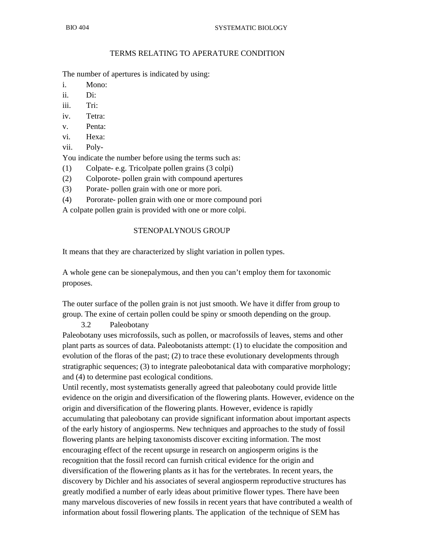## TERMS RELATING TO APERATURE CONDITION

The number of apertures is indicated by using:

- i. Mono:
- ii. Di:
- iii. Tri:
- iv. Tetra:
- v. Penta:
- vi. Hexa:
- vii. Poly-

You indicate the number before using the terms such as:

- (1) Colpate- e.g. Tricolpate pollen grains (3 colpi)
- (2) Colporote- pollen grain with compound apertures
- (3) Porate- pollen grain with one or more pori.
- (4) Pororate- pollen grain with one or more compound pori

A colpate pollen grain is provided with one or more colpi.

#### STENOPALYNOUS GROUP

It means that they are characterized by slight variation in pollen types.

A whole gene can be sionepalymous, and then you can't employ them for taxonomic proposes.

The outer surface of the pollen grain is not just smooth. We have it differ from group to group. The exine of certain pollen could be spiny or smooth depending on the group.

#### 3.2 Paleobotany

Paleobotany uses microfossils, such as pollen, or macrofossils of leaves, stems and other plant parts as sources of data. Paleobotanists attempt: (1) to elucidate the composition and evolution of the floras of the past; (2) to trace these evolutionary developments through stratigraphic sequences; (3) to integrate paleobotanical data with comparative morphology; and (4) to determine past ecological conditions.

Until recently, most systematists generally agreed that paleobotany could provide little evidence on the origin and diversification of the flowering plants. However, evidence on the origin and diversification of the flowering plants. However, evidence is rapidly accumulating that paleobotany can provide significant information about important aspects of the early history of angiosperms. New techniques and approaches to the study of fossil flowering plants are helping taxonomists discover exciting information. The most encouraging effect of the recent upsurge in research on angiosperm origins is the recognition that the fossil record can furnish critical evidence for the origin and diversification of the flowering plants as it has for the vertebrates. In recent years, the discovery by Dichler and his associates of several angiosperm reproductive structures has greatly modified a number of early ideas about primitive flower types. There have been many marvelous discoveries of new fossils in recent years that have contributed a wealth of information about fossil flowering plants. The application of the technique of SEM has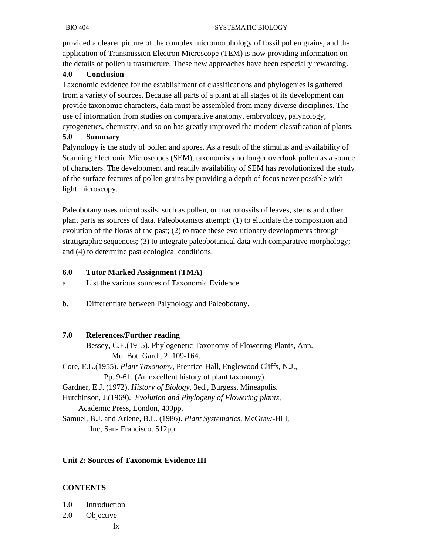provided a clearer picture of the complex micromorphology of fossil pollen grains, and the application of Transmission Electron Microscope (TEM) is now providing information on the details of pollen ultrastructure. These new approaches have been especially rewarding.

## **4.0 Conclusion**

Taxonomic evidence for the establishment of classifications and phylogenies is gathered from a variety of sources. Because all parts of a plant at all stages of its development can provide taxonomic characters, data must be assembled from many diverse disciplines. The use of information from studies on comparative anatomy, embryology, palynology,

cytogenetics, chemistry, and so on has greatly improved the modern classification of plants. **5.0 Summary** 

Palynology is the study of pollen and spores. As a result of the stimulus and availability of Scanning Electronic Microscopes (SEM), taxonomists no longer overlook pollen as a source of characters. The development and readily availability of SEM has revolutionized the study of the surface features of pollen grains by providing a depth of focus never possible with light microscopy.

Paleobotany uses microfossils, such as pollen, or macrofossils of leaves, stems and other plant parts as sources of data. Paleobotanists attempt: (1) to elucidate the composition and evolution of the floras of the past; (2) to trace these evolutionary developments through stratigraphic sequences; (3) to integrate paleobotanical data with comparative morphology; and (4) to determine past ecological conditions.

## **6.0 Tutor Marked Assignment (TMA)**

- a. List the various sources of Taxonomic Evidence.
- b. Differentiate between Palynology and Paleobotany.

## **7.0 References/Further reading**

 Bessey, C.E.(1915). Phylogenetic Taxonomy of Flowering Plants, Ann. Mo. Bot. Gard., 2: 109-164.

Core, E.L.(1955). *Plant Taxonomy*, Prentice-Hall, Englewood Cliffs, N.J., Pp. 9-61. (An excellent history of plant taxonomy).

Gardner, E.J. (1972). *History of Biology*, 3ed., Burgess, Mineapolis.

Hutchinson, J.(1969). *Evolution and Phylogeny of Flowering plants*, Academic Press, London, 400pp.

Samuel, B.J. and Arlene, B.L. (1986). *Plant Systematics*. McGraw-Hill, Inc, San- Francisco. 512pp.

# **Unit 2: Sources of Taxonomic Evidence III**

# **CONTENTS**

- 1.0 Introduction
- 2.0 Objective
	- lx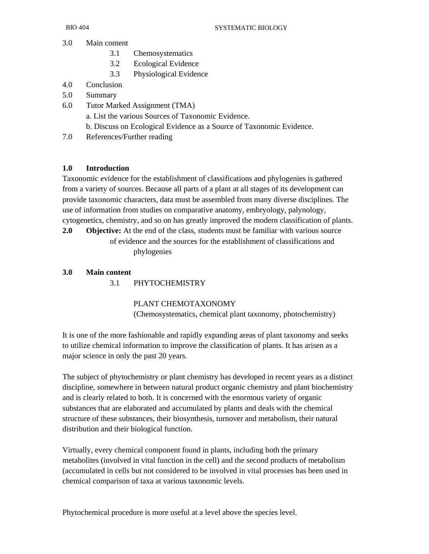- 3.0 Main content
	- 3.1 Chemosystematics
	- 3.2 Ecological Evidence
	- 3.3 Physiological Evidence
- 4.0 Conclusion
- 5.0 Summary
- 6.0 Tutor Marked Assignment (TMA)
	- a. List the various Sources of Taxonomic Evidence.
	- b. Discuss on Ecological Evidence as a Source of Taxonomic Evidence.
- 7.0 References/Further reading

# **1.0 Introduction**

Taxonomic evidence for the establishment of classifications and phylogenies is gathered from a variety of sources. Because all parts of a plant at all stages of its development can provide taxonomic characters, data must be assembled from many diverse disciplines. The use of information from studies on comparative anatomy, embryology, palynology, cytogenetics, chemistry, and so on has greatly improved the modern classification of plants.

**2.0** Objective: At the end of the class, students must be familiar with various source of evidence and the sources for the establishment of classifications and phylogenies

# **3.0 Main content**

3.1 PHYTOCHEMISTRY

 PLANT CHEMOTAXONOMY (Chemosystematics, chemical plant taxonomy, photochemistry)

It is one of the more fashionable and rapidly expanding areas of plant taxonomy and seeks to utilize chemical information to improve the classification of plants. It has arisen as a major science in only the past 20 years.

The subject of phytochemistry or plant chemistry has developed in recent years as a distinct discipline, somewhere in between natural product organic chemistry and plant biochemistry and is clearly related to both. It is concerned with the enormous variety of organic substances that are elaborated and accumulated by plants and deals with the chemical structure of these substances, their biosynthesis, turnover and metabolism, their natural distribution and their biological function.

Virtually, every chemical component found in plants, including both the primary metabolites (involved in vital function in the cell) and the second products of metabolism (accumulated in cells but not considered to be involved in vital processes has been used in chemical comparison of taxa at various taxonomic levels.

Phytochemical procedure is more useful at a level above the species level.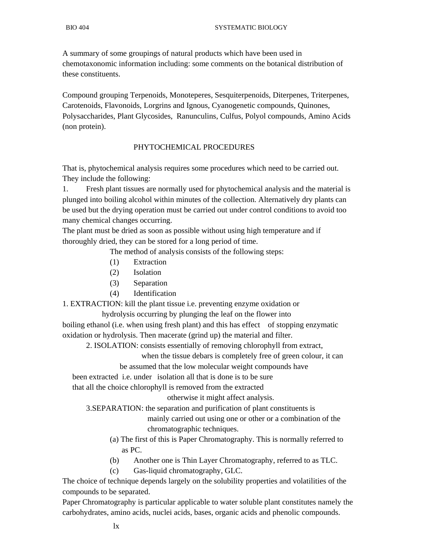A summary of some groupings of natural products which have been used in chemotaxonomic information including: some comments on the botanical distribution of these constituents.

Compound grouping Terpenoids, Monoteperes, Sesquiterpenoids, Diterpenes, Triterpenes, Carotenoids, Flavonoids, Lorgrins and Ignous, Cyanogenetic compounds, Quinones, Polysaccharides, Plant Glycosides, Ranunculins, Culfus, Polyol compounds, Amino Acids (non protein).

#### PHYTOCHEMICAL PROCEDURES

That is, phytochemical analysis requires some procedures which need to be carried out. They include the following:

1. Fresh plant tissues are normally used for phytochemical analysis and the material is plunged into boiling alcohol within minutes of the collection. Alternatively dry plants can be used but the drying operation must be carried out under control conditions to avoid too many chemical changes occurring.

The plant must be dried as soon as possible without using high temperature and if thoroughly dried, they can be stored for a long period of time.

The method of analysis consists of the following steps:

- (1) Extraction
- (2) Isolation
- (3) Separation
- (4) Identification

1. EXTRACTION: kill the plant tissue i.e. preventing enzyme oxidation or

hydrolysis occurring by plunging the leaf on the flower into

boiling ethanol (i.e. when using fresh plant) and this has effect of stopping enzymatic oxidation or hydrolysis. Then macerate (grind up) the material and filter.

2. ISOLATION: consists essentially of removing chlorophyll from extract,

when the tissue debars is completely free of green colour, it can

be assumed that the low molecular weight compounds have

been extracted i.e. under isolation all that is done is to be sure

that all the choice chlorophyll is removed from the extracted

otherwise it might affect analysis.

3.SEPARATION: the separation and purification of plant constituents is

 mainly carried out using one or other or a combination of the chromatographic techniques.

 (a) The first of this is Paper Chromatography. This is normally referred to as PC.

- (b) Another one is Thin Layer Chromatography, referred to as TLC.
- (c) Gas-liquid chromatography, GLC.

The choice of technique depends largely on the solubility properties and volatilities of the compounds to be separated.

Paper Chromatography is particular applicable to water soluble plant constitutes namely the carbohydrates, amino acids, nuclei acids, bases, organic acids and phenolic compounds.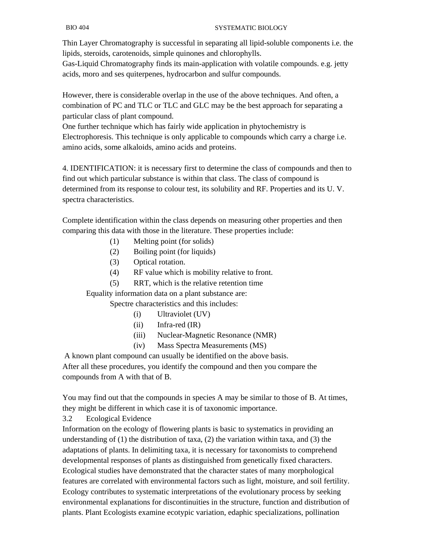Thin Layer Chromatography is successful in separating all lipid-soluble components i.e. the lipids, steroids, carotenoids, simple quinones and chlorophylls.

Gas-Liquid Chromatography finds its main-application with volatile compounds. e.g. jetty acids, moro and ses quiterpenes, hydrocarbon and sulfur compounds.

However, there is considerable overlap in the use of the above techniques. And often, a combination of PC and TLC or TLC and GLC may be the best approach for separating a particular class of plant compound.

One further technique which has fairly wide application in phytochemistry is Electrophoresis. This technique is only applicable to compounds which carry a charge i.e. amino acids, some alkaloids, amino acids and proteins.

4. IDENTIFICATION: it is necessary first to determine the class of compounds and then to find out which particular substance is within that class. The class of compound is determined from its response to colour test, its solubility and RF. Properties and its U. V. spectra characteristics.

Complete identification within the class depends on measuring other properties and then comparing this data with those in the literature. These properties include:

- (1) Melting point (for solids)
- (2) Boiling point (for liquids)
- (3) Optical rotation.
- (4) RF value which is mobility relative to front.
- (5) RRT, which is the relative retention time

Equality information data on a plant substance are:

Spectre characteristics and this includes:

- (i) Ultraviolet (UV)
- (ii) Infra-red (IR)
- (iii) Nuclear-Magnetic Resonance (NMR)
- (iv) Mass Spectra Measurements (MS)

 A known plant compound can usually be identified on the above basis. After all these procedures, you identify the compound and then you compare the compounds from A with that of B.

You may find out that the compounds in species A may be similar to those of B. At times, they might be different in which case it is of taxonomic importance.

3.2 Ecological Evidence

Information on the ecology of flowering plants is basic to systematics in providing an understanding of  $(1)$  the distribution of taxa,  $(2)$  the variation within taxa, and  $(3)$  the adaptations of plants. In delimiting taxa, it is necessary for taxonomists to comprehend developmental responses of plants as distinguished from genetically fixed characters. Ecological studies have demonstrated that the character states of many morphological features are correlated with environmental factors such as light, moisture, and soil fertility. Ecology contributes to systematic interpretations of the evolutionary process by seeking environmental explanations for discontinuities in the structure, function and distribution of plants. Plant Ecologists examine ecotypic variation, edaphic specializations, pollination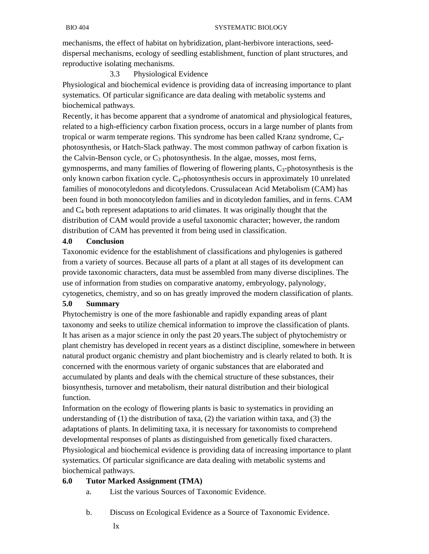mechanisms, the effect of habitat on hybridization, plant-herbivore interactions, seeddispersal mechanisms, ecology of seedling establishment, function of plant structures, and reproductive isolating mechanisms.

3.3 Physiological Evidence

Physiological and biochemical evidence is providing data of increasing importance to plant systematics. Of particular significance are data dealing with metabolic systems and biochemical pathways.

Recently, it has become apparent that a syndrome of anatomical and physiological features, related to a high-efficiency carbon fixation process, occurs in a large number of plants from tropical or warm temperate regions. This syndrome has been called Kranz syndrome, C4 photosynthesis, or Hatch-Slack pathway. The most common pathway of carbon fixation is the Calvin-Benson cycle, or  $C_3$  photosynthesis. In the algae, mosses, most ferns, gymnosperms, and many families of flowering of flowering plants,  $C_3$ -photosynthesis is the only known carbon fixation cycle.  $C_4$ -photosynthesis occurs in approximately 10 unrelated families of monocotyledons and dicotyledons. Crussulacean Acid Metabolism (CAM) has been found in both monocotyledon families and in dicotyledon families, and in ferns. CAM and  $C_4$  both represent adaptations to arid climates. It was originally thought that the distribution of CAM would provide a useful taxonomic character; however, the random distribution of CAM has prevented it from being used in classification.

# **4.0 Conclusion**

Taxonomic evidence for the establishment of classifications and phylogenies is gathered from a variety of sources. Because all parts of a plant at all stages of its development can provide taxonomic characters, data must be assembled from many diverse disciplines. The use of information from studies on comparative anatomy, embryology, palynology, cytogenetics, chemistry, and so on has greatly improved the modern classification of plants.

## **5.0 Summary**

Phytochemistry is one of the more fashionable and rapidly expanding areas of plant taxonomy and seeks to utilize chemical information to improve the classification of plants. It has arisen as a major science in only the past 20 years.The subject of phytochemistry or plant chemistry has developed in recent years as a distinct discipline, somewhere in between natural product organic chemistry and plant biochemistry and is clearly related to both. It is concerned with the enormous variety of organic substances that are elaborated and accumulated by plants and deals with the chemical structure of these substances, their biosynthesis, turnover and metabolism, their natural distribution and their biological function.

Information on the ecology of flowering plants is basic to systematics in providing an understanding of  $(1)$  the distribution of taxa,  $(2)$  the variation within taxa, and  $(3)$  the adaptations of plants. In delimiting taxa, it is necessary for taxonomists to comprehend developmental responses of plants as distinguished from genetically fixed characters. Physiological and biochemical evidence is providing data of increasing importance to plant systematics. Of particular significance are data dealing with metabolic systems and biochemical pathways.

# **6.0 Tutor Marked Assignment (TMA)**

- a. List the various Sources of Taxonomic Evidence.
- b. Discuss on Ecological Evidence as a Source of Taxonomic Evidence.
	- lx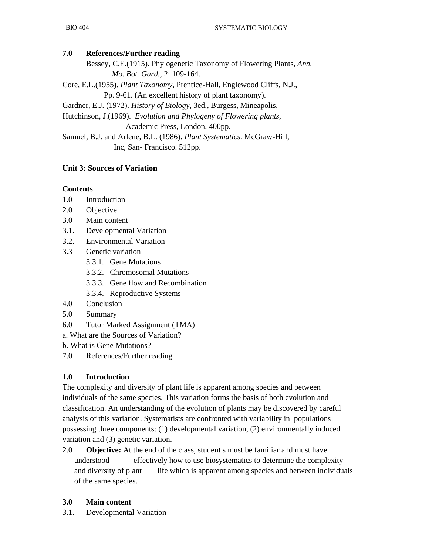# **7.0 References/Further reading**

 Bessey, C.E.(1915). Phylogenetic Taxonomy of Flowering Plants, *Ann. Mo. Bot. Gard.*, 2: 109-164.

Core, E.L.(1955). *Plant Taxonomy*, Prentice-Hall, Englewood Cliffs, N.J., Pp. 9-61. (An excellent history of plant taxonomy).

Gardner, E.J. (1972). *History of Biology*, 3ed., Burgess, Mineapolis.

Hutchinson, J.(1969). *Evolution and Phylogeny of Flowering plants*, Academic Press, London, 400pp.

Samuel, B.J. and Arlene, B.L. (1986). *Plant Systematics*. McGraw-Hill, Inc, San- Francisco. 512pp.

# **Unit 3: Sources of Variation**

# **Contents**

- 1.0 Introduction
- 2.0 Objective
- 3.0 Main content
- 3.1. Developmental Variation
- 3.2. Environmental Variation
- 3.3 Genetic variation
	- 3.3.1. Gene Mutations
	- 3.3.2. Chromosomal Mutations
	- 3.3.3. Gene flow and Recombination
	- 3.3.4. Reproductive Systems
- 4.0 Conclusion
- 5.0 Summary
- 6.0 Tutor Marked Assignment (TMA)
- a. What are the Sources of Variation?

b. What is Gene Mutations?

7.0 References/Further reading

# **1.0 Introduction**

The complexity and diversity of plant life is apparent among species and between individuals of the same species. This variation forms the basis of both evolution and classification. An understanding of the evolution of plants may be discovered by careful analysis of this variation. Systematists are confronted with variability in populations possessing three components: (1) developmental variation, (2) environmentally induced variation and (3) genetic variation.

2.0 **Objective:** At the end of the class, student s must be familiar and must have understood effectively how to use biosystematics to determine the complexity and diversity of plant life which is apparent among species and between individuals of the same species.

# **3.0 Main content**

3.1. Developmental Variation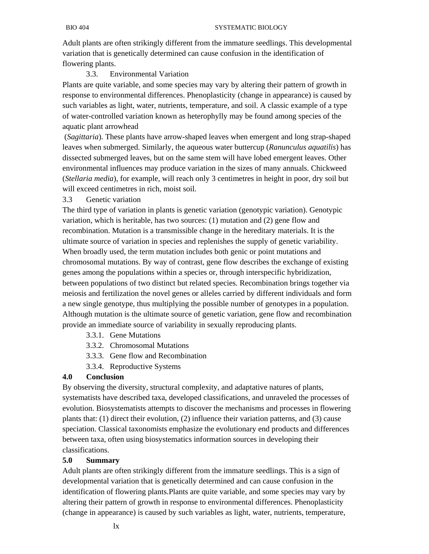Adult plants are often strikingly different from the immature seedlings. This developmental variation that is genetically determined can cause confusion in the identification of flowering plants.

## 3.3. Environmental Variation

Plants are quite variable, and some species may vary by altering their pattern of growth in response to environmental differences. Phenoplasticity (change in appearance) is caused by such variables as light, water, nutrients, temperature, and soil. A classic example of a type of water-controlled variation known as heterophylly may be found among species of the aquatic plant arrowhead

 (*Sagittaria*). These plants have arrow-shaped leaves when emergent and long strap-shaped leaves when submerged. Similarly, the aqueous water buttercup (*Ranunculus aquatilis*) has dissected submerged leaves, but on the same stem will have lobed emergent leaves. Other environmental influences may produce variation in the sizes of many annuals. Chickweed (*Stellaria media*), for example, will reach only 3 centimetres in height in poor, dry soil but will exceed centimetres in rich, moist soil.

## 3.3 Genetic variation

The third type of variation in plants is genetic variation (genotypic variation). Genotypic variation, which is heritable, has two sources: (1) mutation and (2) gene flow and recombination. Mutation is a transmissible change in the hereditary materials. It is the ultimate source of variation in species and replenishes the supply of genetic variability. When broadly used, the term mutation includes both genic or point mutations and chromosomal mutations. By way of contrast, gene flow describes the exchange of existing genes among the populations within a species or, through interspecific hybridization, between populations of two distinct but related species. Recombination brings together via meiosis and fertilization the novel genes or alleles carried by different individuals and form a new single genotype, thus multiplying the possible number of genotypes in a population. Although mutation is the ultimate source of genetic variation, gene flow and recombination provide an immediate source of variability in sexually reproducing plants.

- 3.3.1. Gene Mutations
- 3.3.2. Chromosomal Mutations
- 3.3.3. Gene flow and Recombination
- 3.3.4. Reproductive Systems

#### **4.0 Conclusion**

By observing the diversity, structural complexity, and adaptative natures of plants, systematists have described taxa, developed classifications, and unraveled the processes of evolution. Biosystematists attempts to discover the mechanisms and processes in flowering plants that: (1) direct their evolution, (2) influence their variation patterns, and (3) cause speciation. Classical taxonomists emphasize the evolutionary end products and differences between taxa, often using biosystematics information sources in developing their classifications.

#### **5.0 Summary**

Adult plants are often strikingly different from the immature seedlings. This is a sign of developmental variation that is genetically determined and can cause confusion in the identification of flowering plants.Plants are quite variable, and some species may vary by altering their pattern of growth in response to environmental differences. Phenoplasticity (change in appearance) is caused by such variables as light, water, nutrients, temperature,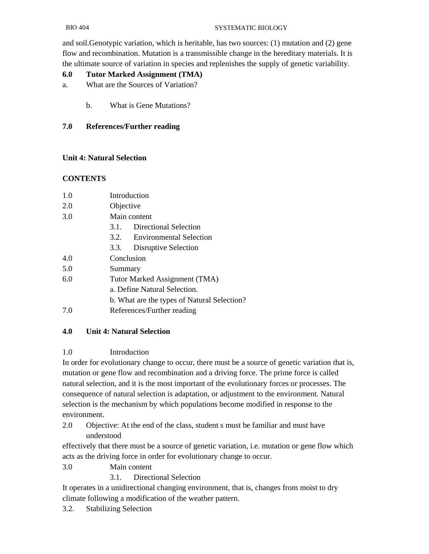and soil.Genotypic variation, which is heritable, has two sources: (1) mutation and (2) gene flow and recombination. Mutation is a transmissible change in the hereditary materials. It is the ultimate source of variation in species and replenishes the supply of genetic variability.

# **6.0 Tutor Marked Assignment (TMA)**

- a. What are the Sources of Variation?
	- b. What is Gene Mutations?

# **7.0 References/Further reading**

# **Unit 4: Natural Selection**

# **CONTENTS**

| 1.0 | Introduction                                |
|-----|---------------------------------------------|
| 2.0 | Objective                                   |
| 3.0 | Main content                                |
|     | 3.1. Directional Selection                  |
|     | 3.2. Environmental Selection                |
|     | Disruptive Selection<br>3.3.                |
| 4.0 | Conclusion                                  |
| 5.0 | Summary                                     |
| 6.0 | Tutor Marked Assignment (TMA)               |
|     | a. Define Natural Selection.                |
|     | b. What are the types of Natural Selection? |
| 7.0 | References/Further reading                  |
|     |                                             |

# **4.0 Unit 4: Natural Selection**

# 1.0 Introduction

In order for evolutionary change to occur, there must be a source of genetic variation that is, mutation or gene flow and recombination and a driving force. The prime force is called natural selection, and it is the most important of the evolutionary forces or processes. The consequence of natural selection is adaptation, or adjustment to the environment. Natural selection is the mechanism by which populations become modified in response to the environment.

2.0 Objective: At the end of the class, student s must be familiar and must have understood

effectively that there must be a source of genetic variation, i.e. mutation or gene flow which acts as the driving force in order for evolutionary change to occur.

3.0 Main content

3.1. Directional Selection

It operates in a unidirectional changing environment, that is, changes from moist to dry climate following a modification of the weather pattern.

3.2. Stabilizing Selection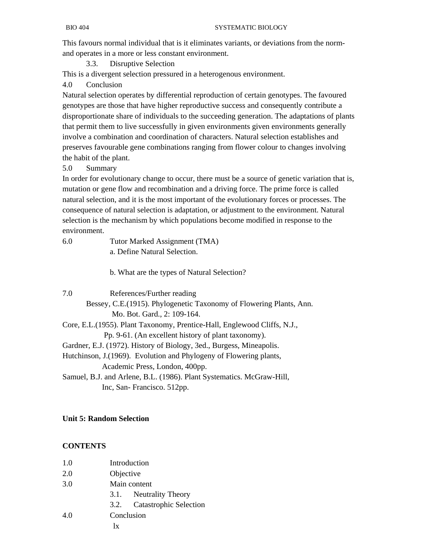This favours normal individual that is it eliminates variants, or deviations from the normand operates in a more or less constant environment.

3.3. Disruptive Selection

This is a divergent selection pressured in a heterogenous environment.

4.0 Conclusion

Natural selection operates by differential reproduction of certain genotypes. The favoured genotypes are those that have higher reproductive success and consequently contribute a disproportionate share of individuals to the succeeding generation. The adaptations of plants that permit them to live successfully in given environments given environments generally involve a combination and coordination of characters. Natural selection establishes and preserves favourable gene combinations ranging from flower colour to changes involving the habit of the plant.

5.0 Summary

In order for evolutionary change to occur, there must be a source of genetic variation that is, mutation or gene flow and recombination and a driving force. The prime force is called natural selection, and it is the most important of the evolutionary forces or processes. The consequence of natural selection is adaptation, or adjustment to the environment. Natural selection is the mechanism by which populations become modified in response to the environment.

| 6.0  | Tutor Marked Assignment (TMA)                                             |
|------|---------------------------------------------------------------------------|
|      | a. Define Natural Selection.                                              |
|      | b. What are the types of Natural Selection?                               |
| 7.0  | References/Further reading                                                |
|      | Bessey, C.E. (1915). Phylogenetic Taxonomy of Flowering Plants, Ann.      |
|      | Mo. Bot. Gard., 2: 109-164.                                               |
|      | Core, E.L. (1955). Plant Taxonomy, Prentice-Hall, Englewood Cliffs, N.J., |
|      | Pp. 9-61. (An excellent history of plant taxonomy).                       |
|      | Gardner, E.J. (1972). History of Biology, 3ed., Burgess, Mineapolis.      |
| -- - |                                                                           |

Hutchinson, J.(1969). Evolution and Phylogeny of Flowering plants, Academic Press, London, 400pp.

Samuel, B.J. and Arlene, B.L. (1986). Plant Systematics. McGraw-Hill, Inc, San- Francisco. 512pp.

# **Unit 5: Random Selection**

# **CONTENTS**

| 1.0 | Introduction           |                               |
|-----|------------------------|-------------------------------|
| 2.0 | Objective              |                               |
| 3.0 | Main content           |                               |
|     | 3.1. Neutrality Theory |                               |
|     | 3.2.                   | <b>Catastrophic Selection</b> |
| 4.0 | Conclusion             |                               |
|     | lx                     |                               |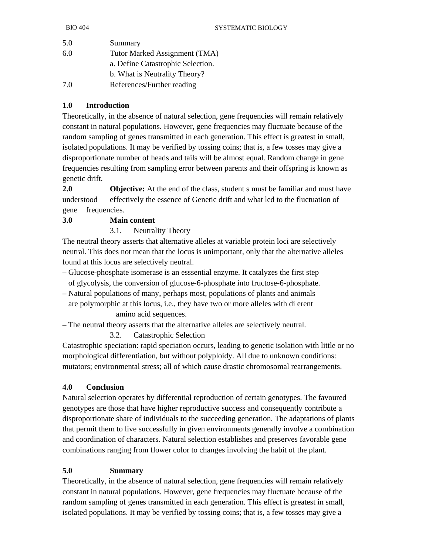| 5.0 | Summary                           |
|-----|-----------------------------------|
| 6.0 | Tutor Marked Assignment (TMA)     |
|     | a. Define Catastrophic Selection. |
|     | b. What is Neutrality Theory?     |
| 7.0 | References/Further reading        |

# **1.0 Introduction**

Theoretically, in the absence of natural selection, gene frequencies will remain relatively constant in natural populations. However, gene frequencies may fluctuate because of the random sampling of genes transmitted in each generation. This effect is greatest in small, isolated populations. It may be verified by tossing coins; that is, a few tosses may give a disproportionate number of heads and tails will be almost equal. Random change in gene frequencies resulting from sampling error between parents and their offspring is known as genetic drift.

**2.0 Objective:** At the end of the class, student s must be familiar and must have understood effectively the essence of Genetic drift and what led to the fluctuation of gene frequencies.

# **3.0 Main content**

3.1. Neutrality Theory

The neutral theory asserts that alternative alleles at variable protein loci are selectively neutral. This does not mean that the locus is unimportant, only that the alternative alleles found at this locus are selectively neutral.

- Glucose-phosphate isomerase is an esssential enzyme. It catalyzes the first step of glycolysis, the conversion of glucose-6-phosphate into fructose-6-phosphate.
- Natural populations of many, perhaps most, populations of plants and animals are polymorphic at this locus, i.e., they have two or more alleles with di erent amino acid sequences.
- The neutral theory asserts that the alternative alleles are selectively neutral.
	- 3.2. Catastrophic Selection

Catastrophic speciation: rapid speciation occurs, leading to genetic isolation with little or no morphological differentiation, but without polyploidy. All due to unknown conditions: mutators; environmental stress; all of which cause drastic chromosomal rearrangements.

# **4.0 Conclusion**

Natural selection operates by differential reproduction of certain genotypes. The favoured genotypes are those that have higher reproductive success and consequently contribute a disproportionate share of individuals to the succeeding generation. The adaptations of plants that permit them to live successfully in given environments generally involve a combination and coordination of characters. Natural selection establishes and preserves favorable gene combinations ranging from flower color to changes involving the habit of the plant.

# **5.0 Summary**

Theoretically, in the absence of natural selection, gene frequencies will remain relatively constant in natural populations. However, gene frequencies may fluctuate because of the random sampling of genes transmitted in each generation. This effect is greatest in small, isolated populations. It may be verified by tossing coins; that is, a few tosses may give a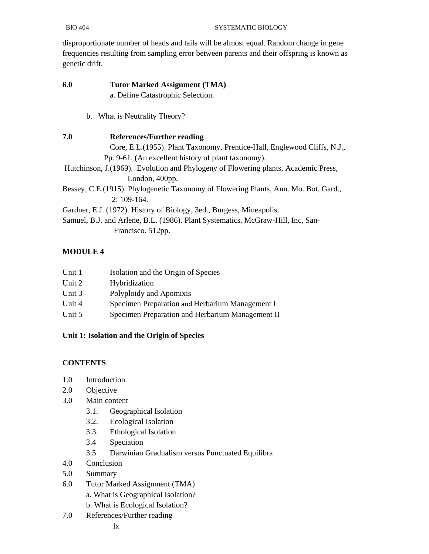disproportionate number of heads and tails will be almost equal. Random change in gene frequencies resulting from sampling error between parents and their offspring is known as genetic drift.

- **6.0 Tutor Marked Assignment (TMA)**  a. Define Catastrophic Selection.
	- b. What is Neutrality Theory?
- **7.0 References/Further reading**  Core, E.L.(1955). Plant Taxonomy, Prentice-Hall, Englewood Cliffs, N.J., Pp. 9-61. (An excellent history of plant taxonomy). Hutchinson, J.(1969). Evolution and Phylogeny of Flowering plants, Academic Press, London, 400pp. Bessey, C.E.(1915). Phylogenetic Taxonomy of Flowering Plants, Ann. Mo. Bot. Gard., 2: 109-164. Gardner, E.J. (1972). History of Biology, 3ed., Burgess, Mineapolis. Samuel, B.J. and Arlene, B.L. (1986). Plant Systematics. McGraw-Hill, Inc, San-

Francisco. 512pp.

# **MODULE 4**

| Unit 1 | Isolation and the Origin of Species              |
|--------|--------------------------------------------------|
| Unit 2 | Hybridization                                    |
| Unit 3 | Polyploidy and Apomixis                          |
| Unit 4 | Specimen Preparation and Herbarium Management I  |
| Unit 5 | Specimen Preparation and Herbarium Management II |

# **Unit 1: Isolation and the Origin of Species**

# **CONTENTS**

- 1.0 Introduction
- 2.0 Objective
- 3.0 Main content
	- 3.1. Geographical Isolation
	- 3.2. Ecological Isolation
	- 3.3. Ethological Isolation
	- 3.4 Speciation
	- 3.5 Darwinian Gradualism versus Punctuated Equilibra
- 4.0 Conclusion
- 5.0 Summary
- 6.0 Tutor Marked Assignment (TMA)
	- a. What is Geographical Isolation?
	- b. What is Ecological Isolation?
- 7.0 References/Further reading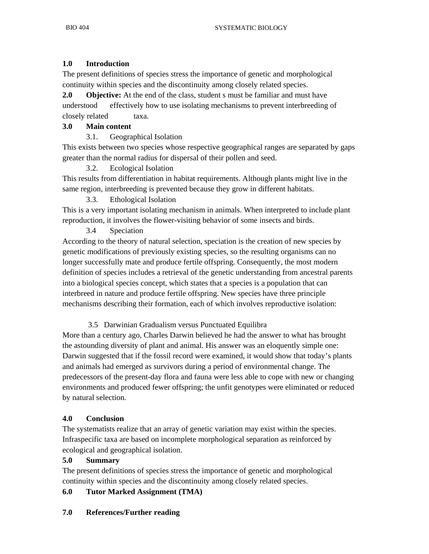# **1.0 Introduction**

The present definitions of species stress the importance of genetic and morphological continuity within species and the discontinuity among closely related species.

**2.0 Objective:** At the end of the class, student s must be familiar and must have understood effectively how to use isolating mechanisms to prevent interbreeding of closely related taxa.

# **3.0 Main content**

3.1. Geographical Isolation

This exists between two species whose respective geographical ranges are separated by gaps greater than the normal radius for dispersal of their pollen and seed.

# 3.2. Ecological Isolation

This results from differentiation in habitat requirements. Although plants might live in the same region, interbreeding is prevented because they grow in different habitats.

3.3. Ethological Isolation

This is a very important isolating mechanism in animals. When interpreted to include plant reproduction, it involves the flower-visiting behavior of some insects and birds.

# 3.4 Speciation

According to the theory of natural selection, speciation is the creation of new species by genetic modifications of previously existing species, so the resulting organisms can no longer successfully mate and produce fertile offspring. Consequently, the most modern definition of species includes a retrieval of the genetic understanding from ancestral parents into a biological species concept, which states that a species is a population that can interbreed in nature and produce fertile offspring. New species have three principle mechanisms describing their formation, each of which involves reproductive isolation:

# 3.5 Darwinian Gradualism versus Punctuated Equilibra

More than a century ago, Charles Darwin believed he had the answer to what has brought the astounding diversity of plant and animal. His answer was an eloquently simple one: Darwin suggested that if the fossil record were examined, it would show that today's plants and animals had emerged as survivors during a period of environmental change. The predecessors of the present-day flora and fauna were less able to cope with new or changing environments and produced fewer offspring; the unfit genotypes were eliminated or reduced by natural selection.

# **4.0 Conclusion**

The systematists realize that an array of genetic variation may exist within the species. Infraspecific taxa are based on incomplete morphological separation as reinforced by ecological and geographical isolation.

## **5.0 Summary**

The present definitions of species stress the importance of genetic and morphological continuity within species and the discontinuity among closely related species.

# **6.0 Tutor Marked Assignment (TMA)**

# **7.0 References/Further reading**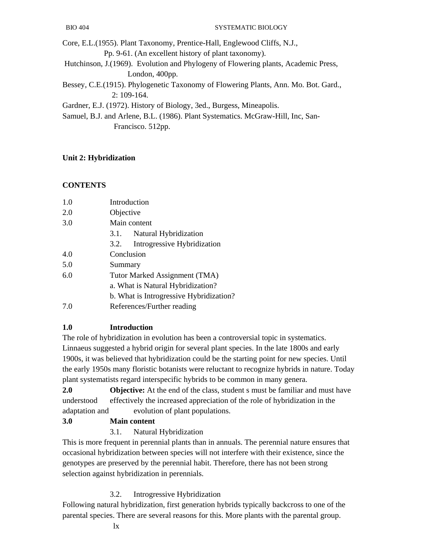Core, E.L.(1955). Plant Taxonomy, Prentice-Hall, Englewood Cliffs, N.J.,

Pp. 9-61. (An excellent history of plant taxonomy).

 Hutchinson, J.(1969). Evolution and Phylogeny of Flowering plants, Academic Press, London, 400pp.

Bessey, C.E.(1915). Phylogenetic Taxonomy of Flowering Plants, Ann. Mo. Bot. Gard., 2: 109-164.

Gardner, E.J. (1972). History of Biology, 3ed., Burgess, Mineapolis.

Samuel, B.J. and Arlene, B.L. (1986). Plant Systematics. McGraw-Hill, Inc, San- Francisco. 512pp.

# **Unit 2: Hybridization**

# **CONTENTS**

| 1.0 | Introduction                            |
|-----|-----------------------------------------|
| 2.0 | Objective                               |
| 3.0 | Main content                            |
|     | Natural Hybridization<br>3.1.           |
|     | Introgressive Hybridization<br>3.2.     |
| 4.0 | Conclusion                              |
| 5.0 | Summary                                 |
| 6.0 | Tutor Marked Assignment (TMA)           |
|     | a. What is Natural Hybridization?       |
|     | b. What is Introgressive Hybridization? |
| 7.0 | References/Further reading              |

# **1.0 Introduction**

The role of hybridization in evolution has been a controversial topic in systematics. Linnaeus suggested a hybrid origin for several plant species. In the late 1800s and early 1900s, it was believed that hybridization could be the starting point for new species. Until the early 1950s many floristic botanists were reluctant to recognize hybrids in nature. Today plant systematists regard interspecific hybrids to be common in many genera.

**2.0 Objective:** At the end of the class, student s must be familiar and must have understood effectively the increased appreciation of the role of hybridization in the adaptation and evolution of plant populations.

**3.0 Main content** 

# 3.1. Natural Hybridization

This is more frequent in perennial plants than in annuals. The perennial nature ensures that occasional hybridization between species will not interfere with their existence, since the genotypes are preserved by the perennial habit. Therefore, there has not been strong selection against hybridization in perennials.

3.2. Introgressive Hybridization

Following natural hybridization, first generation hybrids typically backcross to one of the parental species. There are several reasons for this. More plants with the parental group.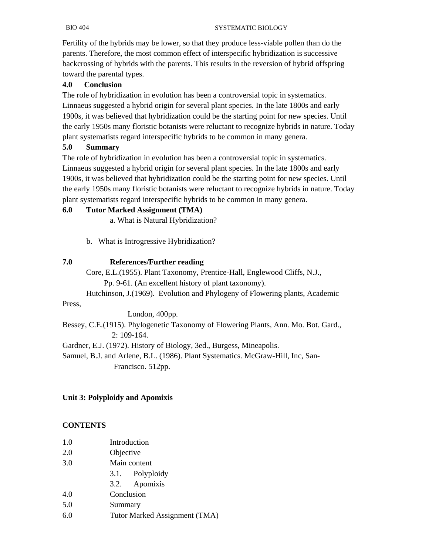Fertility of the hybrids may be lower, so that they produce less-viable pollen than do the parents. Therefore, the most common effect of interspecific hybridization is successive backcrossing of hybrids with the parents. This results in the reversion of hybrid offspring toward the parental types.

## **4.0 Conclusion**

The role of hybridization in evolution has been a controversial topic in systematics. Linnaeus suggested a hybrid origin for several plant species. In the late 1800s and early 1900s, it was believed that hybridization could be the starting point for new species. Until the early 1950s many floristic botanists were reluctant to recognize hybrids in nature. Today plant systematists regard interspecific hybrids to be common in many genera.

#### **5.0 Summary**

The role of hybridization in evolution has been a controversial topic in systematics. Linnaeus suggested a hybrid origin for several plant species. In the late 1800s and early 1900s, it was believed that hybridization could be the starting point for new species. Until the early 1950s many floristic botanists were reluctant to recognize hybrids in nature. Today plant systematists regard interspecific hybrids to be common in many genera.

#### **6.0 Tutor Marked Assignment (TMA)**

a. What is Natural Hybridization?

b. What is Introgressive Hybridization?

#### **7.0 References/Further reading**

Core, E.L.(1955). Plant Taxonomy, Prentice-Hall, Englewood Cliffs, N.J.,

Pp. 9-61. (An excellent history of plant taxonomy).

Hutchinson, J.(1969). Evolution and Phylogeny of Flowering plants, Academic

Press,

London, 400pp.

Bessey, C.E.(1915). Phylogenetic Taxonomy of Flowering Plants, Ann. Mo. Bot. Gard., 2: 109-164.

Gardner, E.J. (1972). History of Biology, 3ed., Burgess, Mineapolis.

Samuel, B.J. and Arlene, B.L. (1986). Plant Systematics. McGraw-Hill, Inc, San- Francisco. 512pp.

#### **Unit 3: Polyploidy and Apomixis**

## **CONTENTS**

- 1.0 Introduction
- 2.0 Objective
- 3.0 Main content
	- 3.1. Polyploidy
	- 3.2. Apomixis
- 4.0 Conclusion
- 5.0 Summary
- 6.0 Tutor Marked Assignment (TMA)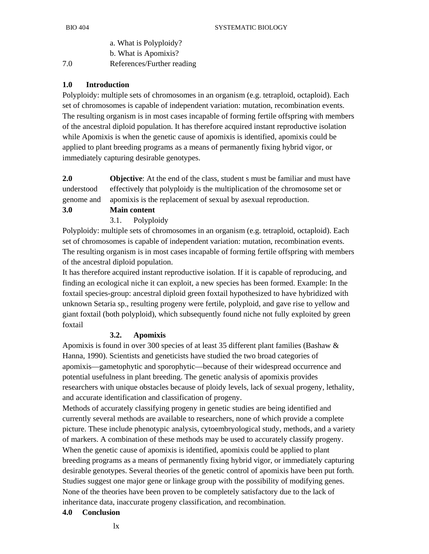a. What is Polyploidy?

b. What is Apomixis?

7.0 References/Further reading

## **1.0 Introduction**

Polyploidy: multiple sets of chromosomes in an organism (e.g. tetraploid, octaploid). Each set of chromosomes is capable of independent variation: mutation, recombination events. The resulting organism is in most cases incapable of forming fertile offspring with members of the ancestral diploid population. It has therefore acquired instant reproductive isolation while Apomixis is when the genetic cause of apomixis is identified, apomixis could be applied to plant breeding programs as a means of permanently fixing hybrid vigor, or immediately capturing desirable genotypes.

**2.0 Objective**: At the end of the class, student s must be familiar and must have understood effectively that polyploidy is the multiplication of the chromosome set or genome and apomixis is the replacement of sexual by asexual reproduction. **3.0 Main content** 

# 3.1. Polyploidy

Polyploidy: multiple sets of chromosomes in an organism (e.g. tetraploid, octaploid). Each set of chromosomes is capable of independent variation: mutation, recombination events. The resulting organism is in most cases incapable of forming fertile offspring with members of the ancestral diploid population.

It has therefore acquired instant reproductive isolation. If it is capable of reproducing, and finding an ecological niche it can exploit, a new species has been formed. Example: In the foxtail species-group: ancestral diploid green foxtail hypothesized to have hybridized with unknown Setaria sp., resulting progeny were fertile, polyploid, and gave rise to yellow and giant foxtail (both polyploid), which subsequently found niche not fully exploited by green foxtail

## **3.2. Apomixis**

Apomixis is found in over 300 species of at least 35 different plant families (Bashaw & Hanna, 1990). Scientists and geneticists have studied the two broad categories of apomixis—gametophytic and sporophytic—because of their widespread occurrence and potential usefulness in plant breeding. The genetic analysis of apomixis provides researchers with unique obstacles because of ploidy levels, lack of sexual progeny, lethality, and accurate identification and classification of progeny.

Methods of accurately classifying progeny in genetic studies are being identified and currently several methods are available to researchers, none of which provide a complete picture. These include phenotypic analysis, cytoembryological study, methods, and a variety of markers. A combination of these methods may be used to accurately classify progeny. When the genetic cause of apomixis is identified, apomixis could be applied to plant breeding programs as a means of permanently fixing hybrid vigor, or immediately capturing desirable genotypes. Several theories of the genetic control of apomixis have been put forth. Studies suggest one major gene or linkage group with the possibility of modifying genes. None of the theories have been proven to be completely satisfactory due to the lack of inheritance data, inaccurate progeny classification, and recombination.

## **4.0 Conclusion**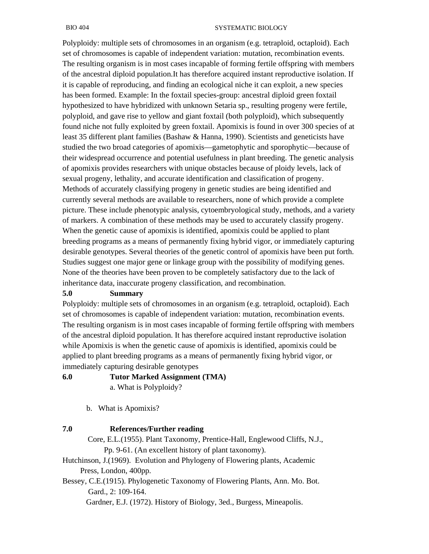Polyploidy: multiple sets of chromosomes in an organism (e.g. tetraploid, octaploid). Each set of chromosomes is capable of independent variation: mutation, recombination events. The resulting organism is in most cases incapable of forming fertile offspring with members of the ancestral diploid population.It has therefore acquired instant reproductive isolation. If it is capable of reproducing, and finding an ecological niche it can exploit, a new species has been formed. Example: In the foxtail species-group: ancestral diploid green foxtail hypothesized to have hybridized with unknown Setaria sp., resulting progeny were fertile, polyploid, and gave rise to yellow and giant foxtail (both polyploid), which subsequently found niche not fully exploited by green foxtail. Apomixis is found in over 300 species of at least 35 different plant families (Bashaw & Hanna, 1990). Scientists and geneticists have studied the two broad categories of apomixis—gametophytic and sporophytic—because of their widespread occurrence and potential usefulness in plant breeding. The genetic analysis of apomixis provides researchers with unique obstacles because of ploidy levels, lack of sexual progeny, lethality, and accurate identification and classification of progeny. Methods of accurately classifying progeny in genetic studies are being identified and currently several methods are available to researchers, none of which provide a complete picture. These include phenotypic analysis, cytoembryological study, methods, and a variety of markers. A combination of these methods may be used to accurately classify progeny. When the genetic cause of apomixis is identified, apomixis could be applied to plant breeding programs as a means of permanently fixing hybrid vigor, or immediately capturing desirable genotypes. Several theories of the genetic control of apomixis have been put forth. Studies suggest one major gene or linkage group with the possibility of modifying genes. None of the theories have been proven to be completely satisfactory due to the lack of inheritance data, inaccurate progeny classification, and recombination.

#### **5.0 Summary**

Polyploidy: multiple sets of chromosomes in an organism (e.g. tetraploid, octaploid). Each set of chromosomes is capable of independent variation: mutation, recombination events. The resulting organism is in most cases incapable of forming fertile offspring with members of the ancestral diploid population. It has therefore acquired instant reproductive isolation while Apomixis is when the genetic cause of apomixis is identified, apomixis could be applied to plant breeding programs as a means of permanently fixing hybrid vigor, or immediately capturing desirable genotypes

#### **6.0 Tutor Marked Assignment (TMA)**

a. What is Polyploidy?

b. What is Apomixis?

#### **7.0 References/Further reading**

Core, E.L.(1955). Plant Taxonomy, Prentice-Hall, Englewood Cliffs, N.J., Pp. 9-61. (An excellent history of plant taxonomy).

Hutchinson, J.(1969). Evolution and Phylogeny of Flowering plants, Academic Press, London, 400pp.

Bessey, C.E.(1915). Phylogenetic Taxonomy of Flowering Plants, Ann. Mo. Bot. Gard., 2: 109-164.

Gardner, E.J. (1972). History of Biology, 3ed., Burgess, Mineapolis.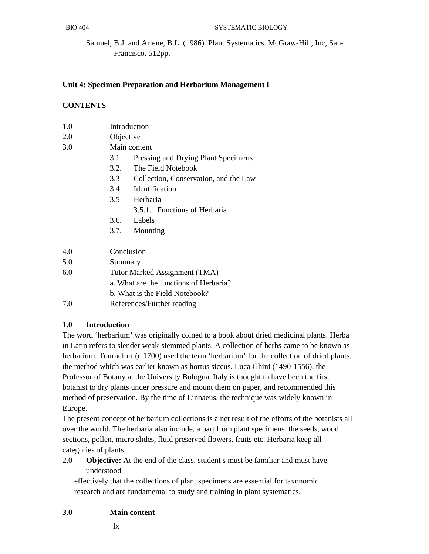Samuel, B.J. and Arlene, B.L. (1986). Plant Systematics. McGraw-Hill, Inc, San- Francisco. 512pp.

## **Unit 4: Specimen Preparation and Herbarium Management I**

#### **CONTENTS**

| 1.0 | Introduction |
|-----|--------------|
|     |              |

- 2.0 Objective
- 3.0 Main content
	- 3.1. Pressing and Drying Plant Specimens
	- 3.2. The Field Notebook
	- 3.3 Collection, Conservation, and the Law
	- 3.4 Identification
	- 3.5 Herbaria
		- 3.5.1. Functions of Herbaria
	- 3.6. Labels
	- 3.7. Mounting

| 4.0 | Conclusion                             |
|-----|----------------------------------------|
| 5.0 | Summary                                |
| 6.0 | Tutor Marked Assignment (TMA)          |
|     | a. What are the functions of Herbaria? |
|     | b. What is the Field Notebook?         |
| 7 Q | References/Further reading             |

## **1.0 Introduction**

The word 'herbarium' was originally coined to a book about dried medicinal plants. Herba in Latin refers to slender weak-stemmed plants. A collection of herbs came to be known as herbarium. Tournefort (c.1700) used the term 'herbarium' for the collection of dried plants, the method which was earlier known as hortus siccus. Luca Ghini (1490-1556), the Professor of Botany at the University Bologna, Italy is thought to have been the first botanist to dry plants under pressure and mount them on paper, and recommended this method of preservation. By the time of Linnaeus, the technique was widely known in Europe.

The present concept of herbarium collections is a net result of the efforts of the botanists all over the world. The herbaria also include, a part from plant specimens, the seeds, wood sections, pollen, micro slides, fluid preserved flowers, fruits etc. Herbaria keep all categories of plants

2.0 **Objective:** At the end of the class, student s must be familiar and must have understood

 effectively that the collections of plant specimens are essential for taxonomic research and are fundamental to study and training in plant systematics.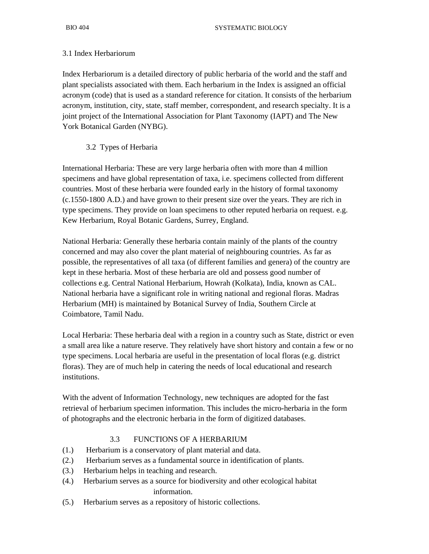#### 3.1 Index Herbariorum

Index Herbariorum is a detailed directory of public herbaria of the world and the staff and plant specialists associated with them. Each herbarium in the Index is assigned an official acronym (code) that is used as a standard reference for citation. It consists of the herbarium acronym, institution, city, state, staff member, correspondent, and research specialty. It is a joint project of the International Association for Plant Taxonomy (IAPT) and The New York Botanical Garden (NYBG).

#### 3.2 Types of Herbaria

International Herbaria: These are very large herbaria often with more than 4 million specimens and have global representation of taxa, i.e. specimens collected from different countries. Most of these herbaria were founded early in the history of formal taxonomy (c.1550-1800 A.D.) and have grown to their present size over the years. They are rich in type specimens. They provide on loan specimens to other reputed herbaria on request. e.g. Kew Herbarium, Royal Botanic Gardens, Surrey, England.

National Herbaria: Generally these herbaria contain mainly of the plants of the country concerned and may also cover the plant material of neighbouring countries. As far as possible, the representatives of all taxa (of different families and genera) of the country are kept in these herbaria. Most of these herbaria are old and possess good number of collections e.g. Central National Herbarium, Howrah (Kolkata), India, known as CAL. National herbaria have a significant role in writing national and regional floras. Madras Herbarium (MH) is maintained by Botanical Survey of India, Southern Circle at Coimbatore, Tamil Nadu.

Local Herbaria: These herbaria deal with a region in a country such as State, district or even a small area like a nature reserve. They relatively have short history and contain a few or no type specimens. Local herbaria are useful in the presentation of local floras (e.g. district floras). They are of much help in catering the needs of local educational and research institutions.

With the advent of Information Technology, new techniques are adopted for the fast retrieval of herbarium specimen information. This includes the micro-herbaria in the form of photographs and the electronic herbaria in the form of digitized databases.

#### 3.3 FUNCTIONS OF A HERBARIUM

- (1.) Herbarium is a conservatory of plant material and data.
- (2.) Herbarium serves as a fundamental source in identification of plants.
- (3.) Herbarium helps in teaching and research.
- (4.) Herbarium serves as a source for biodiversity and other ecological habitat information.
- (5.) Herbarium serves as a repository of historic collections.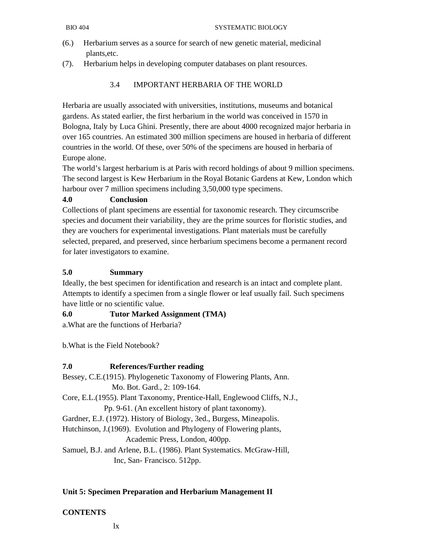- (6.) Herbarium serves as a source for search of new genetic material, medicinal plants,etc.
- (7). Herbarium helps in developing computer databases on plant resources.

## 3.4 IMPORTANT HERBARIA OF THE WORLD

Herbaria are usually associated with universities, institutions, museums and botanical gardens. As stated earlier, the first herbarium in the world was conceived in 1570 in Bologna, Italy by Luca Ghini. Presently, there are about 4000 recognized major herbaria in over 165 countries. An estimated 300 million specimens are housed in herbaria of different countries in the world. Of these, over 50% of the specimens are housed in herbaria of Europe alone.

The world's largest herbarium is at Paris with record holdings of about 9 million specimens. The second largest is Kew Herbarium in the Royal Botanic Gardens at Kew, London which harbour over 7 million specimens including 3,50,000 type specimens.

#### **4.0 Conclusion**

Collections of plant specimens are essential for taxonomic research. They circumscribe species and document their variability, they are the prime sources for floristic studies, and they are vouchers for experimental investigations. Plant materials must be carefully selected, prepared, and preserved, since herbarium specimens become a permanent record for later investigators to examine.

#### **5.0 Summary**

Ideally, the best specimen for identification and research is an intact and complete plant. Attempts to identify a specimen from a single flower or leaf usually fail. Such specimens have little or no scientific value.

#### **6.0 Tutor Marked Assignment (TMA)**

a.What are the functions of Herbaria?

b.What is the Field Notebook?

#### **7.0 References/Further reading**

Bessey, C.E.(1915). Phylogenetic Taxonomy of Flowering Plants, Ann. Mo. Bot. Gard., 2: 109-164. Core, E.L.(1955). Plant Taxonomy, Prentice-Hall, Englewood Cliffs, N.J., Pp. 9-61. (An excellent history of plant taxonomy).

Gardner, E.J. (1972). History of Biology, 3ed., Burgess, Mineapolis.

Hutchinson, J.(1969). Evolution and Phylogeny of Flowering plants,

Academic Press, London, 400pp.

Samuel, B.J. and Arlene, B.L. (1986). Plant Systematics. McGraw-Hill, Inc, San- Francisco. 512pp.

#### **Unit 5: Specimen Preparation and Herbarium Management II**

#### **CONTENTS**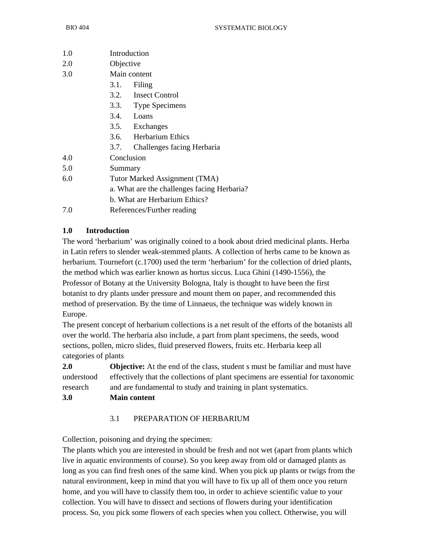| 1.0<br>Introduction                  |                                             |  |
|--------------------------------------|---------------------------------------------|--|
|                                      |                                             |  |
| 2.0<br>Objective                     |                                             |  |
| 3.0<br>Main content                  |                                             |  |
| 3.1.<br>Filing                       |                                             |  |
| 3.2. Insect Control                  |                                             |  |
| 3.3. Type Specimens                  |                                             |  |
| 3.4. Loans                           |                                             |  |
| 3.5.<br>Exchanges                    |                                             |  |
| 3.6. Herbarium Ethics                |                                             |  |
| Challenges facing Herbaria<br>3.7.   |                                             |  |
| Conclusion<br>4.0                    |                                             |  |
| 5.0<br>Summary                       |                                             |  |
| 6.0<br>Tutor Marked Assignment (TMA) |                                             |  |
|                                      | a. What are the challenges facing Herbaria? |  |
|                                      | b. What are Herbarium Ethics?               |  |
| 7.0<br>References/Further reading    |                                             |  |

## **1.0 Introduction**

The word 'herbarium' was originally coined to a book about dried medicinal plants. Herba in Latin refers to slender weak-stemmed plants. A collection of herbs came to be known as herbarium. Tournefort (c.1700) used the term 'herbarium' for the collection of dried plants, the method which was earlier known as hortus siccus. Luca Ghini (1490-1556), the Professor of Botany at the University Bologna, Italy is thought to have been the first botanist to dry plants under pressure and mount them on paper, and recommended this method of preservation. By the time of Linnaeus, the technique was widely known in Europe.

The present concept of herbarium collections is a net result of the efforts of the botanists all over the world. The herbaria also include, a part from plant specimens, the seeds, wood sections, pollen, micro slides, fluid preserved flowers, fruits etc. Herbaria keep all categories of plants

**2.0 Objective:** At the end of the class, student s must be familiar and must have understood effectively that the collections of plant specimens are essential for taxonomic research and are fundamental to study and training in plant systematics.

**3.0 Main content** 

#### 3.1 PREPARATION OF HERBARIUM

Collection, poisoning and drying the specimen:

The plants which you are interested in should be fresh and not wet (apart from plants which live in aquatic environments of course). So you keep away from old or damaged plants as long as you can find fresh ones of the same kind. When you pick up plants or twigs from the natural environment, keep in mind that you will have to fix up all of them once you return home, and you will have to classify them too, in order to achieve scientific value to your collection. You will have to dissect and sections of flowers during your identification process. So, you pick some flowers of each species when you collect. Otherwise, you will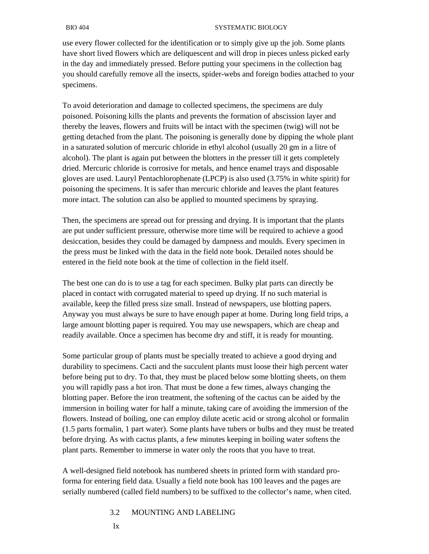use every flower collected for the identification or to simply give up the job. Some plants have short lived flowers which are deliquescent and will drop in pieces unless picked early in the day and immediately pressed. Before putting your specimens in the collection bag you should carefully remove all the insects, spider-webs and foreign bodies attached to your specimens.

To avoid deterioration and damage to collected specimens, the specimens are duly poisoned. Poisoning kills the plants and prevents the formation of abscission layer and thereby the leaves, flowers and fruits will be intact with the specimen (twig) will not be getting detached from the plant. The poisoning is generally done by dipping the whole plant in a saturated solution of mercuric chloride in ethyl alcohol (usually 20 gm in a litre of alcohol). The plant is again put between the blotters in the presser till it gets completely dried. Mercuric chloride is corrosive for metals, and hence enamel trays and disposable gloves are used. Lauryl Pentachlorophenate (LPCP) is also used (3.75% in white spirit) for poisoning the specimens. It is safer than mercuric chloride and leaves the plant features more intact. The solution can also be applied to mounted specimens by spraying.

Then, the specimens are spread out for pressing and drying. It is important that the plants are put under sufficient pressure, otherwise more time will be required to achieve a good desiccation, besides they could be damaged by dampness and moulds. Every specimen in the press must be linked with the data in the field note book. Detailed notes should be entered in the field note book at the time of collection in the field itself.

The best one can do is to use a tag for each specimen. Bulky plat parts can directly be placed in contact with corrugated material to speed up drying. If no such material is available, keep the filled press size small. Instead of newspapers, use blotting papers. Anyway you must always be sure to have enough paper at home. During long field trips, a large amount blotting paper is required. You may use newspapers, which are cheap and readily available. Once a specimen has become dry and stiff, it is ready for mounting.

Some particular group of plants must be specially treated to achieve a good drying and durability to specimens. Cacti and the succulent plants must loose their high percent water before being put to dry. To that, they must be placed below some blotting sheets, on them you will rapidly pass a hot iron. That must be done a few times, always changing the blotting paper. Before the iron treatment, the softening of the cactus can be aided by the immersion in boiling water for half a minute, taking care of avoiding the immersion of the flowers. Instead of boiling, one can employ dilute acetic acid or strong alcohol or formalin (1.5 parts formalin, 1 part water). Some plants have tubers or bulbs and they must be treated before drying. As with cactus plants, a few minutes keeping in boiling water softens the plant parts. Remember to immerse in water only the roots that you have to treat.

A well-designed field notebook has numbered sheets in printed form with standard proforma for entering field data. Usually a field note book has 100 leaves and the pages are serially numbered (called field numbers) to be suffixed to the collector's name, when cited.

#### 3.2 MOUNTING AND LABELING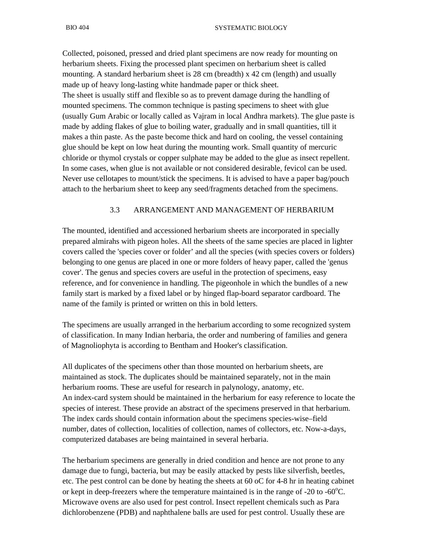Collected, poisoned, pressed and dried plant specimens are now ready for mounting on herbarium sheets. Fixing the processed plant specimen on herbarium sheet is called mounting. A standard herbarium sheet is 28 cm (breadth) x 42 cm (length) and usually made up of heavy long-lasting white handmade paper or thick sheet. The sheet is usually stiff and flexible so as to prevent damage during the handling of mounted specimens. The common technique is pasting specimens to sheet with glue (usually Gum Arabic or locally called as Vajram in local Andhra markets). The glue paste is made by adding flakes of glue to boiling water, gradually and in small quantities, till it makes a thin paste. As the paste become thick and hard on cooling, the vessel containing glue should be kept on low heat during the mounting work. Small quantity of mercuric chloride or thymol crystals or copper sulphate may be added to the glue as insect repellent. In some cases, when glue is not available or not considered desirable, fevicol can be used. Never use cellotapes to mount/stick the specimens. It is advised to have a paper bag/pouch attach to the herbarium sheet to keep any seed/fragments detached from the specimens.

#### 3.3 ARRANGEMENT AND MANAGEMENT OF HERBARIUM

The mounted, identified and accessioned herbarium sheets are incorporated in specially prepared almirahs with pigeon holes. All the sheets of the same species are placed in lighter covers called the 'species cover or folder' and all the species (with species covers or folders) belonging to one genus are placed in one or more folders of heavy paper, called the 'genus cover'. The genus and species covers are useful in the protection of specimens, easy reference, and for convenience in handling. The pigeonhole in which the bundles of a new family start is marked by a fixed label or by hinged flap-board separator cardboard. The name of the family is printed or written on this in bold letters.

The specimens are usually arranged in the herbarium according to some recognized system of classification. In many Indian herbaria, the order and numbering of families and genera of Magnoliophyta is according to Bentham and Hooker's classification.

All duplicates of the specimens other than those mounted on herbarium sheets, are maintained as stock. The duplicates should be maintained separately, not in the main herbarium rooms. These are useful for research in palynology, anatomy, etc. An index-card system should be maintained in the herbarium for easy reference to locate the species of interest. These provide an abstract of the specimens preserved in that herbarium. The index cards should contain information about the specimens species-wise–field number, dates of collection, localities of collection, names of collectors, etc. Now-a-days, computerized databases are being maintained in several herbaria.

The herbarium specimens are generally in dried condition and hence are not prone to any damage due to fungi, bacteria, but may be easily attacked by pests like silverfish, beetles, etc. The pest control can be done by heating the sheets at 60 oC for 4-8 hr in heating cabinet or kept in deep-freezers where the temperature maintained is in the range of -20 to -60 $^{\circ}$ C. Microwave ovens are also used for pest control. Insect repellent chemicals such as Para dichlorobenzene (PDB) and naphthalene balls are used for pest control. Usually these are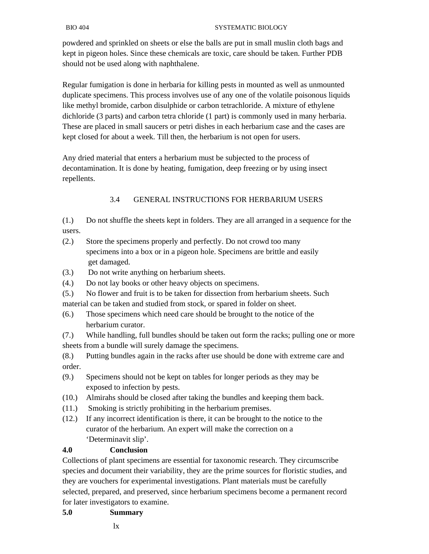powdered and sprinkled on sheets or else the balls are put in small muslin cloth bags and kept in pigeon holes. Since these chemicals are toxic, care should be taken. Further PDB should not be used along with naphthalene.

Regular fumigation is done in herbaria for killing pests in mounted as well as unmounted duplicate specimens. This process involves use of any one of the volatile poisonous liquids like methyl bromide, carbon disulphide or carbon tetrachloride. A mixture of ethylene dichloride (3 parts) and carbon tetra chloride (1 part) is commonly used in many herbaria. These are placed in small saucers or petri dishes in each herbarium case and the cases are kept closed for about a week. Till then, the herbarium is not open for users.

Any dried material that enters a herbarium must be subjected to the process of decontamination. It is done by heating, fumigation, deep freezing or by using insect repellents.

## 3.4 GENERAL INSTRUCTIONS FOR HERBARIUM USERS

(1.) Do not shuffle the sheets kept in folders. They are all arranged in a sequence for the users.

- (2.) Store the specimens properly and perfectly. Do not crowd too many specimens into a box or in a pigeon hole. Specimens are brittle and easily get damaged.
- (3.) Do not write anything on herbarium sheets.
- (4.) Do not lay books or other heavy objects on specimens.
- (5.) No flower and fruit is to be taken for dissection from herbarium sheets. Such material can be taken and studied from stock, or spared in folder on sheet.
- (6.) Those specimens which need care should be brought to the notice of the herbarium curator.

(7.) While handling, full bundles should be taken out form the racks; pulling one or more sheets from a bundle will surely damage the specimens.

- (8.) Putting bundles again in the racks after use should be done with extreme care and order.
- (9.) Specimens should not be kept on tables for longer periods as they may be exposed to infection by pests.
- (10.) Almirahs should be closed after taking the bundles and keeping them back.
- (11.) Smoking is strictly prohibiting in the herbarium premises.
- (12.) If any incorrect identification is there, it can be brought to the notice to the curator of the herbarium. An expert will make the correction on a 'Determinavit slip'.

## **4.0 Conclusion**

Collections of plant specimens are essential for taxonomic research. They circumscribe species and document their variability, they are the prime sources for floristic studies, and they are vouchers for experimental investigations. Plant materials must be carefully selected, prepared, and preserved, since herbarium specimens become a permanent record for later investigators to examine.

#### **5.0 Summary**